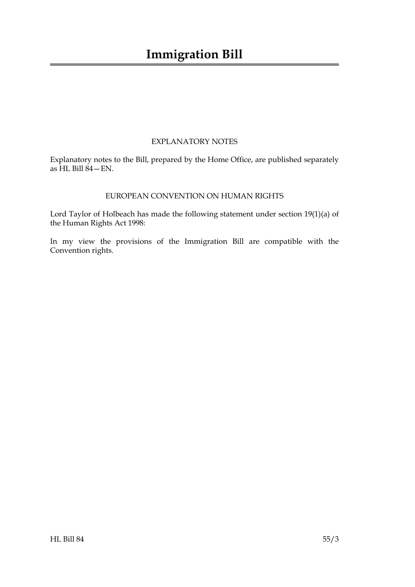### EXPLANATORY NOTES

Explanatory notes to the Bill, prepared by the Home Office, are published separately as HL Bill 84—EN.

#### EUROPEAN CONVENTION ON HUMAN RIGHTS

Lord Taylor of Holbeach has made the following statement under section 19(1)(a) of the Human Rights Act 1998:

In my view the provisions of the Immigration Bill are compatible with the Convention rights.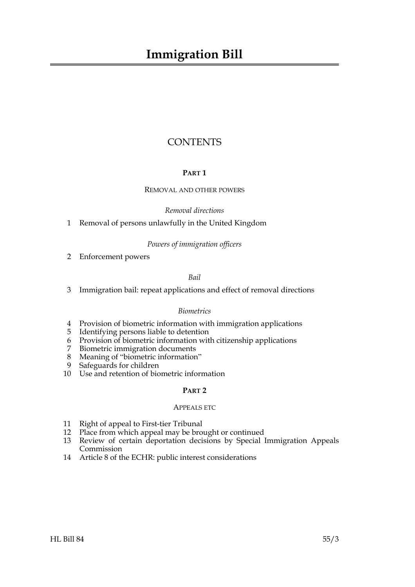## **CONTENTS**

#### **PART 1**

#### REMOVAL AND OTHER POWERS

*Removal directions*

1 Removal of persons unlawfully in the United Kingdom

#### *Powers of immigration officers*

2 Enforcement powers

*Bail*

3 Immigration bail: repeat applications and effect of removal directions

#### *Biometrics*

- 4 Provision of biometric information with immigration applications
- 5 Identifying persons liable to detention
- 6 Provision of biometric information with citizenship applications
- 7 Biometric immigration documents
- 8 Meaning of "biometric information"
- 9 Safeguards for children
- 10 Use and retention of biometric information

#### **PART 2**

#### APPEALS ETC

- 11 Right of appeal to First-tier Tribunal
- 12 Place from which appeal may be brought or continued
- 13 Review of certain deportation decisions by Special Immigration Appeals Commission
- 14 Article 8 of the ECHR: public interest considerations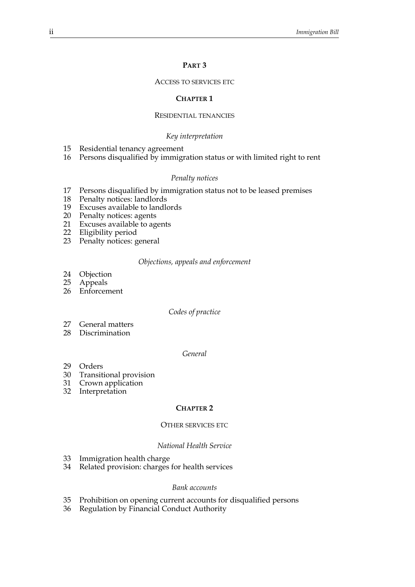#### **PART 3**

#### ACCESS TO SERVICES ETC

#### **CHAPTER 1**

#### RESIDENTIAL TENANCIES

#### *Key interpretation*

- 15 Residential tenancy agreement
- 16 Persons disqualified by immigration status or with limited right to rent

#### *Penalty notices*

- 17 Persons disqualified by immigration status not to be leased premises
- 18 Penalty notices: landlords
- 19 Excuses available to landlords
- 20 Penalty notices: agents<br>21 Excuses available to ag
- Excuses available to agents
- 22 Eligibility period
- 23 Penalty notices: general

#### *Objections, appeals and enforcement*

- 24 Objection<br>25 Appeals
- **Appeals**
- 26 Enforcement

#### *Codes of practice*

- 27 General matters
- 28 Discrimination

#### *General*

- 29 Orders
- 30 Transitional provision
- 31 Crown application
- 32 Interpretation

#### **CHAPTER 2**

#### OTHER SERVICES ETC

#### *National Health Service*

- 33 Immigration health charge
- 34 Related provision: charges for health services

#### *Bank accounts*

- 35 Prohibition on opening current accounts for disqualified persons
- 36 Regulation by Financial Conduct Authority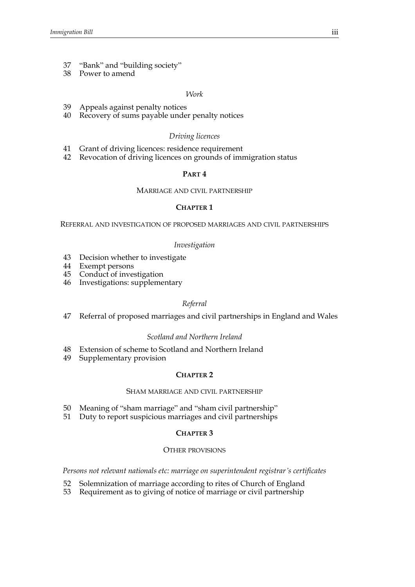- 37 "Bank" and "building society"
- 38 Power to amend

#### *Work*

- 39 Appeals against penalty notices
- 40 Recovery of sums payable under penalty notices

#### *Driving licences*

- 41 Grant of driving licences: residence requirement
- 42 Revocation of driving licences on grounds of immigration status

#### **PART 4**

#### MARRIAGE AND CIVIL PARTNERSHIP

#### **CHAPTER 1**

REFERRAL AND INVESTIGATION OF PROPOSED MARRIAGES AND CIVIL PARTNERSHIPS

#### *Investigation*

- 43 Decision whether to investigate
- 44 Exempt persons
- 45 Conduct of investigation
- 46 Investigations: supplementary

#### *Referral*

47 Referral of proposed marriages and civil partnerships in England and Wales

#### *Scotland and Northern Ireland*

- 48 Extension of scheme to Scotland and Northern Ireland
- 49 Supplementary provision

#### **CHAPTER 2**

#### SHAM MARRIAGE AND CIVIL PARTNERSHIP

- 50 Meaning of "sham marriage" and "sham civil partnership"
- 51 Duty to report suspicious marriages and civil partnerships

#### **CHAPTER 3**

#### OTHER PROVISIONS

*Persons not relevant nationals etc: marriage on superintendent registrar's certificates*

- 52 Solemnization of marriage according to rites of Church of England
- 53 Requirement as to giving of notice of marriage or civil partnership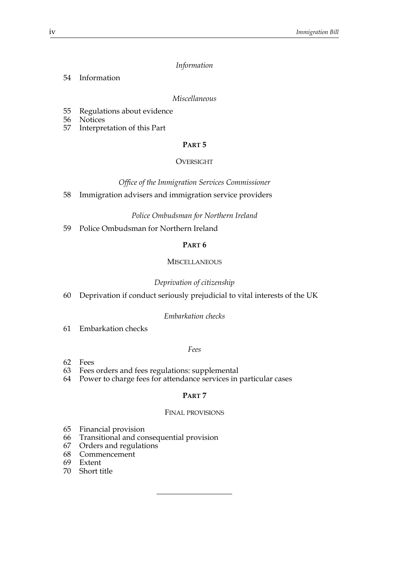#### *Information*

54 Information

*Miscellaneous*

- 55 Regulations about evidence
- 56 Notices
- 57 Interpretation of this Part

#### **PART 5**

#### OVERSIGHT

*Office of the Immigration Services Commissioner*

58 Immigration advisers and immigration service providers

#### *Police Ombudsman for Northern Ireland*

59 Police Ombudsman for Northern Ireland

#### **PART 6**

#### **MISCELLANEOUS**

#### *Deprivation of citizenship*

60 Deprivation if conduct seriously prejudicial to vital interests of the UK

#### *Embarkation checks*

61 Embarkation checks

#### *Fees*

- 62 Fees
- 63 Fees orders and fees regulations: supplemental
- 64 Power to charge fees for attendance services in particular cases

#### **PART 7**

#### FINAL PROVISIONS

- 65 Financial provision
- 66 Transitional and consequential provision
- 67 Orders and regulations
- 68 Commencement
- 69 Extent
- 70 Short title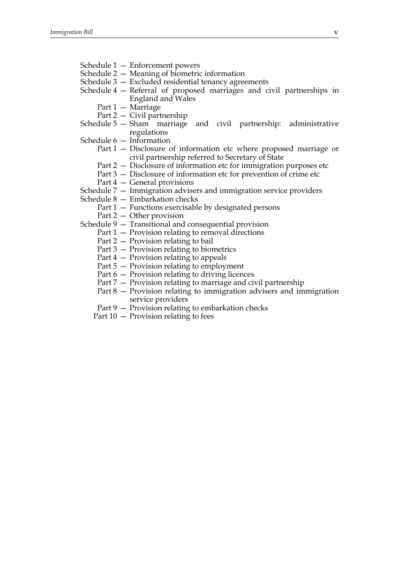- Schedule 1 Enforcement powers
- Schedule 2 Meaning of biometric information
- Schedule 3 Excluded residential tenancy agreements
- Schedule 4 Referral of proposed marriages and civil partnerships in England and Wales
	- Part 1 Marriage
	- Part 2 Civil partnership
- Schedule 5 Sham marriage and civil partnership: administrative regulations
- Schedule 6 Information
	- Part 1 Disclosure of information etc where proposed marriage or civil partnership referred to Secretary of State
	- Part 2 Disclosure of information etc for immigration purposes etc
	- Part 3 Disclosure of information etc for prevention of crime etc
	- Part 4 General provisions
- Schedule 7 Immigration advisers and immigration service providers
- Schedule 8 Embarkation checks
	- Part 1 Functions exercisable by designated persons
	- Part 2 Other provision
- Schedule 9 Transitional and consequential provision
	- Part 1 Provision relating to removal directions
	- Part 2 Provision relating to bail
	- Part 3 Provision relating to biometrics
	- Part 4 Provision relating to appeals
	- Part 5 Provision relating to employment
	- Part 6 Provision relating to driving licences
	- Part 7 Provision relating to marriage and civil partnership
	- Part 8 Provision relating to immigration advisers and immigration service providers
	- Part 9 Provision relating to embarkation checks
	- Part 10 Provision relating to fees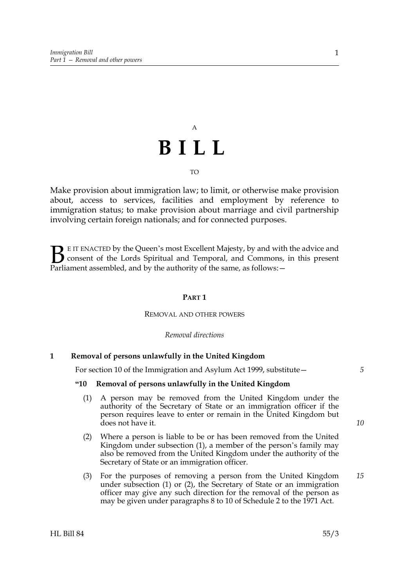# A **BILL**

TO

Make provision about immigration law; to limit, or otherwise make provision about, access to services, facilities and employment by reference to immigration status; to make provision about marriage and civil partnership involving certain foreign nationals; and for connected purposes.

E IT ENACTED by the Queen's most Excellent Majesty, by and with the advice and consent of the Lords Spiritual and Temporal, and Commons, in this present **B** E IT ENACTED by the Queen's most Excellent Majesty, by and with consent of the Lords Spiritual and Temporal, and Commons, Parliament assembled, and by the authority of the same, as follows:  $-$ 

#### **PART 1**

#### REMOVAL AND OTHER POWERS

*Removal directions*

#### **1 Removal of persons unlawfully in the United Kingdom**

For section 10 of the Immigration and Asylum Act 1999, substitute—

#### **"10 Removal of persons unlawfully in the United Kingdom**

- (1) A person may be removed from the United Kingdom under the authority of the Secretary of State or an immigration officer if the person requires leave to enter or remain in the United Kingdom but does not have it.
- (2) Where a person is liable to be or has been removed from the United Kingdom under subsection (1), a member of the person's family may also be removed from the United Kingdom under the authority of the Secretary of State or an immigration officer.
- (3) For the purposes of removing a person from the United Kingdom under subsection (1) or (2), the Secretary of State or an immigration officer may give any such direction for the removal of the person as may be given under paragraphs 8 to 10 of Schedule 2 to the 1971 Act.

*10*

*15*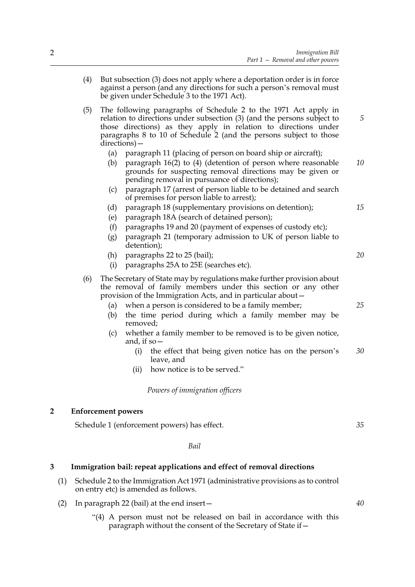- (4) But subsection (3) does not apply where a deportation order is in force against a person (and any directions for such a person's removal must be given under Schedule 3 to the 1971 Act). (5) The following paragraphs of Schedule 2 to the 1971 Act apply in relation to directions under subsection (3) (and the persons subject to those directions) as they apply in relation to directions under paragraphs 8 to 10 of Schedule 2 (and the persons subject to those directions)— (a) paragraph 11 (placing of person on board ship or aircraft); (b) paragraph 16(2) to (4) (detention of person where reasonable grounds for suspecting removal directions may be given or pending removal in pursuance of directions); (c) paragraph 17 (arrest of person liable to be detained and search of premises for person liable to arrest); (d) paragraph 18 (supplementary provisions on detention); (e) paragraph 18A (search of detained person); (f) paragraphs 19 and 20 (payment of expenses of custody etc); (g) paragraph 21 (temporary admission to UK of person liable to detention); (h) paragraphs 22 to 25 (bail); (i) paragraphs 25A to 25E (searches etc). (6) The Secretary of State may by regulations make further provision about the removal of family members under this section or any other provision of the Immigration Acts, and in particular about— (a) when a person is considered to be a family member; (b) the time period during which a family member may be removed; (c) whether a family member to be removed is to be given notice, and, if so— (i) the effect that being given notice has on the person's leave, and *5 10 15 20 25 30*
	- (ii) how notice is to be served."

*Powers of immigration officers*

#### **2 Enforcement powers**

Schedule 1 (enforcement powers) has effect.

*Bail*

#### **3 Immigration bail: repeat applications and effect of removal directions**

- (1) Schedule 2 to the Immigration Act 1971 (administrative provisions as to control on entry etc) is amended as follows.
- (2) In paragraph 22 (bail) at the end insert—
	- "(4) A person must not be released on bail in accordance with this paragraph without the consent of the Secretary of State if—

*35*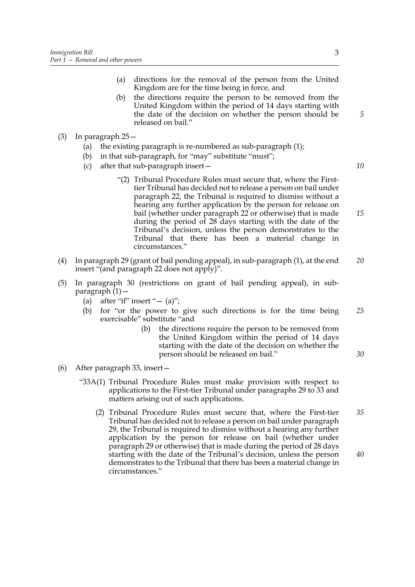- (a) directions for the removal of the person from the United Kingdom are for the time being in force, and
- (b) the directions require the person to be removed from the United Kingdom within the period of 14 days starting with the date of the decision on whether the person should be released on bail."
- (3) In paragraph 25—
	- (a) the existing paragraph is re-numbered as sub-paragraph (1);
	- (b) in that sub-paragraph, for "may" substitute "must";
	- (c) after that sub-paragraph insert—

*10*

*30*

- "(2) Tribunal Procedure Rules must secure that, where the Firsttier Tribunal has decided not to release a person on bail under paragraph 22, the Tribunal is required to dismiss without a hearing any further application by the person for release on bail (whether under paragraph 22 or otherwise) that is made during the period of 28 days starting with the date of the Tribunal's decision, unless the person demonstrates to the Tribunal that there has been a material change in circumstances." *15*
- (4) In paragraph 29 (grant of bail pending appeal), in sub-paragraph (1), at the end insert "(and paragraph 22 does not apply)". *20*
- (5) In paragraph 30 (restrictions on grant of bail pending appeal), in subparagraph (1)—
	- (a) after "if" insert " $-$  (a)";
	- (b) for "or the power to give such directions is for the time being exercisable" substitute "and *25*
		- (b) the directions require the person to be removed from the United Kingdom within the period of 14 days starting with the date of the decision on whether the person should be released on bail."
- (6) After paragraph 33, insert—
	- "33A(1) Tribunal Procedure Rules must make provision with respect to applications to the First-tier Tribunal under paragraphs 29 to 33 and matters arising out of such applications.
		- (2) Tribunal Procedure Rules must secure that, where the First-tier Tribunal has decided not to release a person on bail under paragraph 29, the Tribunal is required to dismiss without a hearing any further application by the person for release on bail (whether under paragraph 29 or otherwise) that is made during the period of 28 days starting with the date of the Tribunal's decision, unless the person demonstrates to the Tribunal that there has been a material change in circumstances." *35 40*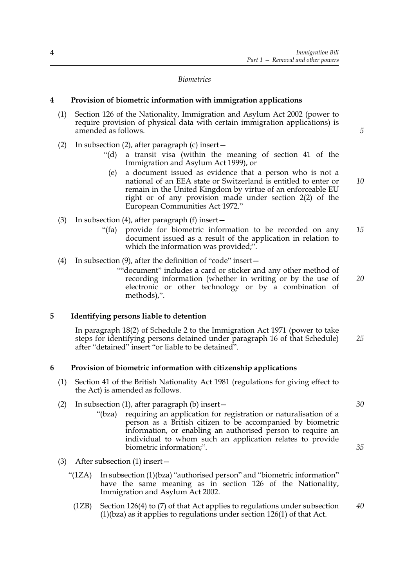*Biometrics*

#### **4 Provision of biometric information with immigration applications**

- (1) Section 126 of the Nationality, Immigration and Asylum Act 2002 (power to require provision of physical data with certain immigration applications) is amended as follows.
- (2) In subsection (2), after paragraph (c) insert—
	- "(d) a transit visa (within the meaning of section 41 of the Immigration and Asylum Act 1999), or
	- (e) a document issued as evidence that a person who is not a national of an EEA state or Switzerland is entitled to enter or remain in the United Kingdom by virtue of an enforceable EU right or of any provision made under section 2(2) of the European Communities Act 1972."
- (3) In subsection (4), after paragraph (f) insert—
	- "(fa) provide for biometric information to be recorded on any document issued as a result of the application in relation to which the information was provided;". *15*
- (4) In subsection (9), after the definition of "code" insert—
	- ""document" includes a card or sticker and any other method of recording information (whether in writing or by the use of electronic or other technology or by a combination of methods),".

#### **5 Identifying persons liable to detention**

In paragraph 18(2) of Schedule 2 to the Immigration Act 1971 (power to take steps for identifying persons detained under paragraph 16 of that Schedule) after "detained" insert "or liable to be detained". *25*

#### **6 Provision of biometric information with citizenship applications**

- (1) Section 41 of the British Nationality Act 1981 (regulations for giving effect to the Act) is amended as follows.
- (2) In subsection (1), after paragraph (b) insert—
	- "(bza) requiring an application for registration or naturalisation of a person as a British citizen to be accompanied by biometric information, or enabling an authorised person to require an individual to whom such an application relates to provide biometric information;".
- (3) After subsection (1) insert—
	- "(1ZA) In subsection (1)(bza) "authorised person" and "biometric information" have the same meaning as in section 126 of the Nationality, Immigration and Asylum Act 2002.
		- (1ZB) Section 126(4) to (7) of that Act applies to regulations under subsection (1)(bza) as it applies to regulations under section 126(1) of that Act. *40*

*30*

*5*

*10*

*20*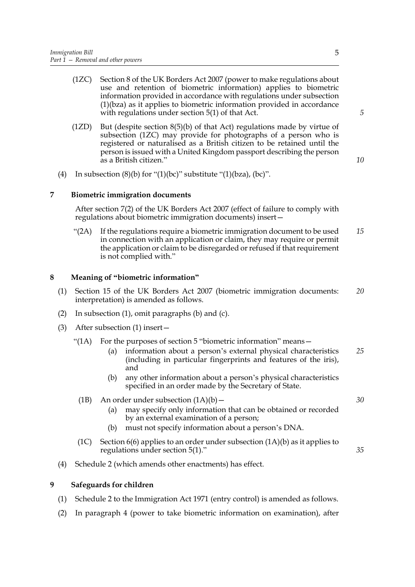- (1ZC) Section 8 of the UK Borders Act 2007 (power to make regulations about use and retention of biometric information) applies to biometric information provided in accordance with regulations under subsection (1)(bza) as it applies to biometric information provided in accordance with regulations under section 5(1) of that Act.
- (1ZD) But (despite section 8(5)(b) of that Act) regulations made by virtue of subsection (1ZC) may provide for photographs of a person who is registered or naturalised as a British citizen to be retained until the person is issued with a United Kingdom passport describing the person as a British citizen."
- (4) In subsection  $(8)(b)$  for " $(1)(bc)$ " substitute " $(1)(bza)$ ,  $(bc)$ ".

#### **7 Biometric immigration documents**

After section 7(2) of the UK Borders Act 2007 (effect of failure to comply with regulations about biometric immigration documents) insert—

"(2A) If the regulations require a biometric immigration document to be used in connection with an application or claim, they may require or permit the application or claim to be disregarded or refused if that requirement is not complied with." *15*

#### **8 Meaning of "biometric information"**

- (1) Section 15 of the UK Borders Act 2007 (biometric immigration documents: interpretation) is amended as follows. *20*
- (2) In subsection (1), omit paragraphs (b) and (c).
- (3) After subsection (1) insert—
	- "(1A) For the purposes of section  $5$  "biometric information" means  $-$ 
		- (a) information about a person's external physical characteristics (including in particular fingerprints and features of the iris), and *25*
		- (b) any other information about a person's physical characteristics specified in an order made by the Secretary of State.
	- (1B) An order under subsection  $(1A)(b)$ 
		- (a) may specify only information that can be obtained or recorded by an external examination of a person;
		- (b) must not specify information about a person's DNA.
	- (1C) Section  $6(6)$  applies to an order under subsection  $(1A)(b)$  as it applies to regulations under section 5(1)."
- (4) Schedule 2 (which amends other enactments) has effect.

#### **9 Safeguards for children**

- (1) Schedule 2 to the Immigration Act 1971 (entry control) is amended as follows.
- (2) In paragraph 4 (power to take biometric information on examination), after

*5*

*10*

*30*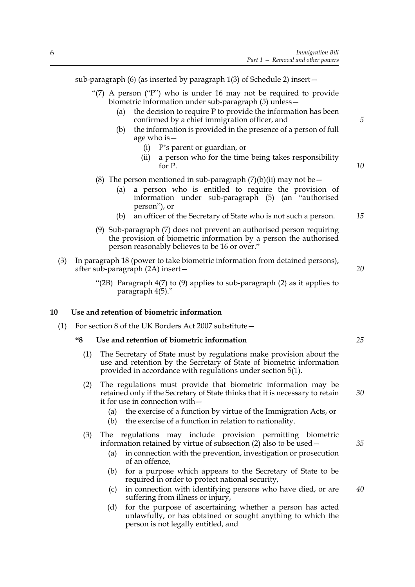sub-paragraph (6) (as inserted by paragraph 1(3) of Schedule 2) insert—

- "(7) A person ("P") who is under 16 may not be required to provide biometric information under sub-paragraph (5) unless—
	- (a) the decision to require P to provide the information has been confirmed by a chief immigration officer, and
	- (b) the information is provided in the presence of a person of full age who is—
		- (i) P's parent or guardian, or
		- (ii) a person who for the time being takes responsibility for P.
- (8) The person mentioned in sub-paragraph  $(7)(b)(ii)$  may not be
	- (a) a person who is entitled to require the provision of information under sub-paragraph (5) (an "authorised person"), or
	- (b) an officer of the Secretary of State who is not such a person. *15*
- (9) Sub-paragraph (7) does not prevent an authorised person requiring the provision of biometric information by a person the authorised person reasonably believes to be 16 or over."
- (3) In paragraph 18 (power to take biometric information from detained persons), after sub-paragraph (2A) insert—
	- "(2B) Paragraph 4(7) to (9) applies to sub-paragraph (2) as it applies to paragraph 4(5)."

#### **10 Use and retention of biometric information**

(1) For section 8 of the UK Borders Act 2007 substitute—

#### **"8 Use and retention of biometric information**

- (1) The Secretary of State must by regulations make provision about the use and retention by the Secretary of State of biometric information provided in accordance with regulations under section 5(1).
- (2) The regulations must provide that biometric information may be retained only if the Secretary of State thinks that it is necessary to retain it for use in connection with—
	- (a) the exercise of a function by virtue of the Immigration Acts, or
	- (b) the exercise of a function in relation to nationality.
- (3) The regulations may include provision permitting biometric information retained by virtue of subsection (2) also to be used—
	- (a) in connection with the prevention, investigation or prosecution of an offence,
	- (b) for a purpose which appears to the Secretary of State to be required in order to protect national security,
	- (c) in connection with identifying persons who have died, or are suffering from illness or injury,
	- (d) for the purpose of ascertaining whether a person has acted unlawfully, or has obtained or sought anything to which the person is not legally entitled, and

*25*

*20*

*5*

*10*

*30*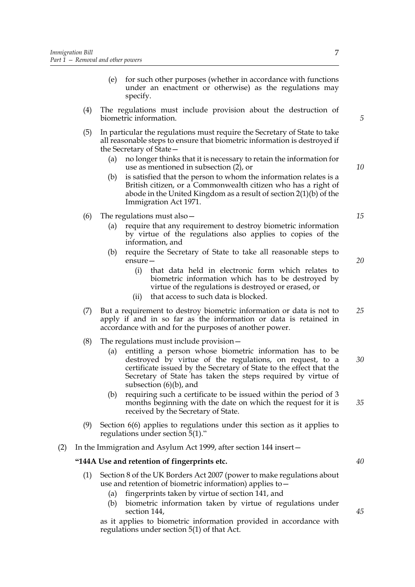- (e) for such other purposes (whether in accordance with functions under an enactment or otherwise) as the regulations may specify.
- (4) The regulations must include provision about the destruction of biometric information.
- (5) In particular the regulations must require the Secretary of State to take all reasonable steps to ensure that biometric information is destroyed if the Secretary of State—
	- (a) no longer thinks that it is necessary to retain the information for use as mentioned in subsection (2), or
	- (b) is satisfied that the person to whom the information relates is a British citizen, or a Commonwealth citizen who has a right of abode in the United Kingdom as a result of section 2(1)(b) of the Immigration Act 1971.
- (6) The regulations must also—
	- (a) require that any requirement to destroy biometric information by virtue of the regulations also applies to copies of the information, and
	- (b) require the Secretary of State to take all reasonable steps to ensure—
		- (i) that data held in electronic form which relates to biometric information which has to be destroyed by virtue of the regulations is destroyed or erased, or
		- (ii) that access to such data is blocked.
- (7) But a requirement to destroy biometric information or data is not to apply if and in so far as the information or data is retained in accordance with and for the purposes of another power. *25*
- (8) The regulations must include provision—
	- (a) entitling a person whose biometric information has to be destroyed by virtue of the regulations, on request, to a certificate issued by the Secretary of State to the effect that the Secretary of State has taken the steps required by virtue of subsection (6)(b), and *30*
	- (b) requiring such a certificate to be issued within the period of 3 months beginning with the date on which the request for it is received by the Secretary of State.
- (9) Section 6(6) applies to regulations under this section as it applies to regulations under section 5(1)."
- (2) In the Immigration and Asylum Act 1999, after section 144 insert—

#### **"144A Use and retention of fingerprints etc.**

- (1) Section 8 of the UK Borders Act 2007 (power to make regulations about use and retention of biometric information) applies to—
	- (a) fingerprints taken by virtue of section 141, and
	- (b) biometric information taken by virtue of regulations under section 144,

as it applies to biometric information provided in accordance with regulations under section 5(1) of that Act.

*40*

*35*

*45*

*20*

*5*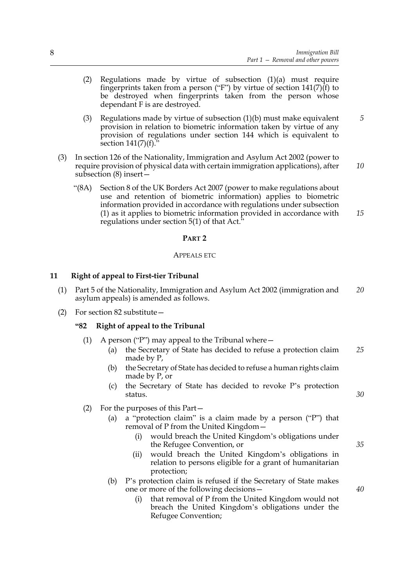- (2) Regulations made by virtue of subsection (1)(a) must require fingerprints taken from a person ("F") by virtue of section  $141(7)(f)$  to be destroyed when fingerprints taken from the person whose dependant F is are destroyed.
- (3) Regulations made by virtue of subsection (1)(b) must make equivalent provision in relation to biometric information taken by virtue of any provision of regulations under section 144 which is equivalent to section  $141(7)(f)$ . *5*
- (3) In section 126 of the Nationality, Immigration and Asylum Act 2002 (power to require provision of physical data with certain immigration applications), after subsection (8) insert— *10*
	- "(8A) Section 8 of the UK Borders Act 2007 (power to make regulations about use and retention of biometric information) applies to biometric information provided in accordance with regulations under subsection (1) as it applies to biometric information provided in accordance with regulations under section 5(1) of that Act." *15*

#### **PART 2**

#### APPEALS ETC

#### **11 Right of appeal to First-tier Tribunal**

- (1) Part 5 of the Nationality, Immigration and Asylum Act 2002 (immigration and asylum appeals) is amended as follows. *20*
- (2) For section 82 substitute—

#### **"82 Right of appeal to the Tribunal**

- (1) A person ("P") may appeal to the Tribunal where  $-$ 
	- (a) the Secretary of State has decided to refuse a protection claim made by P, *25*
	- (b) the Secretary of State has decided to refuse a human rights claim made by P, or
	- (c) the Secretary of State has decided to revoke P's protection status.
- (2) For the purposes of this Part—
	- (a) a "protection claim" is a claim made by a person ("P") that removal of P from the United Kingdom—
		- (i) would breach the United Kingdom's obligations under the Refugee Convention, or
		- (ii) would breach the United Kingdom's obligations in relation to persons eligible for a grant of humanitarian protection;
	- (b) P's protection claim is refused if the Secretary of State makes one or more of the following decisions—
		- (i) that removal of P from the United Kingdom would not breach the United Kingdom's obligations under the Refugee Convention;

*35*

*40*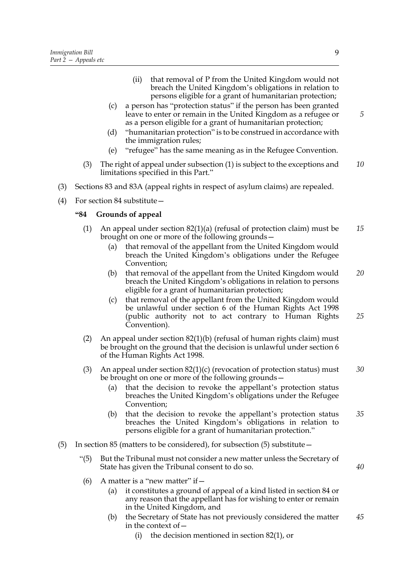- (ii) that removal of P from the United Kingdom would not breach the United Kingdom's obligations in relation to persons eligible for a grant of humanitarian protection;
- (c) a person has "protection status" if the person has been granted leave to enter or remain in the United Kingdom as a refugee or as a person eligible for a grant of humanitarian protection;
- (d) "humanitarian protection" is to be construed in accordance with the immigration rules;
- (e) "refugee" has the same meaning as in the Refugee Convention.
- (3) The right of appeal under subsection (1) is subject to the exceptions and limitations specified in this Part." *10*
- (3) Sections 83 and 83A (appeal rights in respect of asylum claims) are repealed.
- (4) For section 84 substitute—

#### **"84 Grounds of appeal**

- (1) An appeal under section  $82(1)(a)$  (refusal of protection claim) must be brought on one or more of the following grounds— *15*
	- (a) that removal of the appellant from the United Kingdom would breach the United Kingdom's obligations under the Refugee Convention;
	- (b) that removal of the appellant from the United Kingdom would breach the United Kingdom's obligations in relation to persons eligible for a grant of humanitarian protection; *20*
	- (c) that removal of the appellant from the United Kingdom would be unlawful under section 6 of the Human Rights Act 1998 (public authority not to act contrary to Human Rights Convention).
- (2) An appeal under section 82(1)(b) (refusal of human rights claim) must be brought on the ground that the decision is unlawful under section 6 of the Human Rights Act 1998.
- (3) An appeal under section  $82(1)(c)$  (revocation of protection status) must be brought on one or more of the following grounds— *30*
	- (a) that the decision to revoke the appellant's protection status breaches the United Kingdom's obligations under the Refugee Convention;
	- (b) that the decision to revoke the appellant's protection status breaches the United Kingdom's obligations in relation to persons eligible for a grant of humanitarian protection." *35*
- (5) In section 85 (matters to be considered), for subsection (5) substitute—
	- "(5) But the Tribunal must not consider a new matter unless the Secretary of State has given the Tribunal consent to do so.
	- (6) A matter is a "new matter" if  $-$ 
		- (a) it constitutes a ground of appeal of a kind listed in section 84 or any reason that the appellant has for wishing to enter or remain in the United Kingdom, and
		- (b) the Secretary of State has not previously considered the matter in the context of— *45*
			- (i) the decision mentioned in section 82(1), or

*5*

*25*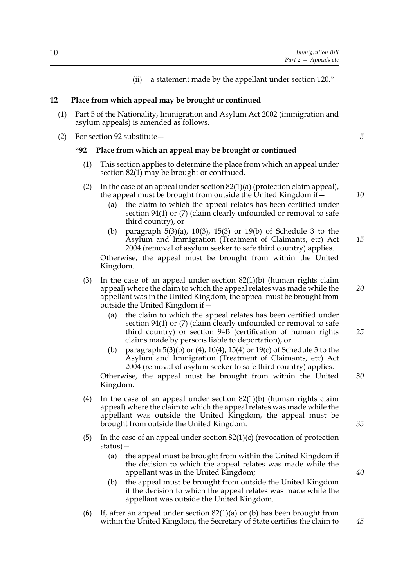10

(ii) a statement made by the appellant under section 120."

#### **12 Place from which appeal may be brought or continued**

- (1) Part 5 of the Nationality, Immigration and Asylum Act 2002 (immigration and asylum appeals) is amended as follows.
- (2) For section 92 substitute—

#### **"92 Place from which an appeal may be brought or continued**

- (1) This section applies to determine the place from which an appeal under section 82(1) may be brought or continued.
- (2) In the case of an appeal under section  $82(1)(a)$  (protection claim appeal), the appeal must be brought from outside the United Kingdom if—
	- (a) the claim to which the appeal relates has been certified under section 94(1) or (7) (claim clearly unfounded or removal to safe third country), or
	- (b) paragraph 5(3)(a), 10(3), 15(3) or 19(b) of Schedule 3 to the Asylum and Immigration (Treatment of Claimants, etc) Act 2004 (removal of asylum seeker to safe third country) applies. *15*

Otherwise, the appeal must be brought from within the United Kingdom.

- (3) In the case of an appeal under section 82(1)(b) (human rights claim appeal) where the claim to which the appeal relates was made while the appellant was in the United Kingdom, the appeal must be brought from outside the United Kingdom if—
	- (a) the claim to which the appeal relates has been certified under section 94(1) or (7) (claim clearly unfounded or removal to safe third country) or section 94B (certification of human rights claims made by persons liable to deportation), or
	- (b) paragraph 5(3)(b) or (4), 10(4), 15(4) or 19(c) of Schedule 3 to the Asylum and Immigration (Treatment of Claimants, etc) Act 2004 (removal of asylum seeker to safe third country) applies.

Otherwise, the appeal must be brought from within the United Kingdom. *30*

- (4) In the case of an appeal under section  $82(1)(b)$  (human rights claim appeal) where the claim to which the appeal relates was made while the appellant was outside the United Kingdom, the appeal must be brought from outside the United Kingdom.
- (5) In the case of an appeal under section  $82(1)(c)$  (revocation of protection status)—
	- (a) the appeal must be brought from within the United Kingdom if the decision to which the appeal relates was made while the appellant was in the United Kingdom;
	- (b) the appeal must be brought from outside the United Kingdom if the decision to which the appeal relates was made while the appellant was outside the United Kingdom.
- (6) If, after an appeal under section  $82(1)(a)$  or (b) has been brought from within the United Kingdom, the Secretary of State certifies the claim to

*10*

*5*

*20*

*25*

*40*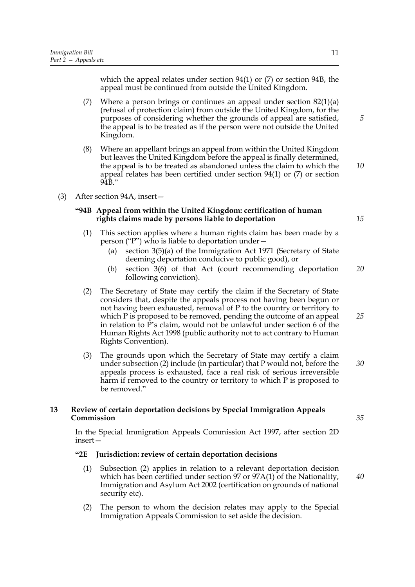which the appeal relates under section 94(1) or (7) or section 94B, the appeal must be continued from outside the United Kingdom.

- (7) Where a person brings or continues an appeal under section  $82(1)(a)$ (refusal of protection claim) from outside the United Kingdom, for the purposes of considering whether the grounds of appeal are satisfied, the appeal is to be treated as if the person were not outside the United Kingdom.
- (8) Where an appellant brings an appeal from within the United Kingdom but leaves the United Kingdom before the appeal is finally determined, the appeal is to be treated as abandoned unless the claim to which the appeal relates has been certified under section 94(1) or (7) or section 94B."
- (3) After section 94A, insert—

#### **"94B Appeal from within the United Kingdom: certification of human rights claims made by persons liable to deportation**

- (1) This section applies where a human rights claim has been made by a person ("P") who is liable to deportation under—
	- (a) section 3(5)(a) of the Immigration Act 1971 (Secretary of State deeming deportation conducive to public good), or
	- (b) section 3(6) of that Act (court recommending deportation following conviction). *20*
- (2) The Secretary of State may certify the claim if the Secretary of State considers that, despite the appeals process not having been begun or not having been exhausted, removal of P to the country or territory to which P is proposed to be removed, pending the outcome of an appeal in relation to P's claim, would not be unlawful under section 6 of the Human Rights Act 1998 (public authority not to act contrary to Human Rights Convention).
- (3) The grounds upon which the Secretary of State may certify a claim under subsection (2) include (in particular) that P would not, before the appeals process is exhausted, face a real risk of serious irreversible harm if removed to the country or territory to which P is proposed to be removed." *30*

#### **13 Review of certain deportation decisions by Special Immigration Appeals Commission**

In the Special Immigration Appeals Commission Act 1997, after section 2D insert—

#### **"2E Jurisdiction: review of certain deportation decisions**

- (1) Subsection (2) applies in relation to a relevant deportation decision which has been certified under section 97 or 97A(1) of the Nationality, Immigration and Asylum Act 2002 (certification on grounds of national security etc).
- (2) The person to whom the decision relates may apply to the Special Immigration Appeals Commission to set aside the decision.

11

*10*

*5*

*15*

*25*

*40*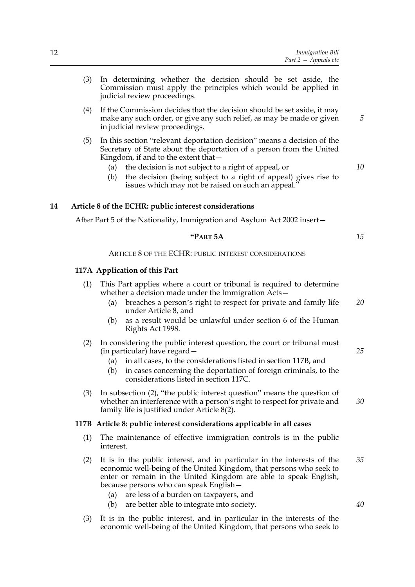- (3) In determining whether the decision should be set aside, the Commission must apply the principles which would be applied in judicial review proceedings.
- (4) If the Commission decides that the decision should be set aside, it may make any such order, or give any such relief, as may be made or given in judicial review proceedings.
- (5) In this section "relevant deportation decision" means a decision of the Secretary of State about the deportation of a person from the United Kingdom, if and to the extent that—
	- (a) the decision is not subject to a right of appeal, or
	- (b) the decision (being subject to a right of appeal) gives rise to issues which may not be raised on such an appeal.'

#### **14 Article 8 of the ECHR: public interest considerations**

After Part 5 of the Nationality, Immigration and Asylum Act 2002 insert—

| . .<br>$\ddot{\phantom{a}}$<br>\R'I |  |
|-------------------------------------|--|
|-------------------------------------|--|

ARTICLE 8 OF THE ECHR: PUBLIC INTEREST CONSIDERATIONS

#### **117A Application of this Part**

- (1) This Part applies where a court or tribunal is required to determine whether a decision made under the Immigration Acts—
	- (a) breaches a person's right to respect for private and family life under Article 8, and *20*
	- (b) as a result would be unlawful under section 6 of the Human Rights Act 1998.
- (2) In considering the public interest question, the court or tribunal must (in particular) have regard—
	- (a) in all cases, to the considerations listed in section 117B, and
	- (b) in cases concerning the deportation of foreign criminals, to the considerations listed in section 117C.
- (3) In subsection (2), "the public interest question" means the question of whether an interference with a person's right to respect for private and family life is justified under Article 8(2).

#### **117B Article 8: public interest considerations applicable in all cases**

- (1) The maintenance of effective immigration controls is in the public interest.
- (2) It is in the public interest, and in particular in the interests of the economic well-being of the United Kingdom, that persons who seek to enter or remain in the United Kingdom are able to speak English, because persons who can speak English— *35*
	- (a) are less of a burden on taxpayers, and
	- (b) are better able to integrate into society.
- (3) It is in the public interest, and in particular in the interests of the economic well-being of the United Kingdom, that persons who seek to

*10*

*5*

*15*

*25*

*30*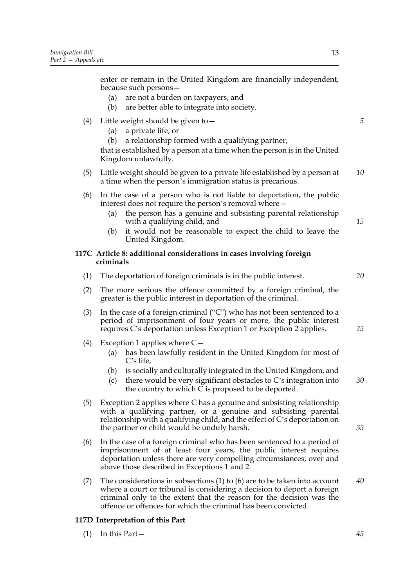enter or remain in the United Kingdom are financially independent, because such persons—

- (a) are not a burden on taxpayers, and
- (b) are better able to integrate into society.

#### (4) Little weight should be given to  $-$

- (a) a private life, or
- (b) a relationship formed with a qualifying partner,

that is established by a person at a time when the person is in the United Kingdom unlawfully.

- (5) Little weight should be given to a private life established by a person at a time when the person's immigration status is precarious. *10*
- (6) In the case of a person who is not liable to deportation, the public interest does not require the person's removal where—
	- (a) the person has a genuine and subsisting parental relationship with a qualifying child, and
	- (b) it would not be reasonable to expect the child to leave the United Kingdom.

#### **117C Article 8: additional considerations in cases involving foreign criminals**

- (1) The deportation of foreign criminals is in the public interest.
- (2) The more serious the offence committed by a foreign criminal, the greater is the public interest in deportation of the criminal.
- (3) In the case of a foreign criminal ("C") who has not been sentenced to a period of imprisonment of four years or more, the public interest requires C's deportation unless Exception 1 or Exception 2 applies.
- (4) Exception 1 applies where C—
	- (a) has been lawfully resident in the United Kingdom for most of C's life,
	- (b) is socially and culturally integrated in the United Kingdom, and
	- (c) there would be very significant obstacles to C's integration into the country to which C is proposed to be deported. *30*
- (5) Exception 2 applies where C has a genuine and subsisting relationship with a qualifying partner, or a genuine and subsisting parental relationship with a qualifying child, and the effect of C's deportation on the partner or child would be unduly harsh.
- (6) In the case of a foreign criminal who has been sentenced to a period of imprisonment of at least four years, the public interest requires deportation unless there are very compelling circumstances, over and above those described in Exceptions 1 and 2.
- (7) The considerations in subsections (1) to (6) are to be taken into account where a court or tribunal is considering a decision to deport a foreign criminal only to the extent that the reason for the decision was the offence or offences for which the criminal has been convicted. *40*

#### **117D Interpretation of this Part**

(1) In this Part—

*35*

*25*

*20*

*15*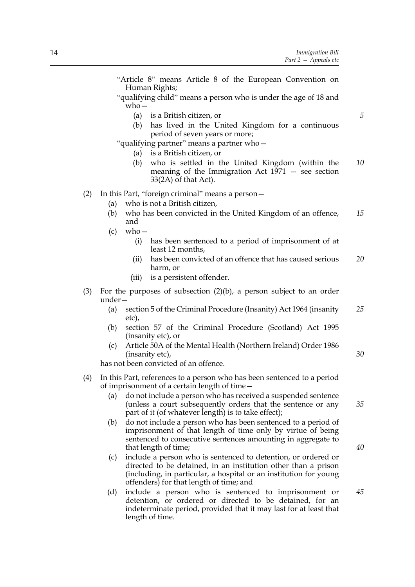"Article 8" means Article 8 of the European Convention on Human Rights; "qualifying child" means a person who is under the age of 18 and who— (a) is a British citizen, or (b) has lived in the United Kingdom for a continuous period of seven years or more; "qualifying partner" means a partner who— (a) is a British citizen, or (b) who is settled in the United Kingdom (within the meaning of the Immigration Act 1971 — see section 33(2A) of that Act). (2) In this Part, "foreign criminal" means a person— (a) who is not a British citizen, (b) who has been convicted in the United Kingdom of an offence, and (c) who— (i) has been sentenced to a period of imprisonment of at least 12 months, (ii) has been convicted of an offence that has caused serious harm, or (iii) is a persistent offender. (3) For the purposes of subsection (2)(b), a person subject to an order under— (a) section 5 of the Criminal Procedure (Insanity) Act 1964 (insanity etc), (b) section 57 of the Criminal Procedure (Scotland) Act 1995 (insanity etc), or (c) Article 50A of the Mental Health (Northern Ireland) Order 1986 (insanity etc), has not been convicted of an offence. (4) In this Part, references to a person who has been sentenced to a period of imprisonment of a certain length of time— (a) do not include a person who has received a suspended sentence (unless a court subsequently orders that the sentence or any part of it (of whatever length) is to take effect); (b) do not include a person who has been sentenced to a period of imprisonment of that length of time only by virtue of being sentenced to consecutive sentences amounting in aggregate to that length of time; (c) include a person who is sentenced to detention, or ordered or directed to be detained, in an institution other than a prison (including, in particular, a hospital or an institution for young offenders) for that length of time; and *5 10 15 20 25 30 35 40 45*

(d) include a person who is sentenced to imprisonment or detention, or ordered or directed to be detained, for an indeterminate period, provided that it may last for at least that length of time.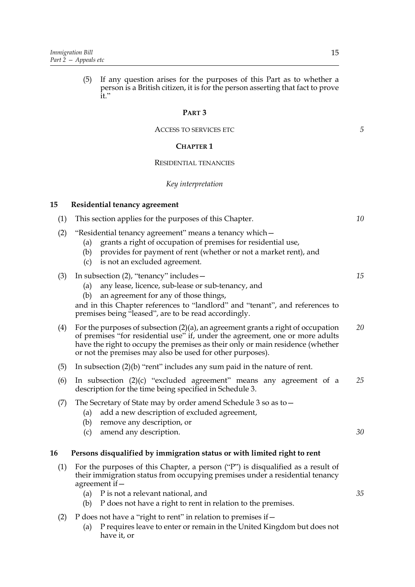(5) If any question arises for the purposes of this Part as to whether a person is a British citizen, it is for the person asserting that fact to prove it."

#### **PART 3**

#### ACCESS TO SERVICES ETC

#### **CHAPTER 1**

#### RESIDENTIAL TENANCIES

#### *Key interpretation*

#### **15 Residential tenancy agreement**

|  | (1) This section applies for the purposes of this Chapter. |  |
|--|------------------------------------------------------------|--|
|  |                                                            |  |

- (2) "Residential tenancy agreement" means a tenancy which—
	- (a) grants a right of occupation of premises for residential use,
	- (b) provides for payment of rent (whether or not a market rent), and
	- (c) is not an excluded agreement.

#### (3) In subsection (2), "tenancy" includes—

- (a) any lease, licence, sub-lease or sub-tenancy, and
- (b) an agreement for any of those things,

and in this Chapter references to "landlord" and "tenant", and references to premises being "leased", are to be read accordingly.

- (4) For the purposes of subsection (2)(a), an agreement grants a right of occupation of premises "for residential use" if, under the agreement, one or more adults have the right to occupy the premises as their only or main residence (whether or not the premises may also be used for other purposes). *20*
- (5) In subsection (2)(b) "rent" includes any sum paid in the nature of rent.
- (6) In subsection (2)(c) "excluded agreement" means any agreement of a description for the time being specified in Schedule 3. *25*

#### (7) The Secretary of State may by order amend Schedule 3 so as to—

- (a) add a new description of excluded agreement,
- (b) remove any description, or
- (c) amend any description.

#### **16 Persons disqualified by immigration status or with limited right to rent**

- (1) For the purposes of this Chapter, a person ("P") is disqualified as a result of their immigration status from occupying premises under a residential tenancy agreement if—
	- (a) P is not a relevant national, and
	- (b) P does not have a right to rent in relation to the premises.
- (2) P does not have a "right to rent" in relation to premises if  $-$ 
	- (a) P requires leave to enter or remain in the United Kingdom but does not have it, or

*5*

*10*

*15*

*30*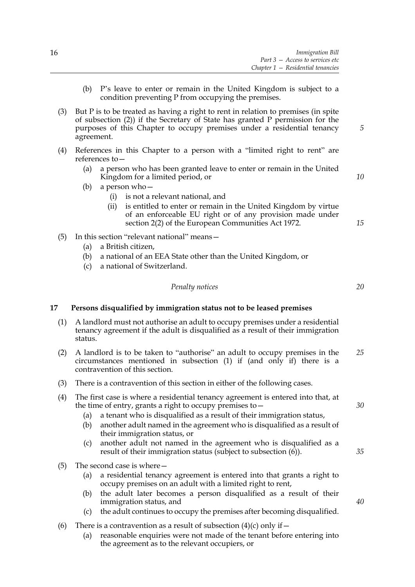- (b) P's leave to enter or remain in the United Kingdom is subject to a condition preventing P from occupying the premises.
- (3) But P is to be treated as having a right to rent in relation to premises (in spite of subsection (2)) if the Secretary of State has granted P permission for the purposes of this Chapter to occupy premises under a residential tenancy agreement.
- (4) References in this Chapter to a person with a "limited right to rent" are references to—
	- (a) a person who has been granted leave to enter or remain in the United Kingdom for a limited period, or
	- (b) a person who—
		- (i) is not a relevant national, and
		- (ii) is entitled to enter or remain in the United Kingdom by virtue of an enforceable EU right or of any provision made under section 2(2) of the European Communities Act 1972.
- (5) In this section "relevant national" means—
	- (a) a British citizen,
	- (b) a national of an EEA State other than the United Kingdom, or
	- (c) a national of Switzerland.

#### *Penalty notices*

**17 Persons disqualified by immigration status not to be leased premises**

- (1) A landlord must not authorise an adult to occupy premises under a residential tenancy agreement if the adult is disqualified as a result of their immigration status.
- (2) A landlord is to be taken to "authorise" an adult to occupy premises in the circumstances mentioned in subsection (1) if (and only if) there is a contravention of this section. *25*
- (3) There is a contravention of this section in either of the following cases.
- (4) The first case is where a residential tenancy agreement is entered into that, at the time of entry, grants a right to occupy premises to—
	- (a) a tenant who is disqualified as a result of their immigration status,
	- (b) another adult named in the agreement who is disqualified as a result of their immigration status, or
	- (c) another adult not named in the agreement who is disqualified as a result of their immigration status (subject to subsection (6)).
- (5) The second case is where—
	- (a) a residential tenancy agreement is entered into that grants a right to occupy premises on an adult with a limited right to rent,
	- (b) the adult later becomes a person disqualified as a result of their immigration status, and
	- (c) the adult continues to occupy the premises after becoming disqualified.
- (6) There is a contravention as a result of subsection  $(4)(c)$  only if  $-$ 
	- (a) reasonable enquiries were not made of the tenant before entering into the agreement as to the relevant occupiers, or

*10*

*15*

*5*

*20*

*30*

*35*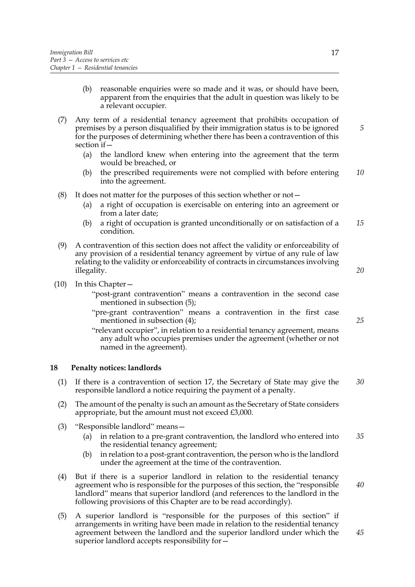- (b) reasonable enquiries were so made and it was, or should have been, apparent from the enquiries that the adult in question was likely to be a relevant occupier.
- (7) Any term of a residential tenancy agreement that prohibits occupation of premises by a person disqualified by their immigration status is to be ignored for the purposes of determining whether there has been a contravention of this section if  $-$ 
	- (a) the landlord knew when entering into the agreement that the term would be breached, or
	- (b) the prescribed requirements were not complied with before entering into the agreement. *10*
- (8) It does not matter for the purposes of this section whether or not $-$ 
	- (a) a right of occupation is exercisable on entering into an agreement or from a later date;
	- (b) a right of occupation is granted unconditionally or on satisfaction of a condition. *15*
- (9) A contravention of this section does not affect the validity or enforceability of any provision of a residential tenancy agreement by virtue of any rule of law relating to the validity or enforceability of contracts in circumstances involving illegality.
- (10) In this Chapter—
	- "post-grant contravention" means a contravention in the second case mentioned in subsection (5);
	- "pre-grant contravention" means a contravention in the first case mentioned in subsection (4);
	- "relevant occupier", in relation to a residential tenancy agreement, means any adult who occupies premises under the agreement (whether or not named in the agreement).

#### **18 Penalty notices: landlords**

- (1) If there is a contravention of section 17, the Secretary of State may give the responsible landlord a notice requiring the payment of a penalty. *30*
- (2) The amount of the penalty is such an amount as the Secretary of State considers appropriate, but the amount must not exceed £3,000.
- (3) "Responsible landlord" means—
	- (a) in relation to a pre-grant contravention, the landlord who entered into the residential tenancy agreement; *35*
	- (b) in relation to a post-grant contravention, the person who is the landlord under the agreement at the time of the contravention.
- (4) But if there is a superior landlord in relation to the residential tenancy agreement who is responsible for the purposes of this section, the "responsible landlord" means that superior landlord (and references to the landlord in the following provisions of this Chapter are to be read accordingly).
- (5) A superior landlord is "responsible for the purposes of this section" if arrangements in writing have been made in relation to the residential tenancy agreement between the landlord and the superior landlord under which the superior landlord accepts responsibility for—

*25*

*20*

*5*

*40*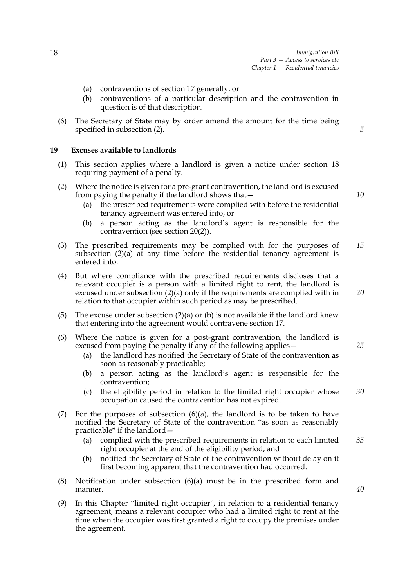- (a) contraventions of section 17 generally, or
- (b) contraventions of a particular description and the contravention in question is of that description.
- (6) The Secretary of State may by order amend the amount for the time being specified in subsection (2).

#### **19 Excuses available to landlords**

- (1) This section applies where a landlord is given a notice under section 18 requiring payment of a penalty.
- (2) Where the notice is given for a pre-grant contravention, the landlord is excused from paying the penalty if the landlord shows that—
	- (a) the prescribed requirements were complied with before the residential tenancy agreement was entered into, or
	- (b) a person acting as the landlord's agent is responsible for the contravention (see section 20(2)).
- (3) The prescribed requirements may be complied with for the purposes of subsection  $(2)(a)$  at any time before the residential tenancy agreement is entered into. *15*
- (4) But where compliance with the prescribed requirements discloses that a relevant occupier is a person with a limited right to rent, the landlord is excused under subsection (2)(a) only if the requirements are complied with in relation to that occupier within such period as may be prescribed.
- (5) The excuse under subsection  $(2)(a)$  or (b) is not available if the landlord knew that entering into the agreement would contravene section 17.
- (6) Where the notice is given for a post-grant contravention, the landlord is excused from paying the penalty if any of the following applies—
	- (a) the landlord has notified the Secretary of State of the contravention as soon as reasonably practicable;
	- (b) a person acting as the landlord's agent is responsible for the contravention;
	- (c) the eligibility period in relation to the limited right occupier whose occupation caused the contravention has not expired. *30*
- (7) For the purposes of subsection  $(6)(a)$ , the landlord is to be taken to have notified the Secretary of State of the contravention "as soon as reasonably practicable" if the landlord—
	- (a) complied with the prescribed requirements in relation to each limited right occupier at the end of the eligibility period, and *35*
	- (b) notified the Secretary of State of the contravention without delay on it first becoming apparent that the contravention had occurred.
- (8) Notification under subsection  $(6)(a)$  must be in the prescribed form and manner.
- (9) In this Chapter "limited right occupier", in relation to a residential tenancy agreement, means a relevant occupier who had a limited right to rent at the time when the occupier was first granted a right to occupy the premises under the agreement.

*10*

*5*

*20*

*25*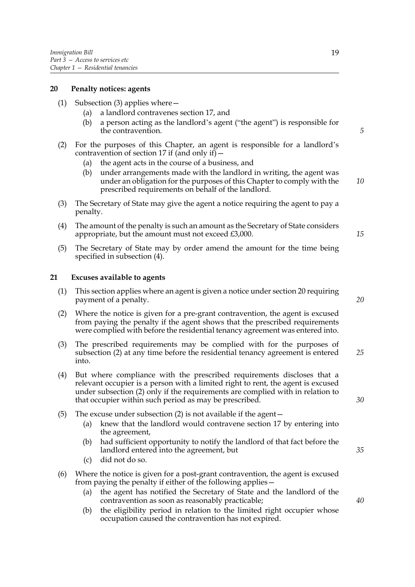#### **20 Penalty notices: agents**

- (1) Subsection (3) applies where—
	- (a) a landlord contravenes section 17, and
	- (b) a person acting as the landlord's agent ("the agent") is responsible for the contravention.
- (2) For the purposes of this Chapter, an agent is responsible for a landlord's contravention of section 17 if (and only if)  $-$ 
	- (a) the agent acts in the course of a business, and
	- (b) under arrangements made with the landlord in writing, the agent was under an obligation for the purposes of this Chapter to comply with the prescribed requirements on behalf of the landlord.
- (3) The Secretary of State may give the agent a notice requiring the agent to pay a penalty.
- (4) The amount of the penalty is such an amount as the Secretary of State considers appropriate, but the amount must not exceed £3,000.
- (5) The Secretary of State may by order amend the amount for the time being specified in subsection (4).

#### **21 Excuses available to agents**

- (1) This section applies where an agent is given a notice under section 20 requiring payment of a penalty.
- (2) Where the notice is given for a pre-grant contravention, the agent is excused from paying the penalty if the agent shows that the prescribed requirements were complied with before the residential tenancy agreement was entered into.
- (3) The prescribed requirements may be complied with for the purposes of subsection (2) at any time before the residential tenancy agreement is entered into. *25*
- (4) But where compliance with the prescribed requirements discloses that a relevant occupier is a person with a limited right to rent, the agent is excused under subsection (2) only if the requirements are complied with in relation to that occupier within such period as may be prescribed.
- (5) The excuse under subsection (2) is not available if the agent—
	- (a) knew that the landlord would contravene section 17 by entering into the agreement,
	- (b) had sufficient opportunity to notify the landlord of that fact before the landlord entered into the agreement, but
	- (c) did not do so.
- (6) Where the notice is given for a post-grant contravention, the agent is excused from paying the penalty if either of the following applies—
	- (a) the agent has notified the Secretary of State and the landlord of the contravention as soon as reasonably practicable;
	- (b) the eligibility period in relation to the limited right occupier whose occupation caused the contravention has not expired.

*20*

*5*

*10*

*15*

*35*

*30*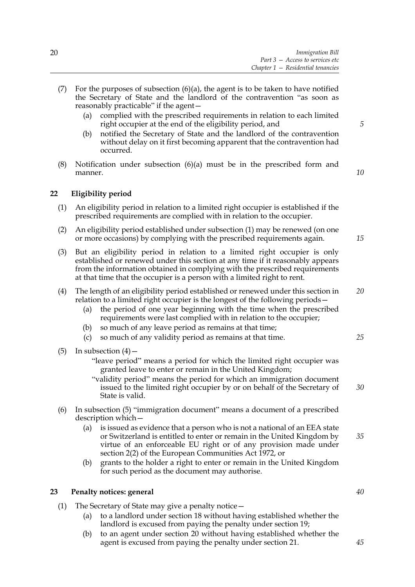- (7) For the purposes of subsection  $(6)(a)$ , the agent is to be taken to have notified the Secretary of State and the landlord of the contravention "as soon as reasonably practicable" if the agent—
	- (a) complied with the prescribed requirements in relation to each limited right occupier at the end of the eligibility period, and
	- (b) notified the Secretary of State and the landlord of the contravention without delay on it first becoming apparent that the contravention had occurred.
- (8) Notification under subsection  $(6)(a)$  must be in the prescribed form and manner.

#### **22 Eligibility period**

- (1) An eligibility period in relation to a limited right occupier is established if the prescribed requirements are complied with in relation to the occupier.
- (2) An eligibility period established under subsection (1) may be renewed (on one or more occasions) by complying with the prescribed requirements again.
- (3) But an eligibility period in relation to a limited right occupier is only established or renewed under this section at any time if it reasonably appears from the information obtained in complying with the prescribed requirements at that time that the occupier is a person with a limited right to rent.
- (4) The length of an eligibility period established or renewed under this section in relation to a limited right occupier is the longest of the following periods— *20*
	- (a) the period of one year beginning with the time when the prescribed requirements were last complied with in relation to the occupier;
	- (b) so much of any leave period as remains at that time;
	- (c) so much of any validity period as remains at that time.
- (5) In subsection  $(4)$ 
	- "leave period" means a period for which the limited right occupier was granted leave to enter or remain in the United Kingdom;
	- "validity period" means the period for which an immigration document issued to the limited right occupier by or on behalf of the Secretary of State is valid.
- (6) In subsection (5) "immigration document" means a document of a prescribed description which—
	- (a) is issued as evidence that a person who is not a national of an EEA state or Switzerland is entitled to enter or remain in the United Kingdom by virtue of an enforceable EU right or of any provision made under section 2(2) of the European Communities Act 1972, or *35*
	- (b) grants to the holder a right to enter or remain in the United Kingdom for such period as the document may authorise.

#### **23 Penalty notices: general**

- (1) The Secretary of State may give a penalty notice—
	- (a) to a landlord under section 18 without having established whether the landlord is excused from paying the penalty under section 19;
	- (b) to an agent under section 20 without having established whether the agent is excused from paying the penalty under section 21.

*5*

*10*

*15*

*25*

*30*

*40*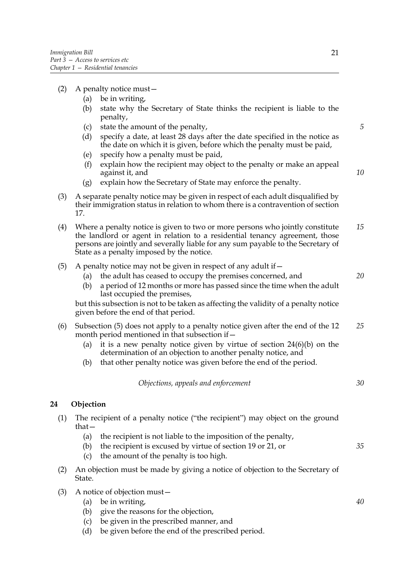- (2) A penalty notice must—
	- (a) be in writing,
	- (b) state why the Secretary of State thinks the recipient is liable to the penalty,
	- (c) state the amount of the penalty,
	- (d) specify a date, at least 28 days after the date specified in the notice as the date on which it is given, before which the penalty must be paid,
	- (e) specify how a penalty must be paid,
	- (f) explain how the recipient may object to the penalty or make an appeal against it, and
	- (g) explain how the Secretary of State may enforce the penalty.
- (3) A separate penalty notice may be given in respect of each adult disqualified by their immigration status in relation to whom there is a contravention of section 17.
- (4) Where a penalty notice is given to two or more persons who jointly constitute the landlord or agent in relation to a residential tenancy agreement, those persons are jointly and severally liable for any sum payable to the Secretary of State as a penalty imposed by the notice. *15*
- (5) A penalty notice may not be given in respect of any adult if  $-$ 
	- (a) the adult has ceased to occupy the premises concerned, and
	- (b) a period of 12 months or more has passed since the time when the adult last occupied the premises,

but this subsection is not to be taken as affecting the validity of a penalty notice given before the end of that period.

- (6) Subsection (5) does not apply to a penalty notice given after the end of the 12 month period mentioned in that subsection if— *25*
	- (a) it is a new penalty notice given by virtue of section 24(6)(b) on the determination of an objection to another penalty notice, and
	- (b) that other penalty notice was given before the end of the period.

|  |  | Objections, appeals and enforcement |
|--|--|-------------------------------------|
|  |  |                                     |

#### **24 Objection**

- (1) The recipient of a penalty notice ("the recipient") may object on the ground that—
	- (a) the recipient is not liable to the imposition of the penalty,
	- (b) the recipient is excused by virtue of section 19 or 21, or
	- (c) the amount of the penalty is too high.
- (2) An objection must be made by giving a notice of objection to the Secretary of State.
- (3) A notice of objection must—
	- (a) be in writing,
	- (b) give the reasons for the objection,
	- (c) be given in the prescribed manner, and
	- (d) be given before the end of the prescribed period.

*5*

*10*

*20*

*30*

*40*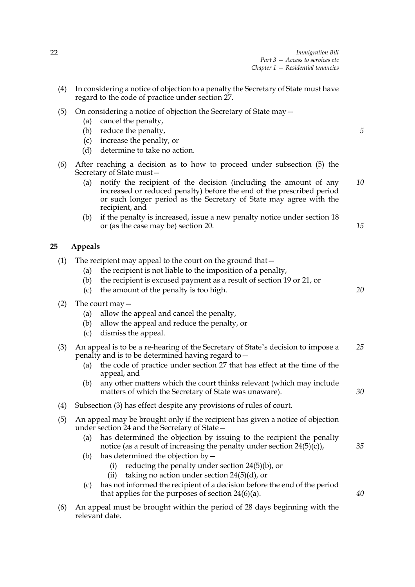- (4) In considering a notice of objection to a penalty the Secretary of State must have regard to the code of practice under section 27.
- (5) On considering a notice of objection the Secretary of State may—
	- (a) cancel the penalty,
	- (b) reduce the penalty,
	- (c) increase the penalty, or
	- (d) determine to take no action.
- (6) After reaching a decision as to how to proceed under subsection (5) the Secretary of State must—
	- (a) notify the recipient of the decision (including the amount of any increased or reduced penalty) before the end of the prescribed period or such longer period as the Secretary of State may agree with the recipient, and *10*
	- (b) if the penalty is increased, issue a new penalty notice under section 18 or (as the case may be) section 20.

#### **25 Appeals**

- (1) The recipient may appeal to the court on the ground that—
	- (a) the recipient is not liable to the imposition of a penalty,
	- (b) the recipient is excused payment as a result of section 19 or 21, or
	- (c) the amount of the penalty is too high.
- (2) The court may—
	- (a) allow the appeal and cancel the penalty,
	- (b) allow the appeal and reduce the penalty, or
	- (c) dismiss the appeal.
- (3) An appeal is to be a re-hearing of the Secretary of State's decision to impose a penalty and is to be determined having regard to— *25*
	- (a) the code of practice under section 27 that has effect at the time of the appeal, and
	- (b) any other matters which the court thinks relevant (which may include matters of which the Secretary of State was unaware).
- (4) Subsection (3) has effect despite any provisions of rules of court.
- (5) An appeal may be brought only if the recipient has given a notice of objection under section 24 and the Secretary of State—
	- (a) has determined the objection by issuing to the recipient the penalty notice (as a result of increasing the penalty under section  $24(5)(c)$ ),
	- (b) has determined the objection by  $-$ 
		- (i) reducing the penalty under section 24(5)(b), or
		- (ii) taking no action under section  $24(5)(d)$ , or
	- (c) has not informed the recipient of a decision before the end of the period that applies for the purposes of section  $24(6)(a)$ .
- (6) An appeal must be brought within the period of 28 days beginning with the relevant date.

*5*

*15*

*20*

*30*

*35*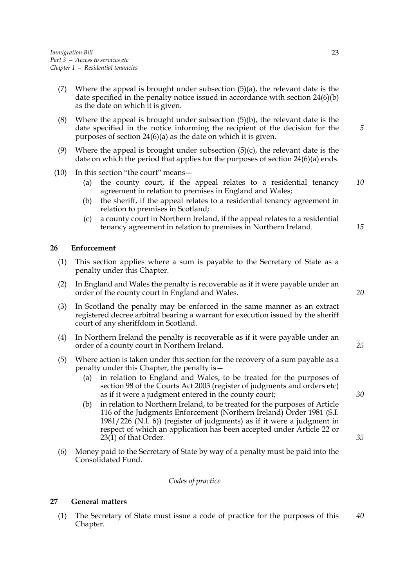- (7) Where the appeal is brought under subsection  $(5)(a)$ , the relevant date is the date specified in the penalty notice issued in accordance with section 24(6)(b) as the date on which it is given.
- (8) Where the appeal is brought under subsection  $(5)(b)$ , the relevant date is the date specified in the notice informing the recipient of the decision for the purposes of section 24(6)(a) as the date on which it is given.
- (9) Where the appeal is brought under subsection  $(5)(c)$ , the relevant date is the date on which the period that applies for the purposes of section 24(6)(a) ends.
- (10) In this section "the court" means—
	- (a) the county court, if the appeal relates to a residential tenancy agreement in relation to premises in England and Wales; *10*
	- (b) the sheriff, if the appeal relates to a residential tenancy agreement in relation to premises in Scotland;
	- (c) a county court in Northern Ireland, if the appeal relates to a residential tenancy agreement in relation to premises in Northern Ireland.

#### **26 Enforcement**

- (1) This section applies where a sum is payable to the Secretary of State as a penalty under this Chapter.
- (2) In England and Wales the penalty is recoverable as if it were payable under an order of the county court in England and Wales.
- (3) In Scotland the penalty may be enforced in the same manner as an extract registered decree arbitral bearing a warrant for execution issued by the sheriff court of any sheriffdom in Scotland.
- (4) In Northern Ireland the penalty is recoverable as if it were payable under an order of a county court in Northern Ireland.
- (5) Where action is taken under this section for the recovery of a sum payable as a penalty under this Chapter, the penalty is—
	- (a) in relation to England and Wales, to be treated for the purposes of section 98 of the Courts Act 2003 (register of judgments and orders etc) as if it were a judgment entered in the county court;
	- (b) in relation to Northern Ireland, to be treated for the purposes of Article 116 of the Judgments Enforcement (Northern Ireland) Order 1981 (S.I. 1981/226 (N.I. 6)) (register of judgments) as if it were a judgment in respect of which an application has been accepted under Article 22 or 23(1) of that Order.
- (6) Money paid to the Secretary of State by way of a penalty must be paid into the Consolidated Fund.

#### *Codes of practice*

#### **27 General matters**

(1) The Secretary of State must issue a code of practice for the purposes of this Chapter. *40*

*20*

*25*

*15*

*5*

*30*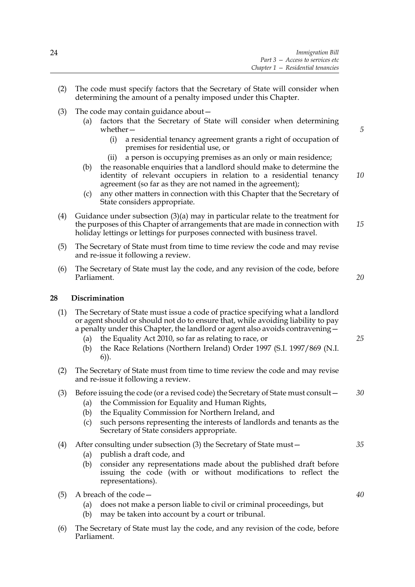- (2) The code must specify factors that the Secretary of State will consider when determining the amount of a penalty imposed under this Chapter.
- (3) The code may contain guidance about—
	- (a) factors that the Secretary of State will consider when determining whether—
		- (i) a residential tenancy agreement grants a right of occupation of premises for residential use, or
		- (ii) a person is occupying premises as an only or main residence;
	- (b) the reasonable enquiries that a landlord should make to determine the identity of relevant occupiers in relation to a residential tenancy agreement (so far as they are not named in the agreement);
	- (c) any other matters in connection with this Chapter that the Secretary of State considers appropriate.
- (4) Guidance under subsection (3)(a) may in particular relate to the treatment for the purposes of this Chapter of arrangements that are made in connection with holiday lettings or lettings for purposes connected with business travel. *15*
- (5) The Secretary of State must from time to time review the code and may revise and re-issue it following a review.
- (6) The Secretary of State must lay the code, and any revision of the code, before Parliament.

## **28 Discrimination**

- (1) The Secretary of State must issue a code of practice specifying what a landlord or agent should or should not do to ensure that, while avoiding liability to pay a penalty under this Chapter, the landlord or agent also avoids contravening—
	- (a) the Equality Act 2010, so far as relating to race, or
	- (b) the Race Relations (Northern Ireland) Order 1997 (S.I. 1997/869 (N.I. 6)).
- (2) The Secretary of State must from time to time review the code and may revise and re-issue it following a review.

#### (3) Before issuing the code (or a revised code) the Secretary of State must consult— *30*

- (a) the Commission for Equality and Human Rights,
- (b) the Equality Commission for Northern Ireland, and
- (c) such persons representing the interests of landlords and tenants as the Secretary of State considers appropriate.
- (4) After consulting under subsection (3) the Secretary of State must—
	- (a) publish a draft code, and
	- (b) consider any representations made about the published draft before issuing the code (with or without modifications to reflect the representations).
- (5) A breach of the code—
	- (a) does not make a person liable to civil or criminal proceedings, but
	- (b) may be taken into account by a court or tribunal.
- (6) The Secretary of State must lay the code, and any revision of the code, before Parliament.

*40*

*35*

*5*

*10*

*20*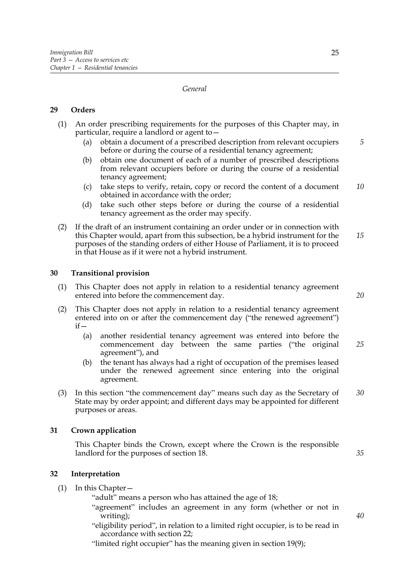#### *General*

#### **29 Orders**

- (1) An order prescribing requirements for the purposes of this Chapter may, in particular, require a landlord or agent to—
	- (a) obtain a document of a prescribed description from relevant occupiers before or during the course of a residential tenancy agreement; *5*
	- (b) obtain one document of each of a number of prescribed descriptions from relevant occupiers before or during the course of a residential tenancy agreement;
	- (c) take steps to verify, retain, copy or record the content of a document obtained in accordance with the order; *10*
	- (d) take such other steps before or during the course of a residential tenancy agreement as the order may specify.
- (2) If the draft of an instrument containing an order under or in connection with this Chapter would, apart from this subsection, be a hybrid instrument for the purposes of the standing orders of either House of Parliament, it is to proceed in that House as if it were not a hybrid instrument. *15*

#### **30 Transitional provision**

- (1) This Chapter does not apply in relation to a residential tenancy agreement entered into before the commencement day.
- (2) This Chapter does not apply in relation to a residential tenancy agreement entered into on or after the commencement day ("the renewed agreement")  $if -$ 
	- (a) another residential tenancy agreement was entered into before the commencement day between the same parties ("the original agreement"), and *25*
	- (b) the tenant has always had a right of occupation of the premises leased under the renewed agreement since entering into the original agreement.
- (3) In this section "the commencement day" means such day as the Secretary of State may by order appoint; and different days may be appointed for different purposes or areas. *30*

#### **31 Crown application**

This Chapter binds the Crown, except where the Crown is the responsible landlord for the purposes of section 18.

#### **32 Interpretation**

(1) In this Chapter—

"adult" means a person who has attained the age of 18;

- "agreement" includes an agreement in any form (whether or not in writing);
- "eligibility period", in relation to a limited right occupier, is to be read in accordance with section 22;

"limited right occupier" has the meaning given in section 19(9);

*20*

*35*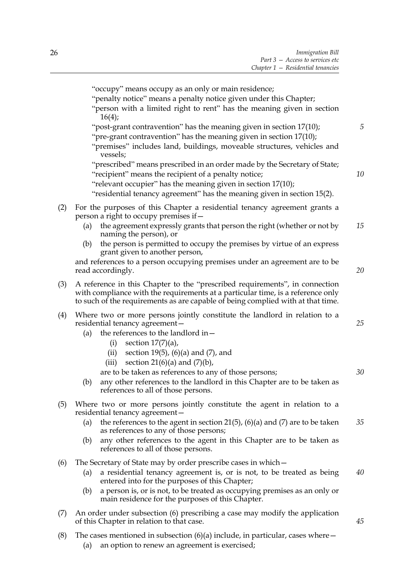|     | "occupy" means occupy as an only or main residence;<br>"penalty notice" means a penalty notice given under this Chapter;<br>"person with a limited right to rent" has the meaning given in section<br>16(4);<br>"post-grant contravention" has the meaning given in section 17(10);<br>"pre-grant contravention" has the meaning given in section 17(10);<br>"premises" includes land, buildings, moveable structures, vehicles and<br>vessels; | 5  |  |  |
|-----|-------------------------------------------------------------------------------------------------------------------------------------------------------------------------------------------------------------------------------------------------------------------------------------------------------------------------------------------------------------------------------------------------------------------------------------------------|----|--|--|
|     | "prescribed" means prescribed in an order made by the Secretary of State;<br>"recipient" means the recipient of a penalty notice;<br>"relevant occupier" has the meaning given in section 17(10);<br>"residential tenancy agreement" has the meaning given in section 15(2).                                                                                                                                                                    | 10 |  |  |
| (2) | For the purposes of this Chapter a residential tenancy agreement grants a<br>person a right to occupy premises if –<br>the agreement expressly grants that person the right (whether or not by<br>(a)<br>naming the person), or                                                                                                                                                                                                                 | 15 |  |  |
|     | the person is permitted to occupy the premises by virtue of an express<br>(b)<br>grant given to another person,<br>and references to a person occupying premises under an agreement are to be<br>read accordingly.                                                                                                                                                                                                                              | 20 |  |  |
| (3) | A reference in this Chapter to the "prescribed requirements", in connection<br>with compliance with the requirements at a particular time, is a reference only<br>to such of the requirements as are capable of being complied with at that time.                                                                                                                                                                                               |    |  |  |
| (4) | Where two or more persons jointly constitute the landlord in relation to a<br>residential tenancy agreement-<br>the references to the landlord in-<br>(a)<br>section $17(7)(a)$ ,<br>(i)<br>(ii) section 19(5), $(6)(a)$ and $(7)$ , and<br>section 21(6)(a) and $(7)(b)$ ,<br>(iii)                                                                                                                                                            | 25 |  |  |
|     | are to be taken as references to any of those persons;<br>any other references to the landlord in this Chapter are to be taken as<br>(b)<br>references to all of those persons.                                                                                                                                                                                                                                                                 | 30 |  |  |
| (5) | Where two or more persons jointly constitute the agent in relation to a<br>residential tenancy agreement-<br>the references to the agent in section 21(5), (6)(a) and (7) are to be taken<br>(a)<br>as references to any of those persons;<br>any other references to the agent in this Chapter are to be taken as<br>(b)<br>references to all of those persons.                                                                                | 35 |  |  |
| (6) | The Secretary of State may by order prescribe cases in which -<br>a residential tenancy agreement is, or is not, to be treated as being<br>(a)<br>entered into for the purposes of this Chapter;<br>a person is, or is not, to be treated as occupying premises as an only or<br>(b)<br>main residence for the purposes of this Chapter.                                                                                                        | 40 |  |  |
| (7) | An order under subsection (6) prescribing a case may modify the application<br>of this Chapter in relation to that case.                                                                                                                                                                                                                                                                                                                        | 45 |  |  |

- (8) The cases mentioned in subsection  $(6)(a)$  include, in particular, cases where  $-$ 
	- (a) an option to renew an agreement is exercised;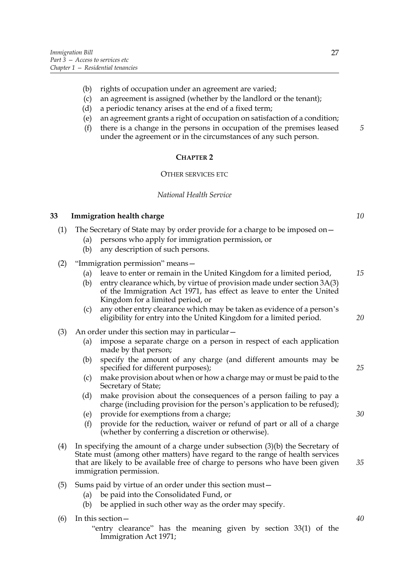- (b) rights of occupation under an agreement are varied;
- (c) an agreement is assigned (whether by the landlord or the tenant);
- (d) a periodic tenancy arises at the end of a fixed term;
- (e) an agreement grants a right of occupation on satisfaction of a condition;
- (f) there is a change in the persons in occupation of the premises leased under the agreement or in the circumstances of any such person.

#### **CHAPTER 2**

#### OTHER SERVICES ETC

#### *National Health Service*

#### **33 Immigration health charge**

- (1) The Secretary of State may by order provide for a charge to be imposed on—
	- (a) persons who apply for immigration permission, or
	- (b) any description of such persons.
- (2) "Immigration permission" means—
	- (a) leave to enter or remain in the United Kingdom for a limited period, *15*
	- (b) entry clearance which, by virtue of provision made under section 3A(3) of the Immigration Act 1971, has effect as leave to enter the United Kingdom for a limited period, or
	- (c) any other entry clearance which may be taken as evidence of a person's eligibility for entry into the United Kingdom for a limited period.
- (3) An order under this section may in particular—
	- (a) impose a separate charge on a person in respect of each application made by that person;
	- (b) specify the amount of any charge (and different amounts may be specified for different purposes);
	- (c) make provision about when or how a charge may or must be paid to the Secretary of State;
	- (d) make provision about the consequences of a person failing to pay a charge (including provision for the person's application to be refused);
	- (e) provide for exemptions from a charge;
	- (f) provide for the reduction, waiver or refund of part or all of a charge (whether by conferring a discretion or otherwise).
- (4) In specifying the amount of a charge under subsection (3)(b) the Secretary of State must (among other matters) have regard to the range of health services that are likely to be available free of charge to persons who have been given immigration permission.
- (5) Sums paid by virtue of an order under this section must—
	- (a) be paid into the Consolidated Fund, or
	- (b) be applied in such other way as the order may specify.

(6) In this section—

"entry clearance" has the meaning given by section 33(1) of the Immigration Act 1971;

*5*

*10*

*20*

*25*

*30*

*35*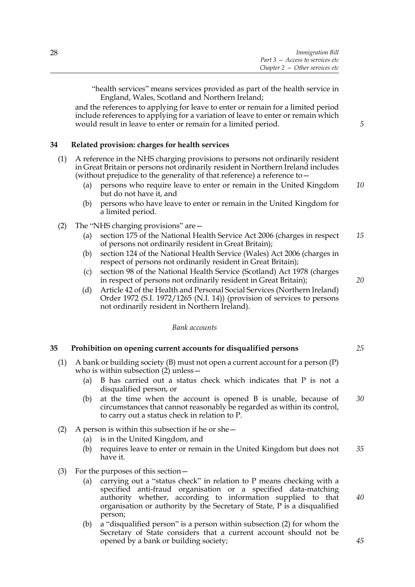"health services" means services provided as part of the health service in England, Wales, Scotland and Northern Ireland;

and the references to applying for leave to enter or remain for a limited period include references to applying for a variation of leave to enter or remain which would result in leave to enter or remain for a limited period.

#### **34 Related provision: charges for health services**

- (1) A reference in the NHS charging provisions to persons not ordinarily resident in Great Britain or persons not ordinarily resident in Northern Ireland includes (without prejudice to the generality of that reference) a reference to—
	- (a) persons who require leave to enter or remain in the United Kingdom but do not have it, and *10*
	- (b) persons who have leave to enter or remain in the United Kingdom for a limited period.
- (2) The "NHS charging provisions" are—
	- (a) section 175 of the National Health Service Act 2006 (charges in respect of persons not ordinarily resident in Great Britain); *15*
	- (b) section 124 of the National Health Service (Wales) Act 2006 (charges in respect of persons not ordinarily resident in Great Britain);
	- (c) section 98 of the National Health Service (Scotland) Act 1978 (charges in respect of persons not ordinarily resident in Great Britain);
	- (d) Article 42 of the Health and Personal Social Services (Northern Ireland) Order 1972 (S.I. 1972/1265 (N.I. 14)) (provision of services to persons not ordinarily resident in Northern Ireland).

#### *Bank accounts*

#### **35 Prohibition on opening current accounts for disqualified persons**

- (1) A bank or building society (B) must not open a current account for a person (P) who is within subsection (2) unless -
	- (a) B has carried out a status check which indicates that P is not a disqualified person, or
	- (b) at the time when the account is opened B is unable, because of circumstances that cannot reasonably be regarded as within its control, to carry out a status check in relation to P. *30*
- (2) A person is within this subsection if he or she—
	- (a) is in the United Kingdom, and
	- (b) requires leave to enter or remain in the United Kingdom but does not have it. *35*
- (3) For the purposes of this section—
	- (a) carrying out a "status check" in relation to P means checking with a specified anti-fraud organisation or a specified data-matching authority whether, according to information supplied to that organisation or authority by the Secretary of State, P is a disqualified person;
	- (b) a "disqualified person" is a person within subsection (2) for whom the Secretary of State considers that a current account should not be opened by a bank or building society;

*20*

*5*

*40*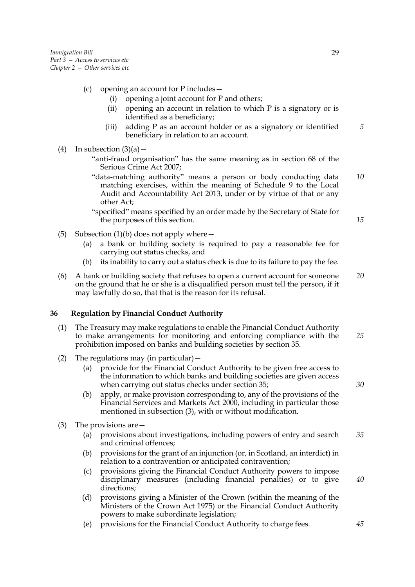- (c) opening an account for P includes—
	- (i) opening a joint account for P and others;
	- (ii) opening an account in relation to which P is a signatory or is identified as a beneficiary;
	- (iii) adding P as an account holder or as a signatory or identified beneficiary in relation to an account.
- (4) In subsection  $(3)(a)$ 
	- "anti-fraud organisation" has the same meaning as in section 68 of the Serious Crime Act 2007;
	- "data-matching authority" means a person or body conducting data matching exercises, within the meaning of Schedule 9 to the Local Audit and Accountability Act 2013, under or by virtue of that or any other Act; *10*

"specified" means specified by an order made by the Secretary of State for the purposes of this section.

- (5) Subsection (1)(b) does not apply where  $-$ 
	- (a) a bank or building society is required to pay a reasonable fee for carrying out status checks, and
	- (b) its inability to carry out a status check is due to its failure to pay the fee.
- (6) A bank or building society that refuses to open a current account for someone on the ground that he or she is a disqualified person must tell the person, if it may lawfully do so, that that is the reason for its refusal. *20*

#### **36 Regulation by Financial Conduct Authority**

- (1) The Treasury may make regulations to enable the Financial Conduct Authority to make arrangements for monitoring and enforcing compliance with the prohibition imposed on banks and building societies by section 35. *25*
- (2) The regulations may (in particular)—
	- (a) provide for the Financial Conduct Authority to be given free access to the information to which banks and building societies are given access when carrying out status checks under section 35;
	- (b) apply, or make provision corresponding to, any of the provisions of the Financial Services and Markets Act 2000, including in particular those mentioned in subsection (3), with or without modification.
- (3) The provisions are—
	- (a) provisions about investigations, including powers of entry and search and criminal offences; *35*
	- (b) provisions for the grant of an injunction (or, in Scotland, an interdict) in relation to a contravention or anticipated contravention;
	- (c) provisions giving the Financial Conduct Authority powers to impose disciplinary measures (including financial penalties) or to give directions; *40*
	- (d) provisions giving a Minister of the Crown (within the meaning of the Ministers of the Crown Act 1975) or the Financial Conduct Authority powers to make subordinate legislation;
	- (e) provisions for the Financial Conduct Authority to charge fees.

*30*

*45*

*15*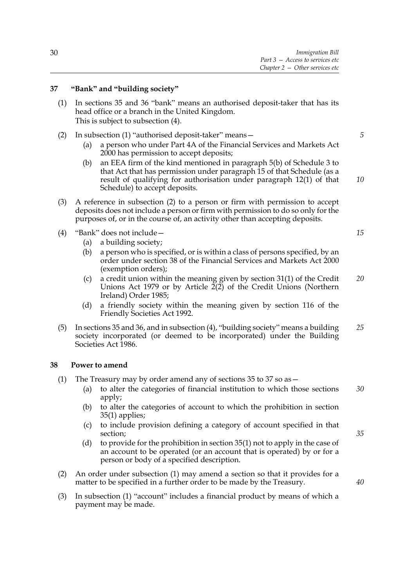#### **37 "Bank" and "building society"**

- (1) In sections 35 and 36 "bank" means an authorised deposit-taker that has its head office or a branch in the United Kingdom. This is subject to subsection (4).
- (2) In subsection (1) "authorised deposit-taker" means—
	- (a) a person who under Part 4A of the Financial Services and Markets Act 2000 has permission to accept deposits;
	- (b) an EEA firm of the kind mentioned in paragraph 5(b) of Schedule 3 to that Act that has permission under paragraph 15 of that Schedule (as a result of qualifying for authorisation under paragraph 12(1) of that Schedule) to accept deposits.
- (3) A reference in subsection (2) to a person or firm with permission to accept deposits does not include a person or firm with permission to do so only for the purposes of, or in the course of, an activity other than accepting deposits.
- (4) "Bank" does not include—
	- (a) a building society;
	- (b) a person who is specified, or is within a class of persons specified, by an order under section 38 of the Financial Services and Markets Act 2000 (exemption orders);
	- (c) a credit union within the meaning given by section 31(1) of the Credit Unions Act 1979 or by Article  $2(2)$  of the Credit Unions (Northern Ireland) Order 1985; *20*
	- (d) a friendly society within the meaning given by section 116 of the Friendly Societies Act 1992.
- (5) In sections 35 and 36, and in subsection (4), "building society" means a building society incorporated (or deemed to be incorporated) under the Building Societies Act 1986. *25*

#### **38 Power to amend**

- (1) The Treasury may by order amend any of sections 35 to 37 so as—
	- (a) to alter the categories of financial institution to which those sections apply; *30*
	- (b) to alter the categories of account to which the prohibition in section 35(1) applies;
	- (c) to include provision defining a category of account specified in that section;
	- (d) to provide for the prohibition in section 35(1) not to apply in the case of an account to be operated (or an account that is operated) by or for a person or body of a specified description.
- (2) An order under subsection (1) may amend a section so that it provides for a matter to be specified in a further order to be made by the Treasury.
- (3) In subsection (1) "account" includes a financial product by means of which a payment may be made.

*15*

*5*

*10*

*35*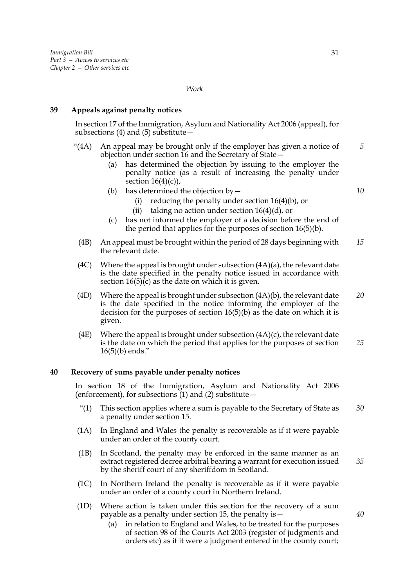### *Work*

### **39 Appeals against penalty notices**

In section 17 of the Immigration, Asylum and Nationality Act 2006 (appeal), for subsections (4) and (5) substitute $-$ 

- "(4A) An appeal may be brought only if the employer has given a notice of objection under section 16 and the Secretary of State—
	- (a) has determined the objection by issuing to the employer the penalty notice (as a result of increasing the penalty under section  $16(4)(c)$ ,
	- (b) has determined the objection by  $-$ 
		- (i) reducing the penalty under section 16(4)(b), or
		- (ii) taking no action under section  $16(4)(d)$ , or
	- (c) has not informed the employer of a decision before the end of the period that applies for the purposes of section 16(5)(b).
	- (4B) An appeal must be brought within the period of 28 days beginning with the relevant date. *15*
	- (4C) Where the appeal is brought under subsection  $(4A)(a)$ , the relevant date is the date specified in the penalty notice issued in accordance with section 16(5)(c) as the date on which it is given.
	- (4D) Where the appeal is brought under subsection (4A)(b), the relevant date is the date specified in the notice informing the employer of the decision for the purposes of section 16(5)(b) as the date on which it is given. *20*
	- (4E) Where the appeal is brought under subsection (4A)(c), the relevant date is the date on which the period that applies for the purposes of section 16(5)(b) ends." *25*

### **40 Recovery of sums payable under penalty notices**

In section 18 of the Immigration, Asylum and Nationality Act 2006 (enforcement), for subsections  $(1)$  and  $(2)$  substitute –

- "(1) This section applies where a sum is payable to the Secretary of State as a penalty under section 15. *30*
- (1A) In England and Wales the penalty is recoverable as if it were payable under an order of the county court.
- (1B) In Scotland, the penalty may be enforced in the same manner as an extract registered decree arbitral bearing a warrant for execution issued by the sheriff court of any sheriffdom in Scotland. *35*
- (1C) In Northern Ireland the penalty is recoverable as if it were payable under an order of a county court in Northern Ireland.
- (1D) Where action is taken under this section for the recovery of a sum payable as a penalty under section 15, the penalty is—
	- (a) in relation to England and Wales, to be treated for the purposes of section 98 of the Courts Act 2003 (register of judgments and orders etc) as if it were a judgment entered in the county court;

*5*

*10*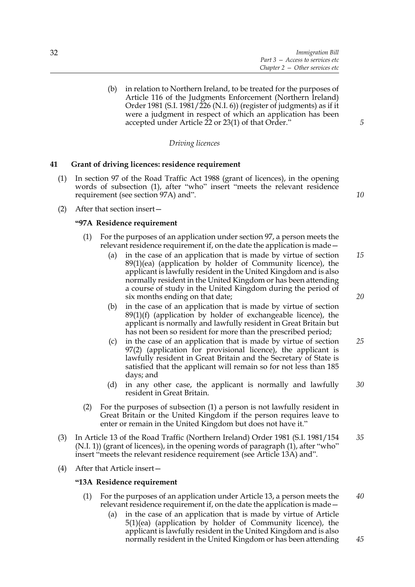(b) in relation to Northern Ireland, to be treated for the purposes of Article 116 of the Judgments Enforcement (Northern Ireland) Order 1981 (S.I. 1981/226 (N.I. 6)) (register of judgments) as if it were a judgment in respect of which an application has been accepted under Article 22 or 23(1) of that Order."

# *Driving licences*

### **41 Grant of driving licences: residence requirement**

- (1) In section 97 of the Road Traffic Act 1988 (grant of licences), in the opening words of subsection (1), after "who" insert "meets the relevant residence requirement (see section 97A) and".
- *10*

*5*

(2) After that section insert—

#### **"97A Residence requirement**

- (1) For the purposes of an application under section 97, a person meets the relevant residence requirement if, on the date the application is made—
	- (a) in the case of an application that is made by virtue of section 89(1)(ea) (application by holder of Community licence), the applicant is lawfully resident in the United Kingdom and is also normally resident in the United Kingdom or has been attending a course of study in the United Kingdom during the period of six months ending on that date; *15*
	- (b) in the case of an application that is made by virtue of section  $89(1)(f)$  (application by holder of exchangeable licence), the applicant is normally and lawfully resident in Great Britain but has not been so resident for more than the prescribed period;
	- (c) in the case of an application that is made by virtue of section 97(2) (application for provisional licence), the applicant is lawfully resident in Great Britain and the Secretary of State is satisfied that the applicant will remain so for not less than 185 days; and *25*
	- (d) in any other case, the applicant is normally and lawfully resident in Great Britain. *30*
- (2) For the purposes of subsection (1) a person is not lawfully resident in Great Britain or the United Kingdom if the person requires leave to enter or remain in the United Kingdom but does not have it."
- (3) In Article 13 of the Road Traffic (Northern Ireland) Order 1981 (S.I. 1981/154 (N.I. 1)) (grant of licences), in the opening words of paragraph (1), after "who" insert "meets the relevant residence requirement (see Article 13A) and". *35*
- (4) After that Article insert—

#### **"13A Residence requirement**

- (1) For the purposes of an application under Article 13, a person meets the relevant residence requirement if, on the date the application is made— *40*
	- (a) in the case of an application that is made by virtue of Article 5(1)(ea) (application by holder of Community licence), the applicant is lawfully resident in the United Kingdom and is also normally resident in the United Kingdom or has been attending

*20*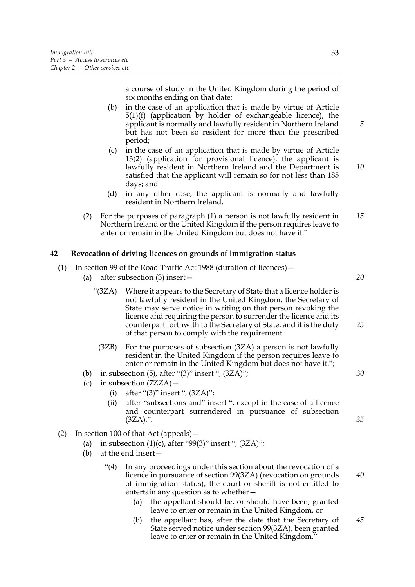a course of study in the United Kingdom during the period of six months ending on that date;

- (b) in the case of an application that is made by virtue of Article 5(1)(f) (application by holder of exchangeable licence), the applicant is normally and lawfully resident in Northern Ireland but has not been so resident for more than the prescribed period;
- (c) in the case of an application that is made by virtue of Article 13(2) (application for provisional licence), the applicant is lawfully resident in Northern Ireland and the Department is satisfied that the applicant will remain so for not less than 185 days; and *10*
- (d) in any other case, the applicant is normally and lawfully resident in Northern Ireland.
- (2) For the purposes of paragraph (1) a person is not lawfully resident in Northern Ireland or the United Kingdom if the person requires leave to enter or remain in the United Kingdom but does not have it." *15*

### **42 Revocation of driving licences on grounds of immigration status**

(1) In section 99 of the Road Traffic Act 1988 (duration of licences)—

- (a) after subsection (3) insert—
	- "(3ZA) Where it appears to the Secretary of State that a licence holder is not lawfully resident in the United Kingdom, the Secretary of State may serve notice in writing on that person revoking the licence and requiring the person to surrender the licence and its counterpart forthwith to the Secretary of State, and it is the duty of that person to comply with the requirement. *25*
		- (3ZB) For the purposes of subsection (3ZA) a person is not lawfully resident in the United Kingdom if the person requires leave to enter or remain in the United Kingdom but does not have it.";
- (b) in subsection  $(5)$ , after " $(3)$ " insert ",  $(3ZA)$ ";
- (c) in subsection (7ZZA)—
	- (i) after " $(3)$ " insert ",  $(3ZA)$ ";
	- (ii) after "subsections and" insert ", except in the case of a licence and counterpart surrendered in pursuance of subsection  $(3ZA)$ ,".
- (2) In section 100 of that Act (appeals)—
	- (a) in subsection  $(1)(c)$ , after "99 $(3)$ " insert ",  $(3ZA)$ ";
	- (b) at the end insert—
		- "(4) In any proceedings under this section about the revocation of a licence in pursuance of section 99(3ZA) (revocation on grounds of immigration status), the court or sheriff is not entitled to entertain any question as to whether—
			- (a) the appellant should be, or should have been, granted leave to enter or remain in the United Kingdom, or
			- (b) the appellant has, after the date that the Secretary of State served notice under section 99(3ZA), been granted leave to enter or remain in the United Kingdom." *45*

*5*

*20*

*30*

*35*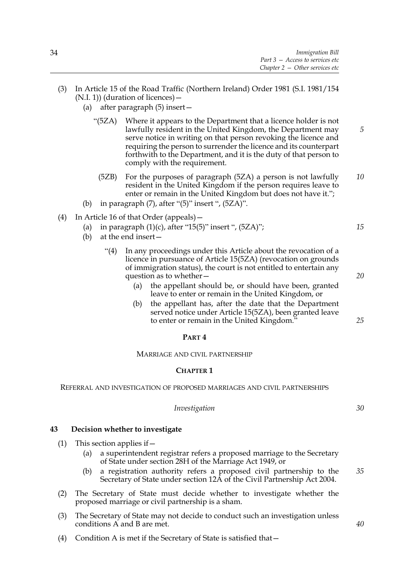- (3) In Article 15 of the Road Traffic (Northern Ireland) Order 1981 (S.I. 1981/154 (N.I. 1)) (duration of licences)—
	- (a) after paragraph (5) insert—
		- "(5ZA) Where it appears to the Department that a licence holder is not lawfully resident in the United Kingdom, the Department may serve notice in writing on that person revoking the licence and requiring the person to surrender the licence and its counterpart forthwith to the Department, and it is the duty of that person to comply with the requirement.
			- (5ZB) For the purposes of paragraph (5ZA) a person is not lawfully resident in the United Kingdom if the person requires leave to enter or remain in the United Kingdom but does not have it."; *10*
	- (b) in paragraph  $(7)$ , after " $(5)$ " insert ",  $(5ZA)$ ".
- (4) In Article 16 of that Order (appeals)—
	- (a) in paragraph  $(1)(c)$ , after "15(5)" insert ",  $(5ZA)$ ";
	- (b) at the end insert—
		- "(4) In any proceedings under this Article about the revocation of a licence in pursuance of Article 15(5ZA) (revocation on grounds of immigration status), the court is not entitled to entertain any question as to whether—
			- (a) the appellant should be, or should have been, granted leave to enter or remain in the United Kingdom, or
			- (b) the appellant has, after the date that the Department served notice under Article 15(5ZA), been granted leave to enter or remain in the United Kingdom.'

### **PART 4**

### MARRIAGE AND CIVIL PARTNERSHIP

#### **CHAPTER 1**

REFERRAL AND INVESTIGATION OF PROPOSED MARRIAGES AND CIVIL PARTNERSHIPS

### *Investigation*

### **43 Decision whether to investigate**

- (1) This section applies if  $-$ 
	- (a) a superintendent registrar refers a proposed marriage to the Secretary of State under section 28H of the Marriage Act 1949, or
	- (b) a registration authority refers a proposed civil partnership to the Secretary of State under section 12A of the Civil Partnership Act 2004. *35*
- (2) The Secretary of State must decide whether to investigate whether the proposed marriage or civil partnership is a sham.
- (3) The Secretary of State may not decide to conduct such an investigation unless conditions A and B are met.
- (4) Condition A is met if the Secretary of State is satisfied that—

*20*

*25*

*30*

*40*

*15*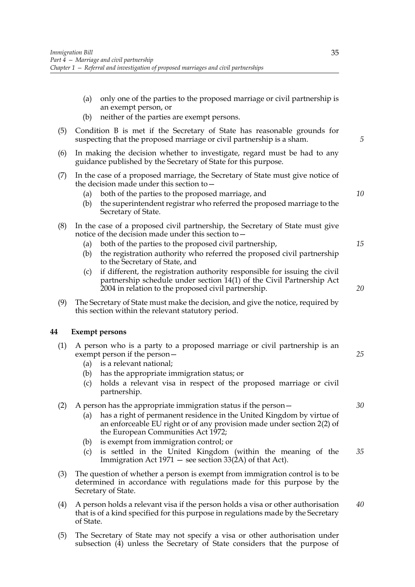- (a) only one of the parties to the proposed marriage or civil partnership is an exempt person, or
- (b) neither of the parties are exempt persons.
- (5) Condition B is met if the Secretary of State has reasonable grounds for suspecting that the proposed marriage or civil partnership is a sham.
- (6) In making the decision whether to investigate, regard must be had to any guidance published by the Secretary of State for this purpose.
- (7) In the case of a proposed marriage, the Secretary of State must give notice of the decision made under this section to—
	- (a) both of the parties to the proposed marriage, and
	- (b) the superintendent registrar who referred the proposed marriage to the Secretary of State.
- (8) In the case of a proposed civil partnership, the Secretary of State must give notice of the decision made under this section to—
	- (a) both of the parties to the proposed civil partnership,
	- (b) the registration authority who referred the proposed civil partnership to the Secretary of State, and
	- (c) if different, the registration authority responsible for issuing the civil partnership schedule under section 14(1) of the Civil Partnership Act 2004 in relation to the proposed civil partnership.
- (9) The Secretary of State must make the decision, and give the notice, required by this section within the relevant statutory period.

# **44 Exempt persons**

- (1) A person who is a party to a proposed marriage or civil partnership is an exempt person if the person—
	- (a) is a relevant national;
	- (b) has the appropriate immigration status; or
	- (c) holds a relevant visa in respect of the proposed marriage or civil partnership.
- (2) A person has the appropriate immigration status if the person—
	- (a) has a right of permanent residence in the United Kingdom by virtue of an enforceable EU right or of any provision made under section 2(2) of the European Communities Act 1972;
	- (b) is exempt from immigration control; or
	- (c) is settled in the United Kingdom (within the meaning of the Immigration Act 1971 — see section 33(2A) of that Act). *35*
- (3) The question of whether a person is exempt from immigration control is to be determined in accordance with regulations made for this purpose by the Secretary of State.
- (4) A person holds a relevant visa if the person holds a visa or other authorisation that is of a kind specified for this purpose in regulations made by the Secretary of State. *40*
- (5) The Secretary of State may not specify a visa or other authorisation under subsection (4) unless the Secretary of State considers that the purpose of

*5*

*10*

*15*

*20*

*30*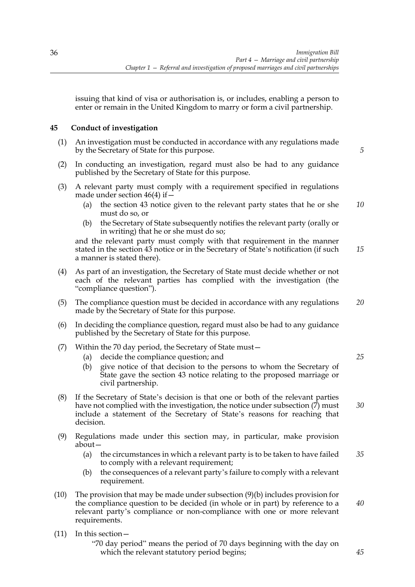issuing that kind of visa or authorisation is, or includes, enabling a person to enter or remain in the United Kingdom to marry or form a civil partnership.

# **45 Conduct of investigation**

(1) An investigation must be conducted in accordance with any regulations made by the Secretary of State for this purpose.

*5*

- (2) In conducting an investigation, regard must also be had to any guidance published by the Secretary of State for this purpose.
- (3) A relevant party must comply with a requirement specified in regulations made under section  $46(4)$  if  $-$ 
	- (a) the section 43 notice given to the relevant party states that he or she must do so, or *10*
	- (b) the Secretary of State subsequently notifies the relevant party (orally or in writing) that he or she must do so;

and the relevant party must comply with that requirement in the manner stated in the section 43 notice or in the Secretary of State's notification (if such a manner is stated there). *15*

- (4) As part of an investigation, the Secretary of State must decide whether or not each of the relevant parties has complied with the investigation (the "compliance question").
- (5) The compliance question must be decided in accordance with any regulations made by the Secretary of State for this purpose. *20*
- (6) In deciding the compliance question, regard must also be had to any guidance published by the Secretary of State for this purpose.
- (7) Within the 70 day period, the Secretary of State must—
	- (a) decide the compliance question; and
	- (b) give notice of that decision to the persons to whom the Secretary of State gave the section 43 notice relating to the proposed marriage or civil partnership.
- (8) If the Secretary of State's decision is that one or both of the relevant parties have not complied with the investigation, the notice under subsection (7) must include a statement of the Secretary of State's reasons for reaching that decision.
- (9) Regulations made under this section may, in particular, make provision about—
	- (a) the circumstances in which a relevant party is to be taken to have failed to comply with a relevant requirement; *35*
	- (b) the consequences of a relevant party's failure to comply with a relevant requirement.
- (10) The provision that may be made under subsection (9)(b) includes provision for the compliance question to be decided (in whole or in part) by reference to a relevant party's compliance or non-compliance with one or more relevant requirements. *40*
- (11) In this section—

"70 day period" means the period of 70 days beginning with the day on which the relevant statutory period begins;

*25*

*30*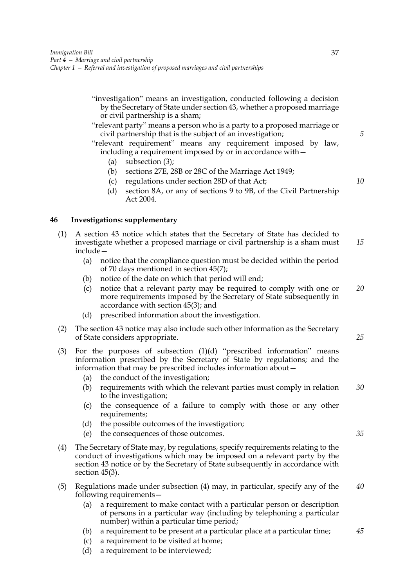- "investigation" means an investigation, conducted following a decision by the Secretary of State under section 43, whether a proposed marriage or civil partnership is a sham;
- "relevant party" means a person who is a party to a proposed marriage or civil partnership that is the subject of an investigation;

"relevant requirement" means any requirement imposed by law, including a requirement imposed by or in accordance with—

- (a) subsection (3);
- (b) sections 27E, 28B or 28C of the Marriage Act 1949;
- (c) regulations under section 28D of that Act;
- (d) section 8A, or any of sections 9 to 9B, of the Civil Partnership Act 2004.

# **46 Investigations: supplementary**

- (1) A section 43 notice which states that the Secretary of State has decided to investigate whether a proposed marriage or civil partnership is a sham must include— *15*
	- (a) notice that the compliance question must be decided within the period of 70 days mentioned in section 45(7);
	- (b) notice of the date on which that period will end;
	- (c) notice that a relevant party may be required to comply with one or more requirements imposed by the Secretary of State subsequently in accordance with section 45(3); and *20*
	- (d) prescribed information about the investigation.
- (2) The section 43 notice may also include such other information as the Secretary of State considers appropriate.
- (3) For the purposes of subsection  $(1)(d)$  "prescribed information" means information prescribed by the Secretary of State by regulations; and the information that may be prescribed includes information about—
	- (a) the conduct of the investigation;
	- (b) requirements with which the relevant parties must comply in relation to the investigation; *30*
	- (c) the consequence of a failure to comply with those or any other requirements;
	- (d) the possible outcomes of the investigation;
	- (e) the consequences of those outcomes.
- (4) The Secretary of State may, by regulations, specify requirements relating to the conduct of investigations which may be imposed on a relevant party by the section 43 notice or by the Secretary of State subsequently in accordance with section 45(3).
- (5) Regulations made under subsection (4) may, in particular, specify any of the following requirements— *40*
	- (a) a requirement to make contact with a particular person or description of persons in a particular way (including by telephoning a particular number) within a particular time period;
	- (b) a requirement to be present at a particular place at a particular time;
	- (c) a requirement to be visited at home;
	- (d) a requirement to be interviewed;

*5*

*10*

*35*

*25*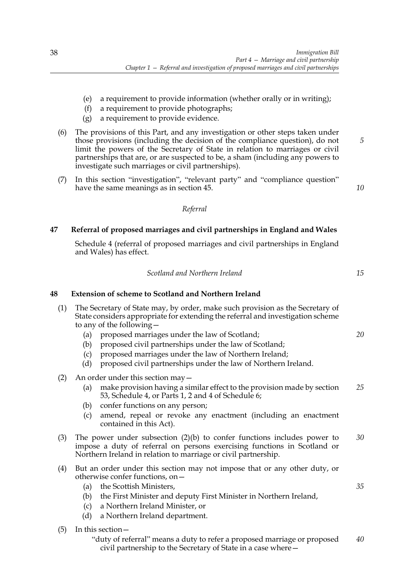- (e) a requirement to provide information (whether orally or in writing);
- (f) a requirement to provide photographs;
- (g) a requirement to provide evidence.
- (6) The provisions of this Part, and any investigation or other steps taken under those provisions (including the decision of the compliance question), do not limit the powers of the Secretary of State in relation to marriages or civil partnerships that are, or are suspected to be, a sham (including any powers to investigate such marriages or civil partnerships).
- (7) In this section "investigation", "relevant party" and "compliance question" have the same meanings as in section 45.

*10*

*15*

*20*

*35*

*5*

# *Referral*

# **47 Referral of proposed marriages and civil partnerships in England and Wales**

Schedule 4 (referral of proposed marriages and civil partnerships in England and Wales) has effect.

| Scotland and Northern Ireland |
|-------------------------------|
|-------------------------------|

# **48 Extension of scheme to Scotland and Northern Ireland**

- (1) The Secretary of State may, by order, make such provision as the Secretary of State considers appropriate for extending the referral and investigation scheme to any of the following—
	- (a) proposed marriages under the law of Scotland;
	- (b) proposed civil partnerships under the law of Scotland;
	- (c) proposed marriages under the law of Northern Ireland;
	- (d) proposed civil partnerships under the law of Northern Ireland.
- (2) An order under this section may—
	- (a) make provision having a similar effect to the provision made by section 53, Schedule 4, or Parts 1, 2 and 4 of Schedule 6; *25*
	- (b) confer functions on any person;
	- (c) amend, repeal or revoke any enactment (including an enactment contained in this Act).
- (3) The power under subsection (2)(b) to confer functions includes power to impose a duty of referral on persons exercising functions in Scotland or Northern Ireland in relation to marriage or civil partnership. *30*
- (4) But an order under this section may not impose that or any other duty, or otherwise confer functions, on—
	- (a) the Scottish Ministers,
	- (b) the First Minister and deputy First Minister in Northern Ireland,
	- (c) a Northern Ireland Minister, or
	- (d) a Northern Ireland department.
- (5) In this section—
	- "duty of referral" means a duty to refer a proposed marriage or proposed civil partnership to the Secretary of State in a case where— *40*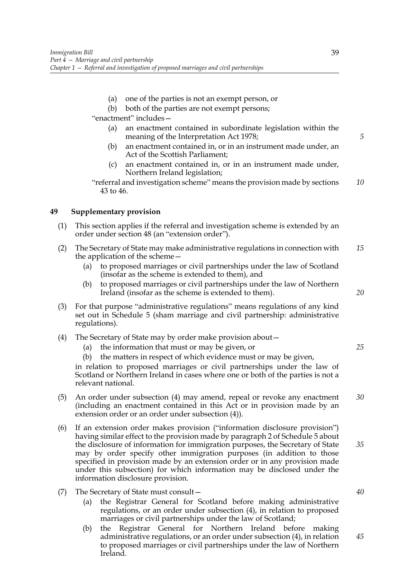- (a) one of the parties is not an exempt person, or
- (b) both of the parties are not exempt persons;

"enactment" includes—

- (a) an enactment contained in subordinate legislation within the meaning of the Interpretation Act 1978;
- (b) an enactment contained in, or in an instrument made under, an Act of the Scottish Parliament;
- (c) an enactment contained in, or in an instrument made under, Northern Ireland legislation;
- "referral and investigation scheme" means the provision made by sections 43 to 46. *10*

# **49 Supplementary provision**

- (1) This section applies if the referral and investigation scheme is extended by an order under section 48 (an "extension order").
- (2) The Secretary of State may make administrative regulations in connection with the application of the scheme— *15*
	- (a) to proposed marriages or civil partnerships under the law of Scotland (insofar as the scheme is extended to them), and
	- (b) to proposed marriages or civil partnerships under the law of Northern Ireland (insofar as the scheme is extended to them).
- (3) For that purpose "administrative regulations" means regulations of any kind set out in Schedule 5 (sham marriage and civil partnership: administrative regulations).
- (4) The Secretary of State may by order make provision about—
	- (a) the information that must or may be given, or
	- (b) the matters in respect of which evidence must or may be given,

in relation to proposed marriages or civil partnerships under the law of Scotland or Northern Ireland in cases where one or both of the parties is not a relevant national.

- (5) An order under subsection (4) may amend, repeal or revoke any enactment (including an enactment contained in this Act or in provision made by an extension order or an order under subsection (4)). *30*
- (6) If an extension order makes provision ("information disclosure provision") having similar effect to the provision made by paragraph 2 of Schedule 5 about the disclosure of information for immigration purposes, the Secretary of State may by order specify other immigration purposes (in addition to those specified in provision made by an extension order or in any provision made under this subsection) for which information may be disclosed under the information disclosure provision. *35*
- (7) The Secretary of State must consult—
	- (a) the Registrar General for Scotland before making administrative regulations, or an order under subsection (4), in relation to proposed marriages or civil partnerships under the law of Scotland;
	- (b) the Registrar General for Northern Ireland before making administrative regulations, or an order under subsection (4), in relation to proposed marriages or civil partnerships under the law of Northern Ireland.

*5*

*20*

*25*

*40*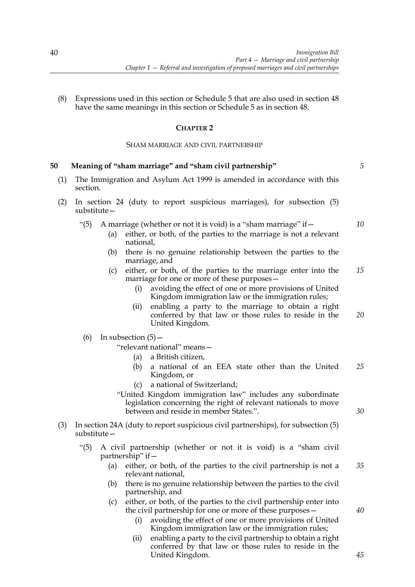(8) Expressions used in this section or Schedule 5 that are also used in section 48 have the same meanings in this section or Schedule 5 as in section 48.

# **CHAPTER 2**

### SHAM MARRIAGE AND CIVIL PARTNERSHIP

# **50 Meaning of "sham marriage" and "sham civil partnership"** (1) The Immigration and Asylum Act 1999 is amended in accordance with this section. (2) In section 24 (duty to report suspicious marriages), for subsection (5) substitute— "(5) A marriage (whether or not it is void) is a "sham marriage" if— (a) either, or both, of the parties to the marriage is not a relevant national, (b) there is no genuine relationship between the parties to the marriage, and (c) either, or both, of the parties to the marriage enter into the marriage for one or more of these purposes avoiding the effect of one or more provisions of United Kingdom immigration law or the immigration rules; (ii) enabling a party to the marriage to obtain a right conferred by that law or those rules to reside in the United Kingdom. (6) In subsection  $(5)$  -"relevant national" means— (a) a British citizen, (b) a national of an EEA state other than the United Kingdom, or (c) a national of Switzerland; "United Kingdom immigration law" includes any subordinate legislation concerning the right of relevant nationals to move between and reside in member States.". (3) In section 24A (duty to report suspicious civil partnerships), for subsection (5) substitute— "(5) A civil partnership (whether or not it is void) is a "sham civil partnership" if— (a) either, or both, of the parties to the civil partnership is not a relevant national, (b) there is no genuine relationship between the parties to the civil partnership, and (c) either, or both, of the parties to the civil partnership enter into the civil partnership for one or more of these purposes— *15 20 25 30 35 40*

- (i) avoiding the effect of one or more provisions of United Kingdom immigration law or the immigration rules;
- (ii) enabling a party to the civil partnership to obtain a right conferred by that law or those rules to reside in the United Kingdom.

*5*

*10*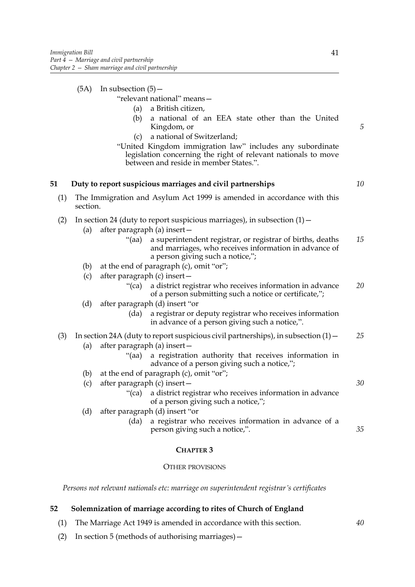$(5A)$  In subsection  $(5)$  -

"relevant national" means—

- (a) a British citizen,
- (b) a national of an EEA state other than the United Kingdom, or
- (c) a national of Switzerland;
- "United Kingdom immigration law" includes any subordinate legislation concerning the right of relevant nationals to move between and reside in member States.".

# **51 Duty to report suspicious marriages and civil partnerships**

(1) The Immigration and Asylum Act 1999 is amended in accordance with this section.

# (2) In section 24 (duty to report suspicious marriages), in subsection  $(1)$  –

- (a) after paragraph (a) insert—
	- "(aa) a superintendent registrar, or registrar of births, deaths and marriages, who receives information in advance of a person giving such a notice,"; *15*
- (b) at the end of paragraph (c), omit "or";
- (c) after paragraph (c) insert—
	- "(ca) a district registrar who receives information in advance of a person submitting such a notice or certificate,"; *20*
- (d) after paragraph (d) insert "or
	- (da) a registrar or deputy registrar who receives information in advance of a person giving such a notice,".

#### (3) In section 24A (duty to report suspicious civil partnerships), in subsection  $(1)$  – *25*

- (a) after paragraph (a) insert—
	- "(aa) a registration authority that receives information in advance of a person giving such a notice,";
- (b) at the end of paragraph (c), omit "or";
- (c) after paragraph (c) insert—
	- "(ca) a district registrar who receives information in advance of a person giving such a notice,";
- (d) after paragraph (d) insert "or
	- (da) a registrar who receives information in advance of a person giving such a notice,".

### **CHAPTER 3**

### OTHER PROVISIONS

*Persons not relevant nationals etc: marriage on superintendent registrar's certificates*

# **52 Solemnization of marriage according to rites of Church of England**

- (1) The Marriage Act 1949 is amended in accordance with this section.
- (2) In section 5 (methods of authorising marriages)—

*5*

*10*

*30*

*35*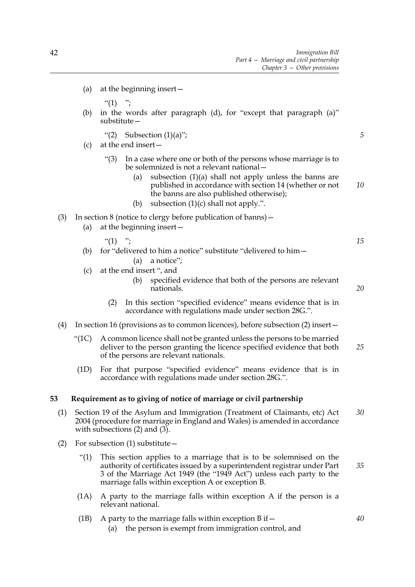(a) at the beginning insert—

 $"(1)$  ";

- (b) in the words after paragraph (d), for "except that paragraph (a)" substitute—
	- "(2) Subsection  $(1)(a)$ ";
- (c) at the end insert—
	- "(3) In a case where one or both of the persons whose marriage is to be solemnized is not a relevant national—
		- (a) subsection  $(1)(a)$  shall not apply unless the banns are published in accordance with section 14 (whether or not the banns are also published otherwise); *10*
		- (b) subsection  $(1)(c)$  shall not apply.".
- (3) In section 8 (notice to clergy before publication of banns)—
	- (a) at the beginning insert—
		- "(1)  $"$ :
	- (b) for "delivered to him a notice" substitute "delivered to him— (a) a notice";
	- (c) at the end insert ", and
		- (b) specified evidence that both of the persons are relevant nationals.
		- (2) In this section "specified evidence" means evidence that is in accordance with regulations made under section 28G.".
- (4) In section 16 (provisions as to common licences), before subsection (2) insert—
	- "(1C) A common licence shall not be granted unless the persons to be married deliver to the person granting the licence specified evidence that both of the persons are relevant nationals. *25*
	- (1D) For that purpose "specified evidence" means evidence that is in accordance with regulations made under section 28G.".

### **53 Requirement as to giving of notice of marriage or civil partnership**

- (1) Section 19 of the Asylum and Immigration (Treatment of Claimants, etc) Act 2004 (procedure for marriage in England and Wales) is amended in accordance with subsections  $(2)$  and  $(3)$ . *30*
- (2) For subsection (1) substitute—
	- "(1) This section applies to a marriage that is to be solemnised on the authority of certificates issued by a superintendent registrar under Part 3 of the Marriage Act 1949 (the "1949 Act") unless each party to the marriage falls within exception A or exception B. *35*
	- (1A) A party to the marriage falls within exception A if the person is a relevant national.
	- (1B) A party to the marriage falls within exception B if  $-$ 
		- (a) the person is exempt from immigration control, and

*15*

*20*

*40*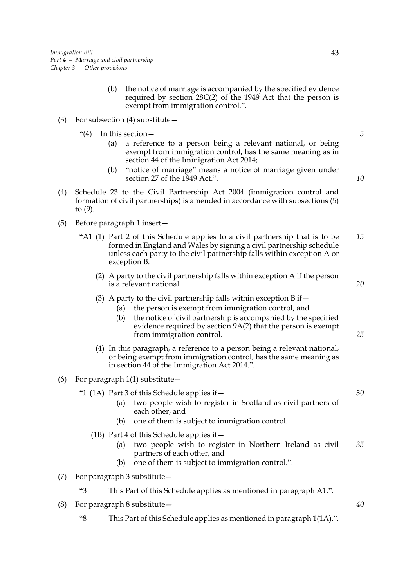- (b) the notice of marriage is accompanied by the specified evidence required by section 28C(2) of the 1949 Act that the person is exempt from immigration control.".
- (3) For subsection (4) substitute—
	- "(4) In this section  $-$ 
		- (a) a reference to a person being a relevant national, or being exempt from immigration control, has the same meaning as in section 44 of the Immigration Act 2014;
		- (b) "notice of marriage" means a notice of marriage given under section 27 of the 1949 Act.".
- *10*

*20*

*25*

*5*

- (4) Schedule 23 to the Civil Partnership Act 2004 (immigration control and formation of civil partnerships) is amended in accordance with subsections (5) to (9).
- (5) Before paragraph 1 insert—
	- "A1 (1) Part 2 of this Schedule applies to a civil partnership that is to be formed in England and Wales by signing a civil partnership schedule unless each party to the civil partnership falls within exception A or exception B. *15*
		- (2) A party to the civil partnership falls within exception A if the person is a relevant national.
		- (3) A party to the civil partnership falls within exception  $\overline{B}$  if  $-$ 
			- (a) the person is exempt from immigration control, and
			- (b) the notice of civil partnership is accompanied by the specified evidence required by section 9A(2) that the person is exempt from immigration control.
		- (4) In this paragraph, a reference to a person being a relevant national, or being exempt from immigration control, has the same meaning as in section 44 of the Immigration Act 2014.".
- (6) For paragraph  $1(1)$  substitute
	- "1 (1A) Part 3 of this Schedule applies if—
		- (a) two people wish to register in Scotland as civil partners of each other, and
		- (b) one of them is subject to immigration control.
		- (1B) Part 4 of this Schedule applies if—
			- (a) two people wish to register in Northern Ireland as civil partners of each other, and *35*
			- (b) one of them is subject to immigration control.".
- (7) For paragraph 3 substitute—
	- "3 This Part of this Schedule applies as mentioned in paragraph A1.".
- (8) For paragraph 8 substitute—
	- "8 This Part of this Schedule applies as mentioned in paragraph 1(1A).".

*30*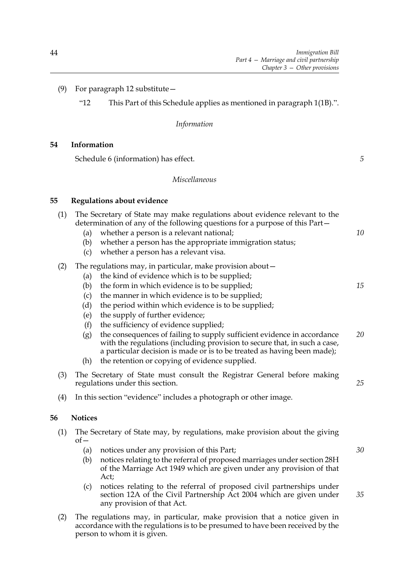*5*

*30*

*35*

# (9) For paragraph 12 substitute—

"12 This Part of this Schedule applies as mentioned in paragraph 1(1B).".

# *Information*

# **54 Information**

Schedule 6 (information) has effect.

# *Miscellaneous*

# **55 Regulations about evidence**

| (1) | (a)<br>(b)<br>(c)        | The Secretary of State may make regulations about evidence relevant to the<br>determination of any of the following questions for a purpose of this Part-<br>whether a person is a relevant national;<br>whether a person has the appropriate immigration status;<br>whether a person has a relevant visa.                                                    | 10 |
|-----|--------------------------|---------------------------------------------------------------------------------------------------------------------------------------------------------------------------------------------------------------------------------------------------------------------------------------------------------------------------------------------------------------|----|
| (2) | (a)<br>(b)<br>(c)<br>(d) | The regulations may, in particular, make provision about –<br>the kind of evidence which is to be supplied;<br>the form in which evidence is to be supplied;<br>the manner in which evidence is to be supplied;<br>the period within which evidence is to be supplied;                                                                                        | 15 |
|     | (e)<br>(f)<br>(g)<br>(h) | the supply of further evidence;<br>the sufficiency of evidence supplied;<br>the consequences of failing to supply sufficient evidence in accordance<br>with the regulations (including provision to secure that, in such a case,<br>a particular decision is made or is to be treated as having been made);<br>the retention or copying of evidence supplied. | 20 |
| (3) |                          | The Secretary of State must consult the Registrar General before making<br>regulations under this section.                                                                                                                                                                                                                                                    | 25 |
| (4) |                          | In this section "evidence" includes a photograph or other image.                                                                                                                                                                                                                                                                                              |    |
|     | <b>Notices</b>           |                                                                                                                                                                                                                                                                                                                                                               |    |
| (1) |                          | The Secretary of State may, by regulations, make provision about the giving                                                                                                                                                                                                                                                                                   |    |

 $of$ 

- (a) notices under any provision of this Part;
- (b) notices relating to the referral of proposed marriages under section 28H of the Marriage Act 1949 which are given under any provision of that Act;
- (c) notices relating to the referral of proposed civil partnerships under section 12A of the Civil Partnership Act 2004 which are given under any provision of that Act.
- (2) The regulations may, in particular, make provision that a notice given in accordance with the regulations is to be presumed to have been received by the person to whom it is given.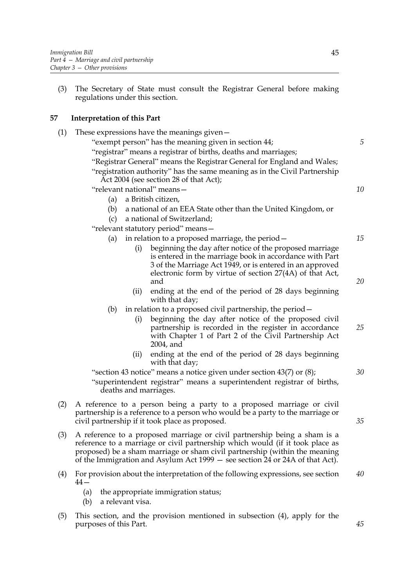(3) The Secretary of State must consult the Registrar General before making regulations under this section.

# **57 Interpretation of this Part**

- (1) These expressions have the meanings given— "exempt person" has the meaning given in section 44; "registrar" means a registrar of births, deaths and marriages; "Registrar General" means the Registrar General for England and Wales; "registration authority" has the same meaning as in the Civil Partnership Act 2004 (see section 28 of that Act); "relevant national" means— (a) a British citizen, (b) a national of an EEA State other than the United Kingdom, or (c) a national of Switzerland; "relevant statutory period" means— (a) in relation to a proposed marriage, the period— (i) beginning the day after notice of the proposed marriage is entered in the marriage book in accordance with Part 3 of the Marriage Act 1949, or is entered in an approved electronic form by virtue of section 27(4A) of that Act, and (ii) ending at the end of the period of 28 days beginning with that day; (b) in relation to a proposed civil partnership, the period— (i) beginning the day after notice of the proposed civil partnership is recorded in the register in accordance with Chapter 1 of Part 2 of the Civil Partnership Act 2004, and (ii) ending at the end of the period of 28 days beginning with that day; "section 43 notice" means a notice given under section 43(7) or (8); "superintendent registrar" means a superintendent registrar of births, deaths and marriages. (2) A reference to a person being a party to a proposed marriage or civil partnership is a reference to a person who would be a party to the marriage or civil partnership if it took place as proposed. (3) A reference to a proposed marriage or civil partnership being a sham is a reference to a marriage or civil partnership which would (if it took place as proposed) be a sham marriage or sham civil partnership (within the meaning of the Immigration and Asylum Act 1999 — see section 24 or 24A of that Act). (4) For provision about the interpretation of the following expressions, see section  $44-$ (a) the appropriate immigration status; (b) a relevant visa. *5 10 15 20 25 30 35 40*
- (5) This section, and the provision mentioned in subsection (4), apply for the purposes of this Part.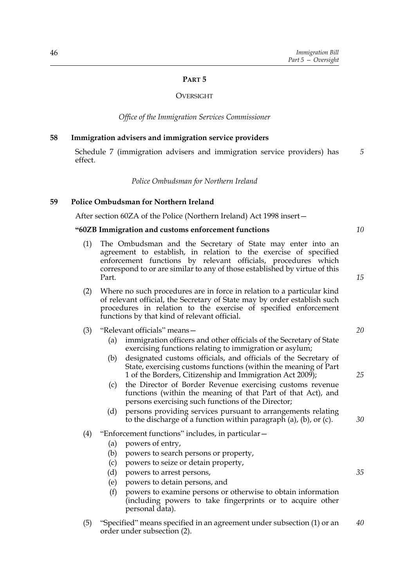### **PART 5**

### **OVERSIGHT**

*Office of the Immigration Services Commissioner*

### **58 Immigration advisers and immigration service providers**

Schedule 7 (immigration advisers and immigration service providers) has effect. *5*

*Police Ombudsman for Northern Ireland*

### **59 Police Ombudsman for Northern Ireland**

After section 60ZA of the Police (Northern Ireland) Act 1998 insert—

### **"60ZB Immigration and customs enforcement functions**

- (1) The Ombudsman and the Secretary of State may enter into an agreement to establish, in relation to the exercise of specified enforcement functions by relevant officials, procedures which correspond to or are similar to any of those established by virtue of this Part.
- (2) Where no such procedures are in force in relation to a particular kind of relevant official, the Secretary of State may by order establish such procedures in relation to the exercise of specified enforcement functions by that kind of relevant official.
- (3) "Relevant officials" means—
	- (a) immigration officers and other officials of the Secretary of State exercising functions relating to immigration or asylum;
	- (b) designated customs officials, and officials of the Secretary of State, exercising customs functions (within the meaning of Part 1 of the Borders, Citizenship and Immigration Act 2009);
	- (c) the Director of Border Revenue exercising customs revenue functions (within the meaning of that Part of that Act), and persons exercising such functions of the Director;
	- (d) persons providing services pursuant to arrangements relating to the discharge of a function within paragraph (a), (b), or (c).

### (4) "Enforcement functions" includes, in particular—

- (a) powers of entry,
- (b) powers to search persons or property,
- (c) powers to seize or detain property,
- (d) powers to arrest persons,
- (e) powers to detain persons, and
- (f) powers to examine persons or otherwise to obtain information (including powers to take fingerprints or to acquire other personal data).
- (5) "Specified" means specified in an agreement under subsection (1) or an order under subsection (2). *40*

*10*

*15*

*20*

*25*

*30*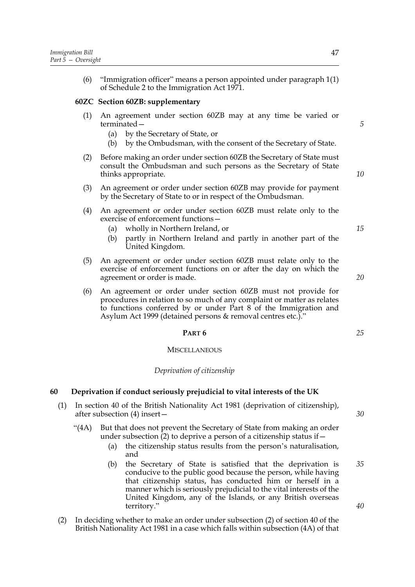(6) "Immigration officer" means a person appointed under paragraph 1(1) of Schedule 2 to the Immigration Act 1971.

# **60ZC Section 60ZB: supplementary**

- (1) An agreement under section 60ZB may at any time be varied or terminated—
	- (a) by the Secretary of State, or
	- (b) by the Ombudsman, with the consent of the Secretary of State.
- (2) Before making an order under section 60ZB the Secretary of State must consult the Ombudsman and such persons as the Secretary of State thinks appropriate.
- (3) An agreement or order under section 60ZB may provide for payment by the Secretary of State to or in respect of the Ombudsman.
- (4) An agreement or order under section 60ZB must relate only to the exercise of enforcement functions
	- wholly in Northern Ireland, or
	- (b) partly in Northern Ireland and partly in another part of the United Kingdom.
- (5) An agreement or order under section 60ZB must relate only to the exercise of enforcement functions on or after the day on which the agreement or order is made.
- (6) An agreement or order under section 60ZB must not provide for procedures in relation to so much of any complaint or matter as relates to functions conferred by or under Part 8 of the Immigration and Asylum Act 1999 (detained persons & removal centres etc.)."

### **PART 6**

#### **MISCELLANEOUS**

### *Deprivation of citizenship*

### **60 Deprivation if conduct seriously prejudicial to vital interests of the UK**

- (1) In section 40 of the British Nationality Act 1981 (deprivation of citizenship), after subsection (4) insert—
	- "(4A) But that does not prevent the Secretary of State from making an order under subsection (2) to deprive a person of a citizenship status if—
		- (a) the citizenship status results from the person's naturalisation, and
		- (b) the Secretary of State is satisfied that the deprivation is conducive to the public good because the person, while having that citizenship status, has conducted him or herself in a manner which is seriously prejudicial to the vital interests of the United Kingdom, any of the Islands, or any British overseas territory."
- (2) In deciding whether to make an order under subsection (2) of section 40 of the British Nationality Act 1981 in a case which falls within subsection (4A) of that

*30*

*35*

*40*

*15*

*10*

*5*

*20*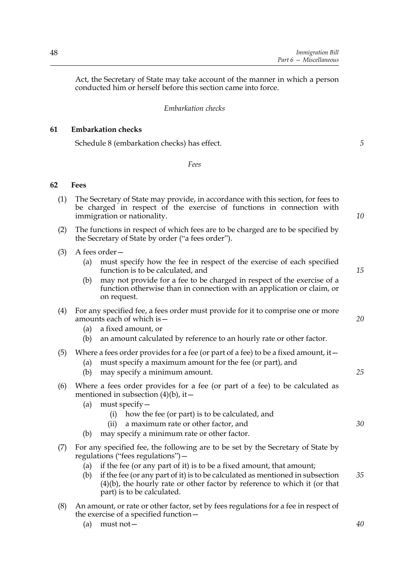*5*

Act, the Secretary of State may take account of the manner in which a person conducted him or herself before this section came into force.

# *Embarkation checks*

# **61 Embarkation checks**

Schedule 8 (embarkation checks) has effect.

*Fees*

# **62 Fees**

| (1) | The Secretary of State may provide, in accordance with this section, for fees to<br>be charged in respect of the exercise of functions in connection with<br>immigration or nationality.                                                                                                                                                                                                                   |    |  |
|-----|------------------------------------------------------------------------------------------------------------------------------------------------------------------------------------------------------------------------------------------------------------------------------------------------------------------------------------------------------------------------------------------------------------|----|--|
| (2) | The functions in respect of which fees are to be charged are to be specified by<br>the Secretary of State by order ("a fees order").                                                                                                                                                                                                                                                                       |    |  |
| (3) | A fees order-<br>must specify how the fee in respect of the exercise of each specified<br>(a)<br>function is to be calculated, and<br>may not provide for a fee to be charged in respect of the exercise of a<br>(b)<br>function otherwise than in connection with an application or claim, or<br>on request.                                                                                              | 15 |  |
| (4) | For any specified fee, a fees order must provide for it to comprise one or more<br>amounts each of which is -<br>a fixed amount, or<br>(a)<br>an amount calculated by reference to an hourly rate or other factor.<br>(b)                                                                                                                                                                                  | 20 |  |
| (5) | Where a fees order provides for a fee (or part of a fee) to be a fixed amount, it $-$<br>must specify a maximum amount for the fee (or part), and<br>(a)<br>may specify a minimum amount.<br>(b)                                                                                                                                                                                                           | 25 |  |
| (6) | Where a fees order provides for a fee (or part of a fee) to be calculated as<br>mentioned in subsection $(4)(b)$ , it –<br>must specify -<br>(a)<br>how the fee (or part) is to be calculated, and<br>(i)<br>a maximum rate or other factor, and<br>(ii)<br>may specify a minimum rate or other factor.<br>(b)                                                                                             | 30 |  |
| (7) | For any specified fee, the following are to be set by the Secretary of State by<br>regulations ("fees regulations") -<br>if the fee (or any part of it) is to be a fixed amount, that amount;<br>(a)<br>if the fee (or any part of it) is to be calculated as mentioned in subsection<br>(b)<br>$(4)(b)$ , the hourly rate or other factor by reference to which it (or that<br>part) is to be calculated. | 35 |  |
| (8) | An amount, or rate or other factor, set by fees regulations for a fee in respect of<br>the exercise of a specified function -<br>$must not -$<br>(a)                                                                                                                                                                                                                                                       | 40 |  |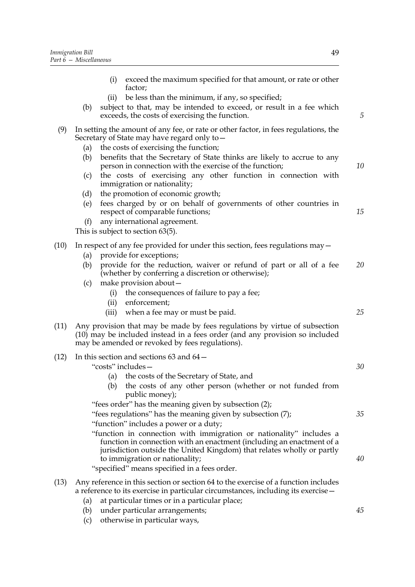- (i) exceed the maximum specified for that amount, or rate or other factor; (ii) be less than the minimum, if any, so specified; (b) subject to that, may be intended to exceed, or result in a fee which exceeds, the costs of exercising the function. (9) In setting the amount of any fee, or rate or other factor, in fees regulations, the Secretary of State may have regard only to— (a) the costs of exercising the function; (b) benefits that the Secretary of State thinks are likely to accrue to any person in connection with the exercise of the function; (c) the costs of exercising any other function in connection with immigration or nationality; (d) the promotion of economic growth; (e) fees charged by or on behalf of governments of other countries in respect of comparable functions; (f) any international agreement. This is subject to section 63(5). (10) In respect of any fee provided for under this section, fees regulations may— (a) provide for exceptions; (b) provide for the reduction, waiver or refund of part or all of a fee (whether by conferring a discretion or otherwise); (c) make provision about— (i) the consequences of failure to pay a fee; (ii) enforcement; (iii) when a fee may or must be paid. (11) Any provision that may be made by fees regulations by virtue of subsection (10) may be included instead in a fees order (and any provision so included may be amended or revoked by fees regulations). (12) In this section and sections 63 and 64— "costs" includes— (a) the costs of the Secretary of State, and (b) the costs of any other person (whether or not funded from *5 10 15 20 25 30*
	- public money);
	- "fees order" has the meaning given by subsection (2);
	- "fees regulations" has the meaning given by subsection (7); "function" includes a power or a duty; "function in connection with immigration or nationality" includes a
	- function in connection with an enactment (including an enactment of a jurisdiction outside the United Kingdom) that relates wholly or partly to immigration or nationality;

"specified" means specified in a fees order.

- (13) Any reference in this section or section 64 to the exercise of a function includes a reference to its exercise in particular circumstances, including its exercise—
	- (a) at particular times or in a particular place;
	- (b) under particular arrangements;
	- (c) otherwise in particular ways,

*45*

*35*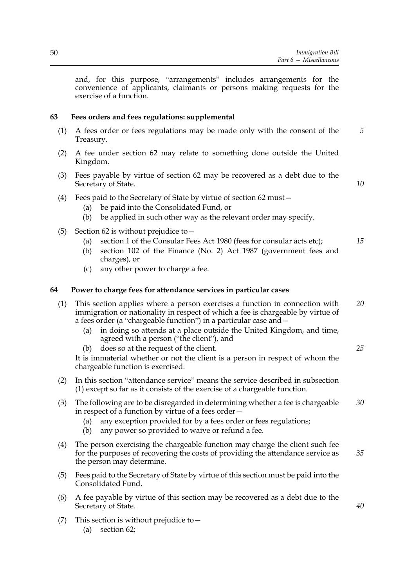and, for this purpose, "arrangements" includes arrangements for the convenience of applicants, claimants or persons making requests for the exercise of a function.

# **63 Fees orders and fees regulations: supplemental**

- (1) A fees order or fees regulations may be made only with the consent of the Treasury. *5*
- (2) A fee under section 62 may relate to something done outside the United Kingdom.
- (3) Fees payable by virtue of section 62 may be recovered as a debt due to the Secretary of State.
- (4) Fees paid to the Secretary of State by virtue of section 62 must—
	- (a) be paid into the Consolidated Fund, or
	- (b) be applied in such other way as the relevant order may specify.
- (5) Section 62 is without prejudice to—
	- (a) section 1 of the Consular Fees Act 1980 (fees for consular acts etc); *15*
	- (b) section 102 of the Finance (No. 2) Act 1987 (government fees and charges), or
	- (c) any other power to charge a fee.

### **64 Power to charge fees for attendance services in particular cases**

| (1) This section applies where a person exercises a function in connection with | 20 |
|---------------------------------------------------------------------------------|----|
| immigration or nationality in respect of which a fee is chargeable by virtue of |    |
| a fees order (a "chargeable function") in a particular case and –               |    |

- (a) in doing so attends at a place outside the United Kingdom, and time, agreed with a person ("the client"), and
- (b) does so at the request of the client.

It is immaterial whether or not the client is a person in respect of whom the chargeable function is exercised.

- (2) In this section "attendance service" means the service described in subsection (1) except so far as it consists of the exercise of a chargeable function.
- (3) The following are to be disregarded in determining whether a fee is chargeable in respect of a function by virtue of a fees order— *30*
	- (a) any exception provided for by a fees order or fees regulations;
	- (b) any power so provided to waive or refund a fee.
- (4) The person exercising the chargeable function may charge the client such fee for the purposes of recovering the costs of providing the attendance service as the person may determine. *35*
- (5) Fees paid to the Secretary of State by virtue of this section must be paid into the Consolidated Fund.
- (6) A fee payable by virtue of this section may be recovered as a debt due to the Secretary of State.
- (7) This section is without prejudice to—
	- (a) section 62;

*25*

*40*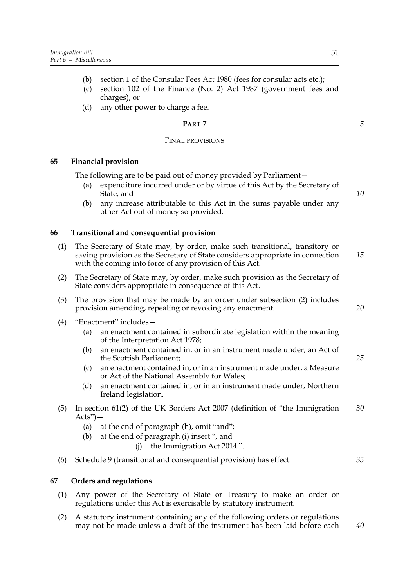- (b) section 1 of the Consular Fees Act 1980 (fees for consular acts etc.);
- (c) section 102 of the Finance (No. 2) Act 1987 (government fees and charges), or
- (d) any other power to charge a fee.

# **PART 7**

### FINAL PROVISIONS

# **65 Financial provision**

The following are to be paid out of money provided by Parliament—

- (a) expenditure incurred under or by virtue of this Act by the Secretary of State, and
- (b) any increase attributable to this Act in the sums payable under any other Act out of money so provided.

# **66 Transitional and consequential provision**

- (1) The Secretary of State may, by order, make such transitional, transitory or saving provision as the Secretary of State considers appropriate in connection with the coming into force of any provision of this Act. *15*
- (2) The Secretary of State may, by order, make such provision as the Secretary of State considers appropriate in consequence of this Act.
- (3) The provision that may be made by an order under subsection (2) includes provision amending, repealing or revoking any enactment.
- (4) "Enactment" includes—
	- (a) an enactment contained in subordinate legislation within the meaning of the Interpretation Act 1978;
	- (b) an enactment contained in, or in an instrument made under, an Act of the Scottish Parliament;
	- (c) an enactment contained in, or in an instrument made under, a Measure or Act of the National Assembly for Wales;
	- (d) an enactment contained in, or in an instrument made under, Northern Ireland legislation.
- (5) In section 61(2) of the UK Borders Act 2007 (definition of "the Immigration  $Acts$ " $-$ *30*
	- (a) at the end of paragraph (h), omit "and";
	- (b) at the end of paragraph (i) insert ", and
		- (j) the Immigration Act 2014.".
- (6) Schedule 9 (transitional and consequential provision) has effect.

# *35*

*40*

# **67 Orders and regulations**

- (1) Any power of the Secretary of State or Treasury to make an order or regulations under this Act is exercisable by statutory instrument.
- (2) A statutory instrument containing any of the following orders or regulations may not be made unless a draft of the instrument has been laid before each

*5*

*10*

*20*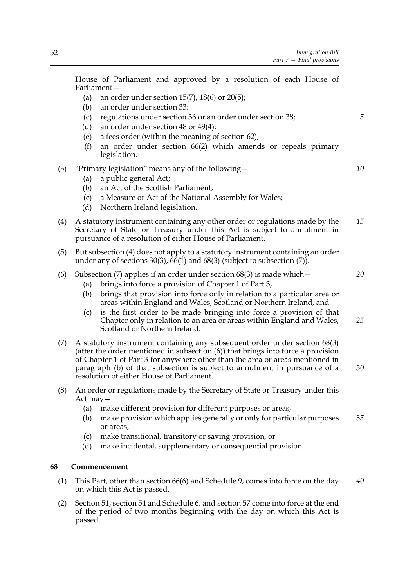House of Parliament and approved by a resolution of each House of Parliament—

- (a) an order under section  $15(7)$ ,  $18(6)$  or  $20(5)$ ;
- (b) an order under section 33;
- (c) regulations under section 36 or an order under section 38;
- (d) an order under section 48 or 49(4);
- (e) a fees order (within the meaning of section 62);
- (f) an order under section 66(2) which amends or repeals primary legislation.
- (3) "Primary legislation" means any of the following—
	- (a) a public general Act;
	- (b) an Act of the Scottish Parliament;
	- (c) a Measure or Act of the National Assembly for Wales;
	- (d) Northern Ireland legislation.
- (4) A statutory instrument containing any other order or regulations made by the Secretary of State or Treasury under this Act is subject to annulment in pursuance of a resolution of either House of Parliament. *15*
- (5) But subsection (4) does not apply to a statutory instrument containing an order under any of sections 30(3),  $\vec{66}$ (1) and 68(3) (subject to subsection (7)).
- (6) Subsection (7) applies if an order under section  $68(3)$  is made which  $-$ 
	- (a) brings into force a provision of Chapter 1 of Part 3,
	- (b) brings that provision into force only in relation to a particular area or areas within England and Wales, Scotland or Northern Ireland, and
	- (c) is the first order to be made bringing into force a provision of that Chapter only in relation to an area or areas within England and Wales, Scotland or Northern Ireland. *25*
- (7) A statutory instrument containing any subsequent order under section 68(3) (after the order mentioned in subsection (6)) that brings into force a provision of Chapter 1 of Part 3 for anywhere other than the area or areas mentioned in paragraph (b) of that subsection is subject to annulment in pursuance of a resolution of either House of Parliament. *30*
- (8) An order or regulations made by the Secretary of State or Treasury under this Act may—
	- (a) make different provision for different purposes or areas,
	- (b) make provision which applies generally or only for particular purposes or areas, *35*
	- (c) make transitional, transitory or saving provision, or
	- (d) make incidental, supplementary or consequential provision.

### **68 Commencement**

- (1) This Part, other than section 66(6) and Schedule 9, comes into force on the day on which this Act is passed. *40*
- (2) Section 51, section 54 and Schedule 6, and section 57 come into force at the end of the period of two months beginning with the day on which this Act is passed.

*5*

*10*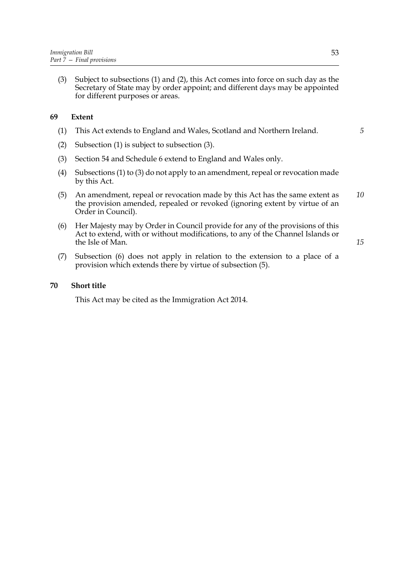(3) Subject to subsections (1) and (2), this Act comes into force on such day as the Secretary of State may by order appoint; and different days may be appointed for different purposes or areas.

# **69 Extent**

- (1) This Act extends to England and Wales, Scotland and Northern Ireland.
- (2) Subsection (1) is subject to subsection (3).
- (3) Section 54 and Schedule 6 extend to England and Wales only.
- (4) Subsections (1) to (3) do not apply to an amendment, repeal or revocation made by this Act.
- (5) An amendment, repeal or revocation made by this Act has the same extent as the provision amended, repealed or revoked (ignoring extent by virtue of an Order in Council). *10*
- (6) Her Majesty may by Order in Council provide for any of the provisions of this Act to extend, with or without modifications, to any of the Channel Islands or the Isle of Man.
- (7) Subsection (6) does not apply in relation to the extension to a place of a provision which extends there by virtue of subsection (5).

### **70 Short title**

This Act may be cited as the Immigration Act 2014.

*15*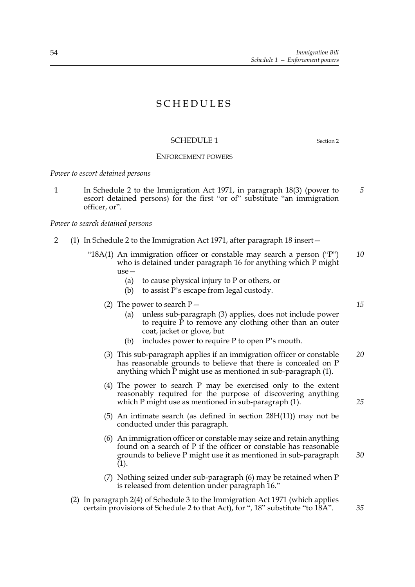# **SCHEDULES**

# SCHEDULE 1 Section 2

# ENFORCEMENT POWERS

*Power to escort detained persons*

1 In Schedule 2 to the Immigration Act 1971, in paragraph 18(3) (power to escort detained persons) for the first "or of" substitute "an immigration officer, or".

*Power to search detained persons*

- 2 (1) In Schedule 2 to the Immigration Act 1971, after paragraph 18 insert—
	- "18A(1) An immigration officer or constable may search a person ("P") who is detained under paragraph 16 for anything which P might  $use-$ *10*
		- (a) to cause physical injury to P or others, or
		- (b) to assist P's escape from legal custody.
		- (2) The power to search  $P-$ 
			- (a) unless sub-paragraph (3) applies, does not include power to require  $\tilde{P}$  to remove any clothing other than an outer coat, jacket or glove, but
			- (b) includes power to require P to open P's mouth.
		- (3) This sub-paragraph applies if an immigration officer or constable has reasonable grounds to believe that there is concealed on P anything which  $\overline{P}$  might use as mentioned in sub-paragraph (1). *20*
		- (4) The power to search P may be exercised only to the extent reasonably required for the purpose of discovering anything which P might use as mentioned in sub-paragraph (1).
		- (5) An intimate search (as defined in section 28H(11)) may not be conducted under this paragraph.
		- (6) An immigration officer or constable may seize and retain anything found on a search of P if the officer or constable has reasonable grounds to believe P might use it as mentioned in sub-paragraph (1). *30*
		- (7) Nothing seized under sub-paragraph (6) may be retained when P is released from detention under paragraph 16."
	- (2) In paragraph 2(4) of Schedule 3 to the Immigration Act 1971 (which applies certain provisions of Schedule 2 to that Act), for ", 18" substitute "to 18A".

*15*

*25*

*35*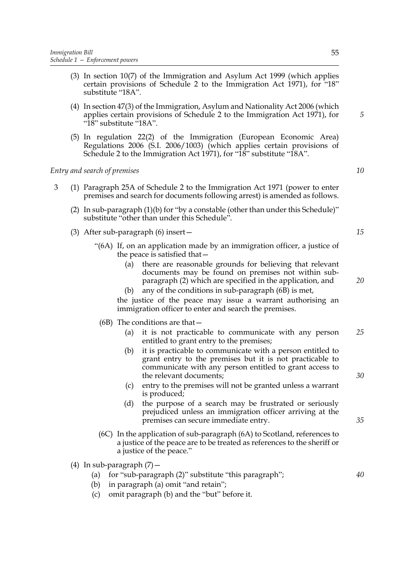- (3) In section 10(7) of the Immigration and Asylum Act 1999 (which applies certain provisions of Schedule 2 to the Immigration Act 1971), for "18" substitute "18A".
- (4) In section 47(3) of the Immigration, Asylum and Nationality Act 2006 (which applies certain provisions of Schedule 2 to the Immigration Act 1971), for "18" substitute "18A".
- (5) In regulation 22(2) of the Immigration (European Economic Area) Regulations 2006 (S.I. 2006/1003) (which applies certain provisions of Schedule 2 to the Immigration Act 1971), for "18" substitute "18A".

*Entry and search of premises*

- 3 (1) Paragraph 25A of Schedule 2 to the Immigration Act 1971 (power to enter premises and search for documents following arrest) is amended as follows.
	- (2) In sub-paragraph  $(1)(b)$  for "by a constable (other than under this Schedule)" substitute "other than under this Schedule".
	- (3) After sub-paragraph (6) insert—
		- "(6A) If, on an application made by an immigration officer, a justice of the peace is satisfied that—
			- (a) there are reasonable grounds for believing that relevant documents may be found on premises not within subparagraph (2) which are specified in the application, and
			- (b) any of the conditions in sub-paragraph (6B) is met,

the justice of the peace may issue a warrant authorising an immigration officer to enter and search the premises.

- (6B) The conditions are that—
	- (a) it is not practicable to communicate with any person entitled to grant entry to the premises; *25*
	- (b) it is practicable to communicate with a person entitled to grant entry to the premises but it is not practicable to communicate with any person entitled to grant access to the relevant documents;
	- (c) entry to the premises will not be granted unless a warrant is produced;
	- (d) the purpose of a search may be frustrated or seriously prejudiced unless an immigration officer arriving at the premises can secure immediate entry.
- (6C) In the application of sub-paragraph (6A) to Scotland, references to a justice of the peace are to be treated as references to the sheriff or a justice of the peace."
- (4) In sub-paragraph  $(7)$  -
	- (a) for "sub-paragraph (2)" substitute "this paragraph";

(b) in paragraph (a) omit "and retain";

- 
- (c) omit paragraph (b) and the "but" before it.

*15*

*20*

*5*

*10*

*30*

*40*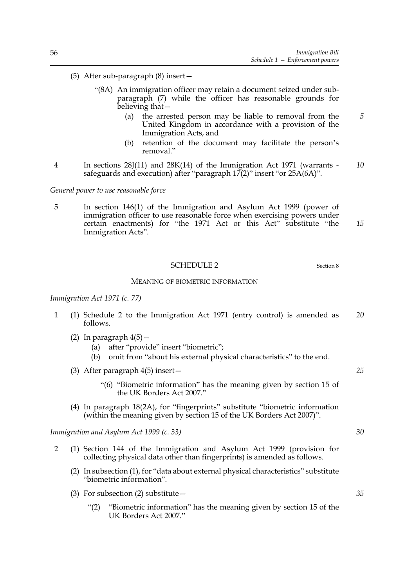- (5) After sub-paragraph (8) insert—
	- "(8A) An immigration officer may retain a document seized under subparagraph (7) while the officer has reasonable grounds for believing that—
		- (a) the arrested person may be liable to removal from the United Kingdom in accordance with a provision of the Immigration Acts, and
		- (b) retention of the document may facilitate the person's removal"
- 4 In sections 28J(11) and 28K(14) of the Immigration Act 1971 (warrants safeguards and execution) after "paragraph  $17(2)$ " insert "or  $25A(6A)$ ". *10*

*General power to use reasonable force*

5 In section 146(1) of the Immigration and Asylum Act 1999 (power of immigration officer to use reasonable force when exercising powers under certain enactments) for "the 1971 Act or this Act" substitute "the Immigration Acts". *15*

### SCHEDULE 2 Section 8

MEANING OF BIOMETRIC INFORMATION

### *Immigration Act 1971 (c. 77)*

- 1 (1) Schedule 2 to the Immigration Act 1971 (entry control) is amended as follows. *20*
	- (2) In paragraph  $4(5)$  -
		- (a) after "provide" insert "biometric";
		- (b) omit from "about his external physical characteristics" to the end.
	- (3) After paragraph 4(5) insert—
		- "(6) "Biometric information" has the meaning given by section 15 of the UK Borders Act 2007."
	- (4) In paragraph 18(2A), for "fingerprints" substitute "biometric information (within the meaning given by section 15 of the UK Borders Act 2007)".

*Immigration and Asylum Act 1999 (c. 33)*

- 2 (1) Section 144 of the Immigration and Asylum Act 1999 (provision for collecting physical data other than fingerprints) is amended as follows.
	- (2) In subsection (1), for "data about external physical characteristics" substitute "biometric information".
	- (3) For subsection (2) substitute  $-$ 
		- "(2) "Biometric information" has the meaning given by section 15 of the UK Borders Act 2007."

*30*

*25*

*5*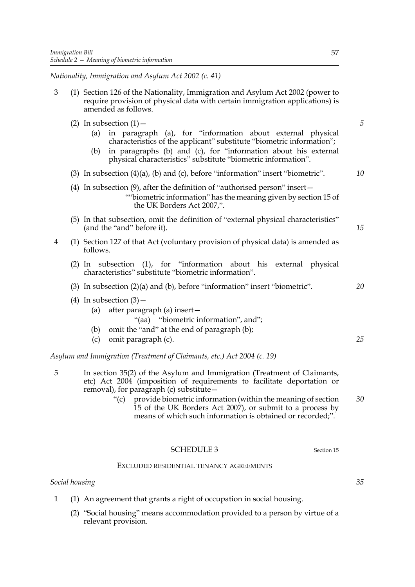*Nationality, Immigration and Asylum Act 2002 (c. 41)*

| 3              | (1) Section 126 of the Nationality, Immigration and Asylum Act 2002 (power to<br>require provision of physical data with certain immigration applications) is<br>amended as follows.                                                                                                                              |    |
|----------------|-------------------------------------------------------------------------------------------------------------------------------------------------------------------------------------------------------------------------------------------------------------------------------------------------------------------|----|
|                | (2) In subsection $(1)$ –<br>in paragraph (a), for "information about external physical<br>(a)<br>characteristics of the applicant" substitute "biometric information";<br>in paragraphs (b) and (c), for "information about his external<br>(b)<br>physical characteristics" substitute "biometric information". | 5  |
|                | (3) In subsection $(4)(a)$ , $(b)$ and $(c)$ , before "information" insert "biometric".                                                                                                                                                                                                                           | 10 |
|                | (4) In subsection $(9)$ , after the definition of "authorised person" insert-<br>""biometric information" has the meaning given by section 15 of<br>the UK Borders Act 2007,".                                                                                                                                    |    |
|                | (5) In that subsection, omit the definition of "external physical characteristics"<br>(and the "and" before it).                                                                                                                                                                                                  | 15 |
| $\overline{4}$ | (1) Section 127 of that Act (voluntary provision of physical data) is amended as<br>follows.                                                                                                                                                                                                                      |    |
|                | $(2)$ In subsection $(1)$ , for "information about his<br>external physical<br>characteristics" substitute "biometric information".                                                                                                                                                                               |    |
|                | $(3)$ In subsection $(2)(a)$ and $(b)$ , before "information" insert "biometric".                                                                                                                                                                                                                                 | 20 |
|                | (4) In subsection $(3)$ –<br>after paragraph (a) insert-<br>(a)<br>"(aa) "biometric information", and";<br>omit the "and" at the end of paragraph (b);<br>(b)                                                                                                                                                     |    |
|                | (c)<br>omit paragraph (c).                                                                                                                                                                                                                                                                                        | 25 |
|                | Asylum and Immigration (Treatment of Claimants, etc.) Act 2004 (c. 19)                                                                                                                                                                                                                                            |    |
| 5              | In section 35(2) of the Asylum and Immigration (Treatment of Claimants,<br>etc) Act 2004 (imposition of requirements to facilitate deportation or                                                                                                                                                                 |    |

- removal), for paragraph (c) substitute—
	- "(c) provide biometric information (within the meaning of section 15 of the UK Borders Act 2007), or submit to a process by means of which such information is obtained or recorded;". *30*

# SCHEDULE 3 Section 15

# EXCLUDED RESIDENTIAL TENANCY AGREEMENTS

# *Social housing*

- 1 (1) An agreement that grants a right of occupation in social housing.
	- (2) "Social housing" means accommodation provided to a person by virtue of a relevant provision.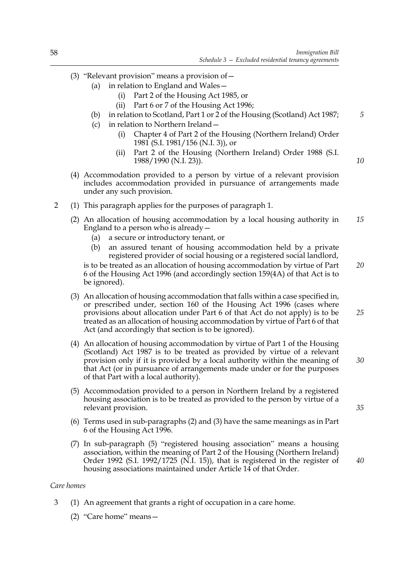*5*

*10*

*25*

*35*

*40*

- (3) "Relevant provision" means a provision of—
	- (a) in relation to England and Wales—
		- (i) Part 2 of the Housing Act 1985, or
		- (ii) Part 6 or 7 of the Housing Act 1996;
	- (b) in relation to Scotland, Part 1 or 2 of the Housing (Scotland) Act 1987;
	- (c) in relation to Northern Ireland—
		- (i) Chapter 4 of Part 2 of the Housing (Northern Ireland) Order 1981 (S.I. 1981/156 (N.I. 3)), or
		- (ii) Part 2 of the Housing (Northern Ireland) Order 1988 (S.I. 1988/1990 (N.I. 23)).
- (4) Accommodation provided to a person by virtue of a relevant provision includes accommodation provided in pursuance of arrangements made under any such provision.
- 2 (1) This paragraph applies for the purposes of paragraph 1.
	- (2) An allocation of housing accommodation by a local housing authority in England to a person who is already  $-$ *15*
		- (a) a secure or introductory tenant, or
		- (b) an assured tenant of housing accommodation held by a private registered provider of social housing or a registered social landlord,

is to be treated as an allocation of housing accommodation by virtue of Part 6 of the Housing Act 1996 (and accordingly section 159(4A) of that Act is to be ignored). *20*

- (3) An allocation of housing accommodation that falls within a case specified in, or prescribed under, section 160 of the Housing Act 1996 (cases where provisions about allocation under Part 6 of that Act do not apply) is to be treated as an allocation of housing accommodation by virtue of Part 6 of that Act (and accordingly that section is to be ignored).
- (4) An allocation of housing accommodation by virtue of Part 1 of the Housing (Scotland) Act 1987 is to be treated as provided by virtue of a relevant provision only if it is provided by a local authority within the meaning of that Act (or in pursuance of arrangements made under or for the purposes of that Part with a local authority). *30*
- (5) Accommodation provided to a person in Northern Ireland by a registered housing association is to be treated as provided to the person by virtue of a relevant provision.
- (6) Terms used in sub-paragraphs (2) and (3) have the same meanings as in Part 6 of the Housing Act 1996.
- (7) In sub-paragraph (5) "registered housing association" means a housing association, within the meaning of Part 2 of the Housing (Northern Ireland) Order 1992 (S.I. 1992/1725 (N.I. 15)), that is registered in the register of housing associations maintained under Article 14 of that Order.

### *Care homes*

- 3 (1) An agreement that grants a right of occupation in a care home.
	- (2) "Care home" means—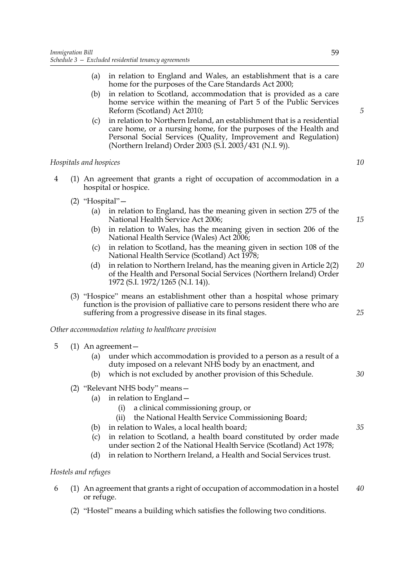- (a) in relation to England and Wales, an establishment that is a care home for the purposes of the Care Standards Act 2000;
- (b) in relation to Scotland, accommodation that is provided as a care home service within the meaning of Part 5 of the Public Services Reform (Scotland) Act 2010;
- (c) in relation to Northern Ireland, an establishment that is a residential care home, or a nursing home, for the purposes of the Health and Personal Social Services (Quality, Improvement and Regulation) (Northern Ireland) Order 2003 (S.I. 2003/431 (N.I. 9)).

# *Hospitals and hospices*

- 4 (1) An agreement that grants a right of occupation of accommodation in a hospital or hospice.
	- (2) "Hospital"—
		- (a) in relation to England, has the meaning given in section 275 of the National Health Service Act 2006;
		- (b) in relation to Wales, has the meaning given in section 206 of the National Health Service (Wales) Act 2006;
		- (c) in relation to Scotland, has the meaning given in section 108 of the National Health Service (Scotland) Act 1978;
		- (d) in relation to Northern Ireland, has the meaning given in Article 2(2) of the Health and Personal Social Services (Northern Ireland) Order 1972 (S.I. 1972/1265 (N.I. 14)). *20*
	- (3) "Hospice" means an establishment other than a hospital whose primary function is the provision of palliative care to persons resident there who are suffering from a progressive disease in its final stages.

*Other accommodation relating to healthcare provision*

- 5 (1) An agreement—
	- (a) under which accommodation is provided to a person as a result of a duty imposed on a relevant NHS body by an enactment, and
	- (b) which is not excluded by another provision of this Schedule.
	- (2) "Relevant NHS body" means—
		- (a) in relation to England—
			- (i) a clinical commissioning group, or
			- (ii) the National Health Service Commissioning Board;
		- (b) in relation to Wales, a local health board;
		- (c) in relation to Scotland, a health board constituted by order made under section 2 of the National Health Service (Scotland) Act 1978;
		- (d) in relation to Northern Ireland, a Health and Social Services trust.

# *Hostels and refuges*

- 6 (1) An agreement that grants a right of occupation of accommodation in a hostel or refuge. *40*
	- (2) "Hostel" means a building which satisfies the following two conditions.

*10*

*5*

*15*

*35*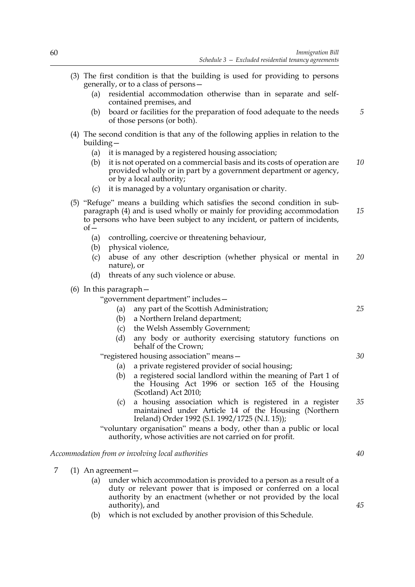- (3) The first condition is that the building is used for providing to persons generally, or to a class of persons—
	- (a) residential accommodation otherwise than in separate and selfcontained premises, and
	- (b) board or facilities for the preparation of food adequate to the needs of those persons (or both). *5*
- (4) The second condition is that any of the following applies in relation to the building—
	- (a) it is managed by a registered housing association;
	- (b) it is not operated on a commercial basis and its costs of operation are provided wholly or in part by a government department or agency, or by a local authority; *10*
	- (c) it is managed by a voluntary organisation or charity.
- (5) "Refuge" means a building which satisfies the second condition in subparagraph (4) and is used wholly or mainly for providing accommodation to persons who have been subject to any incident, or pattern of incidents,  $of-$ *15*
	- (a) controlling, coercive or threatening behaviour,
	- (b) physical violence,
	- (c) abuse of any other description (whether physical or mental in nature), or *20*
	- (d) threats of any such violence or abuse.
- (6) In this paragraph—

"government department" includes—

- (a) any part of the Scottish Administration;
- (b) a Northern Ireland department;
- (c) the Welsh Assembly Government;
- (d) any body or authority exercising statutory functions on behalf of the Crown;

"registered housing association" means—

- (a) a private registered provider of social housing;
- (b) a registered social landlord within the meaning of Part 1 of the Housing Act 1996 or section 165 of the Housing (Scotland) Act 2010;
- (c) a housing association which is registered in a register maintained under Article 14 of the Housing (Northern Ireland) Order 1992 (S.I. 1992/1725 (N.I. 15)); *35*

"voluntary organisation" means a body, other than a public or local authority, whose activities are not carried on for profit.

# *Accommodation from or involving local authorities*

- 7 (1) An agreement—
	- (a) under which accommodation is provided to a person as a result of a duty or relevant power that is imposed or conferred on a local authority by an enactment (whether or not provided by the local authority), and
	- (b) which is not excluded by another provision of this Schedule.

*45*

*40*

*25*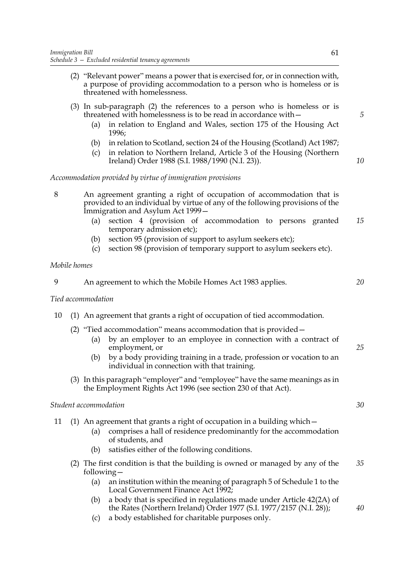- (2) "Relevant power" means a power that is exercised for, or in connection with, a purpose of providing accommodation to a person who is homeless or is threatened with homelessness.
- (3) In sub-paragraph (2) the references to a person who is homeless or is threatened with homelessness is to be read in accordance with—
	- (a) in relation to England and Wales, section 175 of the Housing Act 1996;
	- (b) in relation to Scotland, section 24 of the Housing (Scotland) Act 1987;
	- (c) in relation to Northern Ireland, Article 3 of the Housing (Northern Ireland) Order 1988 (S.I. 1988/1990 (N.I. 23)).

*Accommodation provided by virtue of immigration provisions*

- 8 An agreement granting a right of occupation of accommodation that is provided to an individual by virtue of any of the following provisions of the Immigration and Asylum Act 1999—
	- (a) section 4 (provision of accommodation to persons granted temporary admission etc); *15*
	- (b) section 95 (provision of support to asylum seekers etc);
	- (c) section 98 (provision of temporary support to asylum seekers etc).

### *Mobile homes*

| Q | An agreement to which the Mobile Homes Act 1983 applies. |  |
|---|----------------------------------------------------------|--|
|   |                                                          |  |

# *Tied accommodation*

- 10 (1) An agreement that grants a right of occupation of tied accommodation.
	- (2) "Tied accommodation" means accommodation that is provided—
		- (a) by an employer to an employee in connection with a contract of employment, or
		- (b) by a body providing training in a trade, profession or vocation to an individual in connection with that training.
	- (3) In this paragraph "employer" and "employee" have the same meanings as in the Employment Rights Act 1996 (see section 230 of that Act).

### *Student accommodation*

|  | 11 (1) An agreement that grants a right of occupation in a building which - |  |  |  |
|--|-----------------------------------------------------------------------------|--|--|--|
|  |                                                                             |  |  |  |

- (a) comprises a hall of residence predominantly for the accommodation of students, and
- (b) satisfies either of the following conditions.
- (2) The first condition is that the building is owned or managed by any of the following— *35*
	- (a) an institution within the meaning of paragraph 5 of Schedule 1 to the Local Government Finance Act 1992;
	- (b) a body that is specified in regulations made under Article 42(2A) of the Rates (Northern Ireland) Order 1977 (S.I. 1977/2157 (N.I. 28));
	- (c) a body established for charitable purposes only.

*5*

*10*

*30*

*25*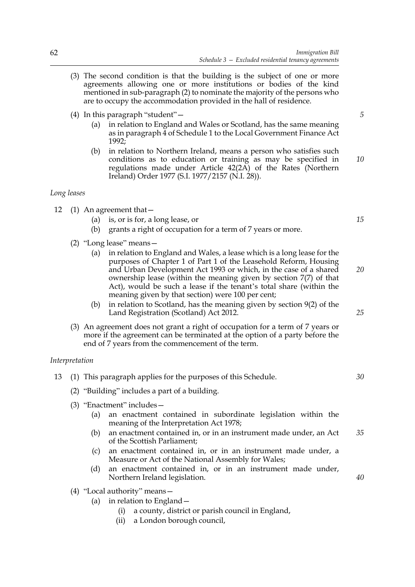- (3) The second condition is that the building is the subject of one or more agreements allowing one or more institutions or bodies of the kind mentioned in sub-paragraph (2) to nominate the majority of the persons who are to occupy the accommodation provided in the hall of residence.
- (4) In this paragraph "student"—
	- (a) in relation to England and Wales or Scotland, has the same meaning as in paragraph 4 of Schedule 1 to the Local Government Finance Act 1992;
	- (b) in relation to Northern Ireland, means a person who satisfies such conditions as to education or training as may be specified in regulations made under Article 42(2A) of the Rates (Northern Ireland) Order 1977 (S.I. 1977/2157 (N.I. 28)). *10*

### *Long leases*

- 12 (1) An agreement that—
	- (a) is, or is for, a long lease, or
	- (b) grants a right of occupation for a term of 7 years or more.
	- (2) "Long lease" means—
		- (a) in relation to England and Wales, a lease which is a long lease for the purposes of Chapter 1 of Part 1 of the Leasehold Reform, Housing and Urban Development Act 1993 or which, in the case of a shared ownership lease (within the meaning given by section 7(7) of that Act), would be such a lease if the tenant's total share (within the meaning given by that section) were 100 per cent;
		- (b) in relation to Scotland, has the meaning given by section 9(2) of the Land Registration (Scotland) Act 2012.
	- (3) An agreement does not grant a right of occupation for a term of 7 years or more if the agreement can be terminated at the option of a party before the end of 7 years from the commencement of the term.

# *Interpretation*

| 13 | (1) This paragraph applies for the purposes of this Schedule. |                                                                                                                    |    |
|----|---------------------------------------------------------------|--------------------------------------------------------------------------------------------------------------------|----|
|    |                                                               | (2) "Building" includes a part of a building.                                                                      |    |
|    |                                                               | $(3)$ "Enactment" includes –                                                                                       |    |
|    | (a)                                                           | an enactment contained in subordinate legislation within the<br>meaning of the Interpretation Act 1978;            |    |
|    | (b)                                                           | an enactment contained in, or in an instrument made under, an Act<br>of the Scottish Parliament;                   | 35 |
|    | $\left( c\right)$                                             | an enactment contained in, or in an instrument made under, a<br>Measure or Act of the National Assembly for Wales; |    |
|    |                                                               | an enactment contained in, or in an instrument made under,                                                         |    |

- (4) "Local authority" means—
	- (a) in relation to England—

Northern Ireland legislation.

- (i) a county, district or parish council in England,
- (ii) a London borough council,

*5*

*15*

*20*

*25*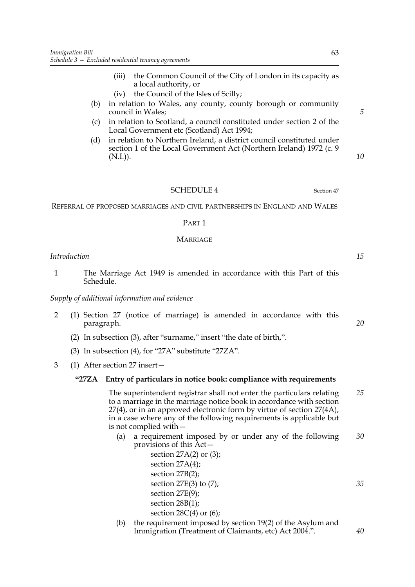- (iii) the Common Council of the City of London in its capacity as a local authority, or
- (iv) the Council of the Isles of Scilly;
- (b) in relation to Wales, any county, county borough or community council in Wales;
- (c) in relation to Scotland, a council constituted under section 2 of the Local Government etc (Scotland) Act 1994;
- (d) in relation to Northern Ireland, a district council constituted under section 1 of the Local Government Act (Northern Ireland) 1972 (c. 9  $(N.I.).$

### SCHEDULE 4 Section 47

REFERRAL OF PROPOSED MARRIAGES AND CIVIL PARTNERSHIPS IN ENGLAND AND WALES

#### PART 1

### MARRIAGE

### *Introduction*

1 The Marriage Act 1949 is amended in accordance with this Part of this Schedule.

### *Supply of additional information and evidence*

- 2 (1) Section 27 (notice of marriage) is amended in accordance with this paragraph.
	- (2) In subsection (3), after "surname," insert "the date of birth,".
	- (3) In subsection (4), for "27A" substitute "27ZA".
- 3 (1) After section 27 insert—

### **"27ZA Entry of particulars in notice book: compliance with requirements**

The superintendent registrar shall not enter the particulars relating to a marriage in the marriage notice book in accordance with section 27(4), or in an approved electronic form by virtue of section 27(4A), in a case where any of the following requirements is applicable but is not complied with— *25*

- (a) a requirement imposed by or under any of the following provisions of this Act— *30*
	- section 27A(2) or (3); section 27A(4); section 27B(2); section  $27E(3)$  to  $(7)$ ; section 27E(9); section 28B(1); section  $28C(4)$  or  $(6)$ ;
- (b) the requirement imposed by section 19(2) of the Asylum and Immigration (Treatment of Claimants, etc) Act 2004.".

*10*

*5*

*15*

*20*

*35*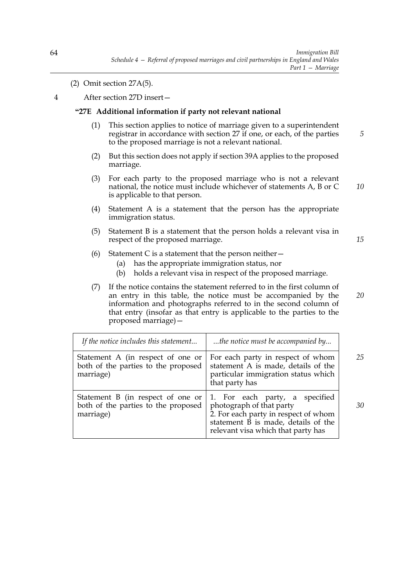(2) Omit section 27A(5).

4 After section 27D insert—

# **"27E Additional information if party not relevant national**

- (1) This section applies to notice of marriage given to a superintendent registrar in accordance with section 27 if one, or each, of the parties to the proposed marriage is not a relevant national.
- (2) But this section does not apply if section 39A applies to the proposed marriage.
- (3) For each party to the proposed marriage who is not a relevant national, the notice must include whichever of statements A, B or C is applicable to that person. *10*
- (4) Statement A is a statement that the person has the appropriate immigration status.
- (5) Statement B is a statement that the person holds a relevant visa in respect of the proposed marriage.

(6) Statement C is a statement that the person neither  $-$ 

- (a) has the appropriate immigration status, nor
- (b) holds a relevant visa in respect of the proposed marriage.
- (7) If the notice contains the statement referred to in the first column of an entry in this table, the notice must be accompanied by the information and photographs referred to in the second column of that entry (insofar as that entry is applicable to the parties to the proposed marriage)— *20*

| If the notice includes this statement                                                 | the notice must be accompanied by                                                                                                                                               |    |
|---------------------------------------------------------------------------------------|---------------------------------------------------------------------------------------------------------------------------------------------------------------------------------|----|
| Statement A (in respect of one or<br>both of the parties to the proposed<br>marriage) | For each party in respect of whom<br>statement A is made, details of the<br>particular immigration status which<br>that party has                                               | 25 |
| Statement B (in respect of one or<br>both of the parties to the proposed<br>marriage) | 1. For each party, a specified<br>photograph of that party<br>2. For each party in respect of whom<br>statement B is made, details of the<br>relevant visa which that party has | 30 |

*5*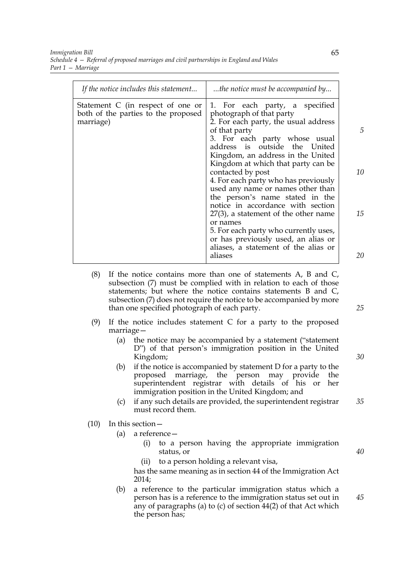*Immigration Bill Schedule 4 — Referral of proposed marriages and civil partnerships in England and Wales Part 1 — Marriage*

| If the notice includes this statement                                                 | the notice must be accompanied by                                                                                                                                                                                          |    |
|---------------------------------------------------------------------------------------|----------------------------------------------------------------------------------------------------------------------------------------------------------------------------------------------------------------------------|----|
| Statement C (in respect of one or<br>both of the parties to the proposed<br>marriage) | 1. For each party, a specified<br>photograph of that party<br>2. For each party, the usual address<br>of that party<br>3. For each party whose usual<br>address is outside the United<br>Kingdom, an address in the United | 5  |
|                                                                                       | Kingdom at which that party can be<br>contacted by post<br>4. For each party who has previously<br>used any name or names other than<br>the person's name stated in the                                                    | 10 |
|                                                                                       | notice in accordance with section<br>$27(3)$ , a statement of the other name<br>or names<br>5. For each party who currently uses,<br>or has previously used, an alias or<br>aliases, a statement of the alias or           | 15 |
|                                                                                       | aliases                                                                                                                                                                                                                    | 20 |

- (8) If the notice contains more than one of statements A, B and C, subsection (7) must be complied with in relation to each of those statements; but where the notice contains statements B and C, subsection (7) does not require the notice to be accompanied by more than one specified photograph of each party.
- (9) If the notice includes statement C for a party to the proposed marriage—
	- (a) the notice may be accompanied by a statement ("statement D") of that person's immigration position in the United Kingdom;
	- (b) if the notice is accompanied by statement D for a party to the proposed marriage, the person may provide the superintendent registrar with details of his or her immigration position in the United Kingdom; and
	- (c) if any such details are provided, the superintendent registrar must record them. *35*

# (10) In this section—

- (a) a reference—
	- (i) to a person having the appropriate immigration status, or
	- (ii) to a person holding a relevant visa,

has the same meaning as in section 44 of the Immigration Act 2014;

(b) a reference to the particular immigration status which a person has is a reference to the immigration status set out in any of paragraphs (a) to (c) of section 44(2) of that Act which the person has; *45*

*25*

*30*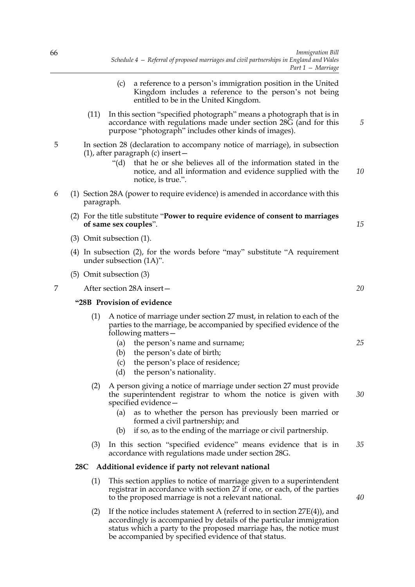- (c) a reference to a person's immigration position in the United Kingdom includes a reference to the person's not being entitled to be in the United Kingdom.
- (11) In this section "specified photograph" means a photograph that is in accordance with regulations made under section 28G (and for this purpose "photograph" includes other kinds of images).
- 5 In section 28 (declaration to accompany notice of marriage), in subsection (1), after paragraph (c) insert—
	- "(d) that he or she believes all of the information stated in the notice, and all information and evidence supplied with the notice, is true.".
- 6 (1) Section 28A (power to require evidence) is amended in accordance with this paragraph.
	- (2) For the title substitute "**Power to require evidence of consent to marriages of same sex couples**".
	- (3) Omit subsection (1).
	- (4) In subsection (2), for the words before "may" substitute "A requirement under subsection (1A)".
	- (5) Omit subsection (3)
- 7 After section 28A insert—

# **"28B Provision of evidence**

- (1) A notice of marriage under section 27 must, in relation to each of the parties to the marriage, be accompanied by specified evidence of the following matters—
	- (a) the person's name and surname;
	- (b) the person's date of birth;
	- (c) the person's place of residence;
	- (d) the person's nationality.
- (2) A person giving a notice of marriage under section 27 must provide the superintendent registrar to whom the notice is given with specified evidence—
	- (a) as to whether the person has previously been married or formed a civil partnership; and
	- (b) if so, as to the ending of the marriage or civil partnership.
- (3) In this section "specified evidence" means evidence that is in accordance with regulations made under section 28G. *35*

### **28C Additional evidence if party not relevant national**

- (1) This section applies to notice of marriage given to a superintendent registrar in accordance with section 27 if one, or each, of the parties to the proposed marriage is not a relevant national.
- (2) If the notice includes statement A (referred to in section  $27E(4)$ ), and accordingly is accompanied by details of the particular immigration status which a party to the proposed marriage has, the notice must be accompanied by specified evidence of that status.

*20*

*5*

*10*

*15*

*25*

*30*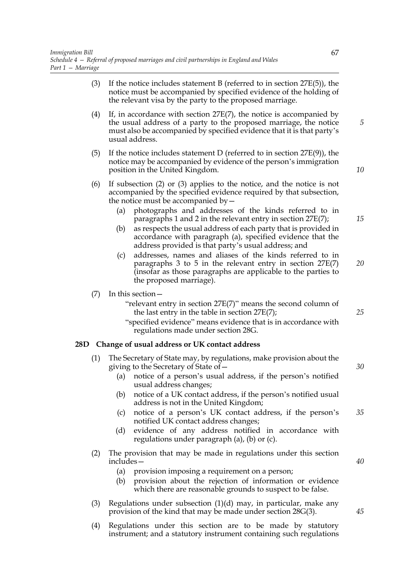|                                                                                                                                                                                                                                                                                       | o   |  |  |  |  |
|---------------------------------------------------------------------------------------------------------------------------------------------------------------------------------------------------------------------------------------------------------------------------------------|-----|--|--|--|--|
| If the notice includes statement B (referred to in section $27E(5)$ ), the<br>notice must be accompanied by specified evidence of the holding of<br>the relevant visa by the party to the proposed marriage.                                                                          | (3) |  |  |  |  |
| If, in accordance with section $27E(7)$ , the notice is accompanied by<br>the usual address of a party to the proposed marriage, the notice<br>must also be accompanied by specified evidence that it is that party's<br>usual address.                                               |     |  |  |  |  |
| If the notice includes statement D (referred to in section $27E(9)$ ), the<br>notice may be accompanied by evidence of the person's immigration<br>position in the United Kingdom.                                                                                                    | (5) |  |  |  |  |
| If subsection $(2)$ or $(3)$ applies to the notice, and the notice is not<br>accompanied by the specified evidence required by that subsection,<br>the notice must be accompanied by $-$                                                                                              | (6) |  |  |  |  |
| photographs and addresses of the kinds referred to in<br>(a)<br>paragraphs 1 and 2 in the relevant entry in section $27E(7)$ ;<br>as respects the usual address of each party that is provided in<br>(b)<br>accordance with paragraph (a), specified evidence that the                |     |  |  |  |  |
| address provided is that party's usual address; and<br>addresses, names and aliases of the kinds referred to in<br>(c)<br>paragraphs $3$ to $5$ in the relevant entry in section $27E(7)$<br>(insofar as those paragraphs are applicable to the parties to<br>the proposed marriage). |     |  |  |  |  |
| In this section $-$<br>"relevant entry in section 27E(7)" means the second column of<br>the last entry in the table in section $27E(7)$ ;<br>"specified evidence" means evidence that is in accordance with<br>regulations made under section 28G.                                    | (7) |  |  |  |  |
| Change of usual address or UK contact address                                                                                                                                                                                                                                         | 28D |  |  |  |  |
| The Secretary of State may, by regulations, make provision about the<br>giving to the Secretary of State of -<br>notice of a person's usual address, if the person's notified<br>(a)<br>usual address changes;                                                                        | (1) |  |  |  |  |
| notice of a UK contact address, if the person's notified usual<br>(b)<br>address is not in the United Kingdom;                                                                                                                                                                        |     |  |  |  |  |
| notice of a person's UK contact address, if the person's<br>(c)<br>notified UK contact address changes;                                                                                                                                                                               |     |  |  |  |  |
| evidence of any address notified in accordance with<br>(d)<br>regulations under paragraph (a), (b) or (c).                                                                                                                                                                            |     |  |  |  |  |
| The provision that may be made in regulations under this section<br>$includes -$                                                                                                                                                                                                      | (2) |  |  |  |  |
| (a)<br>provision imposing a requirement on a person;<br>provision about the rejection of information or evidence<br>(b)                                                                                                                                                               |     |  |  |  |  |
| which there are reasonable grounds to suspect to be false.                                                                                                                                                                                                                            |     |  |  |  |  |

- (3) Regulations under subsection (1)(d) may, in particular, make any provision of the kind that may be made under section 28G(3).
- (4) Regulations under this section are to be made by statutory instrument; and a statutory instrument containing such regulations

*20*

*25*

*30*

*40*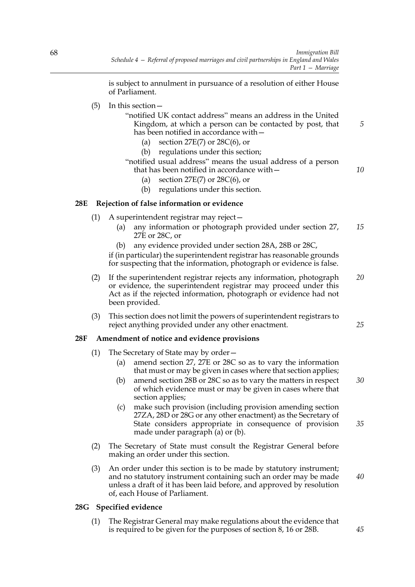is subject to annulment in pursuance of a resolution of either House of Parliament.

(5) In this section—

| "notified UK contact address" means an address in the United |  |
|--------------------------------------------------------------|--|
| Kingdom, at which a person can be contacted by post, that    |  |
| has been notified in accordance with -                       |  |

- (a) section  $27E(7)$  or  $28C(6)$ , or
- (b) regulations under this section;
- "notified usual address" means the usual address of a person that has been notified in accordance with—
	- (a) section  $27E(7)$  or  $28C(6)$ , or
	- (b) regulations under this section.

### **28E Rejection of false information or evidence**

- (1) A superintendent registrar may reject—
	- (a) any information or photograph provided under section 27, 27E or 28C, or *15*
	- (b) any evidence provided under section 28A, 28B or 28C,

if (in particular) the superintendent registrar has reasonable grounds for suspecting that the information, photograph or evidence is false.

- (2) If the superintendent registrar rejects any information, photograph or evidence, the superintendent registrar may proceed under this Act as if the rejected information, photograph or evidence had not been provided. *20*
- (3) This section does not limit the powers of superintendent registrars to reject anything provided under any other enactment.

### **28F Amendment of notice and evidence provisions**

- (1) The Secretary of State may by order—
	- (a) amend section 27, 27E or 28C so as to vary the information that must or may be given in cases where that section applies;
	- (b) amend section 28B or 28C so as to vary the matters in respect of which evidence must or may be given in cases where that section applies; *30*
	- (c) make such provision (including provision amending section 27ZA, 28D or 28G or any other enactment) as the Secretary of State considers appropriate in consequence of provision made under paragraph (a) or (b).
- (2) The Secretary of State must consult the Registrar General before making an order under this section.
- (3) An order under this section is to be made by statutory instrument; and no statutory instrument containing such an order may be made unless a draft of it has been laid before, and approved by resolution of, each House of Parliament.

# **28G Specified evidence**

(1) The Registrar General may make regulations about the evidence that is required to be given for the purposes of section 8, 16 or 28B.

*45*

*40*

*35*

*5*

*10*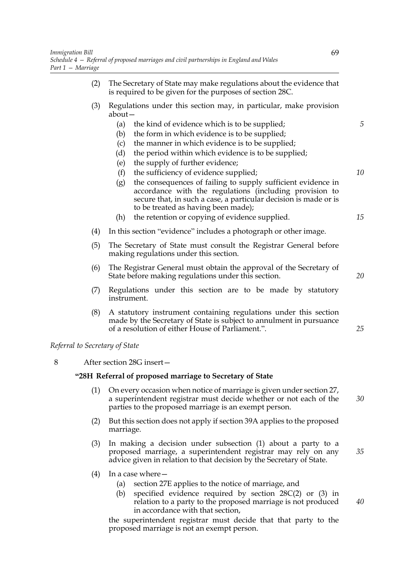- (2) The Secretary of State may make regulations about the evidence that is required to be given for the purposes of section 28C.
- (3) Regulations under this section may, in particular, make provision about—
	- (a) the kind of evidence which is to be supplied;
	- (b) the form in which evidence is to be supplied;
	- (c) the manner in which evidence is to be supplied;
	- (d) the period within which evidence is to be supplied;
	- (e) the supply of further evidence;
	- (f) the sufficiency of evidence supplied;
	- (g) the consequences of failing to supply sufficient evidence in accordance with the regulations (including provision to secure that, in such a case, a particular decision is made or is to be treated as having been made);
	- (h) the retention or copying of evidence supplied.
- (4) In this section "evidence" includes a photograph or other image.
- (5) The Secretary of State must consult the Registrar General before making regulations under this section.
- (6) The Registrar General must obtain the approval of the Secretary of State before making regulations under this section.
- (7) Regulations under this section are to be made by statutory instrument.
- (8) A statutory instrument containing regulations under this section made by the Secretary of State is subject to annulment in pursuance of a resolution of either House of Parliament.".

*Referral to Secretary of State*

8 After section 28G insert—

#### **"28H Referral of proposed marriage to Secretary of State**

- (1) On every occasion when notice of marriage is given under section 27, a superintendent registrar must decide whether or not each of the parties to the proposed marriage is an exempt person. *30*
- (2) But this section does not apply if section 39A applies to the proposed marriage.
- (3) In making a decision under subsection (1) about a party to a proposed marriage, a superintendent registrar may rely on any advice given in relation to that decision by the Secretary of State.
- (4) In a case where—
	- (a) section 27E applies to the notice of marriage, and
	- (b) specified evidence required by section 28C(2) or (3) in relation to a party to the proposed marriage is not produced in accordance with that section,

the superintendent registrar must decide that that party to the proposed marriage is not an exempt person.

*15*

*5*

*10*

*20*

*25*

*35*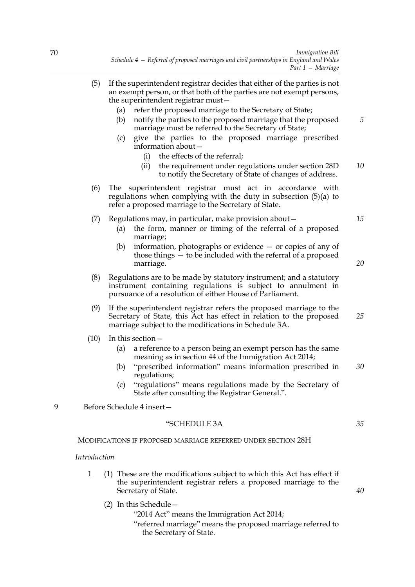- (5) If the superintendent registrar decides that either of the parties is not an exempt person, or that both of the parties are not exempt persons, the superintendent registrar must—
	- (a) refer the proposed marriage to the Secretary of State;
	- (b) notify the parties to the proposed marriage that the proposed marriage must be referred to the Secretary of State; *5*
	- (c) give the parties to the proposed marriage prescribed information about—
		- (i) the effects of the referral;
		- (ii) the requirement under regulations under section 28D to notify the Secretary of State of changes of address. *10*
- (6) The superintendent registrar must act in accordance with regulations when complying with the duty in subsection (5)(a) to refer a proposed marriage to the Secretary of State.
- (7) Regulations may, in particular, make provision about—
	- (a) the form, manner or timing of the referral of a proposed marriage;
	- (b) information, photographs or evidence or copies of any of those things — to be included with the referral of a proposed marriage.
- (8) Regulations are to be made by statutory instrument; and a statutory instrument containing regulations is subject to annulment in pursuance of a resolution of either House of Parliament.
- (9) If the superintendent registrar refers the proposed marriage to the Secretary of State, this Act has effect in relation to the proposed marriage subject to the modifications in Schedule 3A.
- (10) In this section—
	- (a) a reference to a person being an exempt person has the same meaning as in section 44 of the Immigration Act 2014;
	- (b) "prescribed information" means information prescribed in regulations; *30*
	- (c) "regulations" means regulations made by the Secretary of State after consulting the Registrar General.".
- 9 Before Schedule 4 insert—

## "SCHEDULE 3A

MODIFICATIONS IF PROPOSED MARRIAGE REFERRED UNDER SECTION 28H

*Introduction*

- 1 (1) These are the modifications subject to which this Act has effect if the superintendent registrar refers a proposed marriage to the Secretary of State.
	- (2) In this Schedule—

"2014 Act" means the Immigration Act 2014;

"referred marriage" means the proposed marriage referred to the Secretary of State.

*35*

*40*

*15*

*20*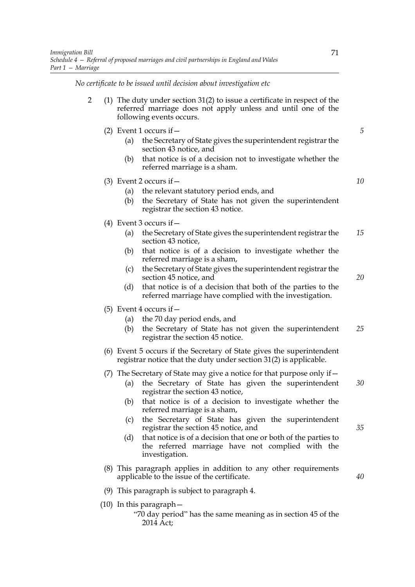*No certificate to be issued until decision about investigation etc*

|  | (1) The duty under section $31(2)$ to issue a certificate in respect of the |  |  |  |  |  |
|--|-----------------------------------------------------------------------------|--|--|--|--|--|
|  | referred marriage does not apply unless and until one of the                |  |  |  |  |  |
|  | following events occurs.                                                    |  |  |  |  |  |

- (2) Event 1 occurs if  $-$ 
	- (a) the Secretary of State gives the superintendent registrar the section 43 notice, and
	- (b) that notice is of a decision not to investigate whether the referred marriage is a sham.

(3) Event 2 occurs if—

- (a) the relevant statutory period ends, and
- (b) the Secretary of State has not given the superintendent registrar the section 43 notice.
- (4) Event 3 occurs if  $-$ 
	- (a) the Secretary of State gives the superintendent registrar the section 43 notice, *15*
	- (b) that notice is of a decision to investigate whether the referred marriage is a sham,
	- (c) the Secretary of State gives the superintendent registrar the section 45 notice, and
	- (d) that notice is of a decision that both of the parties to the referred marriage have complied with the investigation.
- (5) Event 4 occurs if  $-$ 
	- (a) the 70 day period ends, and
	- (b) the Secretary of State has not given the superintendent registrar the section 45 notice. *25*
- (6) Event 5 occurs if the Secretary of State gives the superintendent registrar notice that the duty under section 31(2) is applicable.
- (7) The Secretary of State may give a notice for that purpose only if—
	- (a) the Secretary of State has given the superintendent registrar the section 43 notice, *30*
	- (b) that notice is of a decision to investigate whether the referred marriage is a sham,
	- (c) the Secretary of State has given the superintendent registrar the section 45 notice, and
	- (d) that notice is of a decision that one or both of the parties to the referred marriage have not complied with the investigation.
- (8) This paragraph applies in addition to any other requirements applicable to the issue of the certificate.
- (9) This paragraph is subject to paragraph 4.
- (10) In this paragraph—

*5*

*10*

*20*

*35*

<sup>&</sup>quot;70 day period" has the same meaning as in section 45 of the 2014 Act;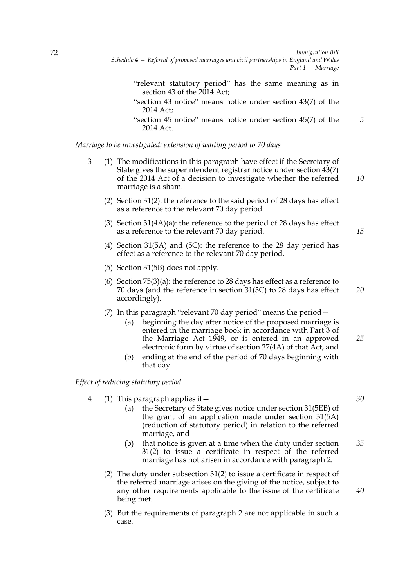- "relevant statutory period" has the same meaning as in section 43 of the 2014 Act; "section 43 notice" means notice under section 43(7) of the 2014 Act; "section 45 notice" means notice under section 45(7) of the 2014 Act. *Marriage to be investigated: extension of waiting period to 70 days*
	- 3 (1) The modifications in this paragraph have effect if the Secretary of State gives the superintendent registrar notice under section 43(7) of the 2014 Act of a decision to investigate whether the referred marriage is a sham.
		- (2) Section 31(2): the reference to the said period of 28 days has effect as a reference to the relevant 70 day period.
		- (3) Section 31(4A)(a): the reference to the period of 28 days has effect as a reference to the relevant 70 day period.
		- (4) Section 31(5A) and (5C): the reference to the 28 day period has effect as a reference to the relevant 70 day period.
		- (5) Section 31(5B) does not apply.
		- (6) Section 75(3)(a): the reference to 28 days has effect as a reference to 70 days (and the reference in section 31(5C) to 28 days has effect accordingly).
		- (7) In this paragraph "relevant 70 day period" means the period—
			- (a) beginning the day after notice of the proposed marriage is entered in the marriage book in accordance with Part 3 of the Marriage Act 1949, or is entered in an approved electronic form by virtue of section 27(4A) of that Act, and *25*
			- (b) ending at the end of the period of 70 days beginning with that day.

#### *Effect of reducing statutory period*

- 4 (1) This paragraph applies if—
	- (a) the Secretary of State gives notice under section 31(5EB) of the grant of an application made under section 31(5A) (reduction of statutory period) in relation to the referred marriage, and
	- (b) that notice is given at a time when the duty under section 31(2) to issue a certificate in respect of the referred marriage has not arisen in accordance with paragraph 2. *35*
	- (2) The duty under subsection 31(2) to issue a certificate in respect of the referred marriage arises on the giving of the notice, subject to any other requirements applicable to the issue of the certificate being met.
	- (3) But the requirements of paragraph 2 are not applicable in such a case.

*30*

*40*

*5*

*10*

*15*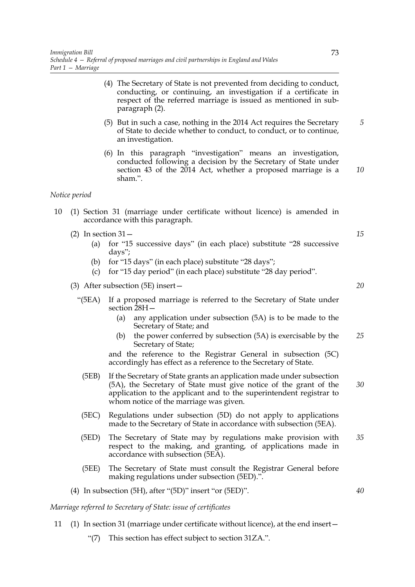- (4) The Secretary of State is not prevented from deciding to conduct, conducting, or continuing, an investigation if a certificate in respect of the referred marriage is issued as mentioned in subparagraph (2).
- (5) But in such a case, nothing in the 2014 Act requires the Secretary of State to decide whether to conduct, to conduct, or to continue, an investigation.
- (6) In this paragraph "investigation" means an investigation, conducted following a decision by the Secretary of State under section 43 of the 2014 Act, whether a proposed marriage is a sham.".

#### *Notice period*

- 10 (1) Section 31 (marriage under certificate without licence) is amended in accordance with this paragraph.
	- (2) In section  $31-$ 
		- (a) for "15 successive days" (in each place) substitute "28 successive days";
		- (b) for "15 days" (in each place) substitute "28 days";
		- (c) for "15 day period" (in each place) substitute "28 day period".
	- (3) After subsection (5E) insert—
		- "(5EA) If a proposed marriage is referred to the Secretary of State under section 28H—
			- (a) any application under subsection (5A) is to be made to the Secretary of State; and
			- (b) the power conferred by subsection (5A) is exercisable by the Secretary of State; *25*

and the reference to the Registrar General in subsection (5C) accordingly has effect as a reference to the Secretary of State.

- (5EB) If the Secretary of State grants an application made under subsection (5A), the Secretary of State must give notice of the grant of the application to the applicant and to the superintendent registrar to whom notice of the marriage was given. *30*
- (5EC) Regulations under subsection (5D) do not apply to applications made to the Secretary of State in accordance with subsection (5EA).
- (5ED) The Secretary of State may by regulations make provision with respect to the making, and granting, of applications made in accordance with subsection (5EA). *35*
- (5EE) The Secretary of State must consult the Registrar General before making regulations under subsection (5ED).".
- (4) In subsection (5H), after "(5D)" insert "or (5ED)".

*Marriage referred to Secretary of State: issue of certificates*

- 11 (1) In section 31 (marriage under certificate without licence), at the end insert—
	- "(7) This section has effect subject to section 31ZA.".

*15*

*5*

*10*

*20*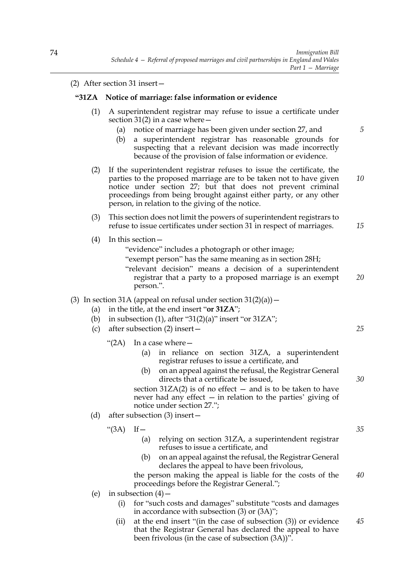(2) After section 31 insert—

### **"31ZA Notice of marriage: false information or evidence**

- (1) A superintendent registrar may refuse to issue a certificate under section 31(2) in a case where  $-$ 
	- (a) notice of marriage has been given under section 27, and
	- (b) a superintendent registrar has reasonable grounds for suspecting that a relevant decision was made incorrectly because of the provision of false information or evidence.
- (2) If the superintendent registrar refuses to issue the certificate, the parties to the proposed marriage are to be taken not to have given notice under section 27; but that does not prevent criminal proceedings from being brought against either party, or any other person, in relation to the giving of the notice. *10*
- (3) This section does not limit the powers of superintendent registrars to refuse to issue certificates under section 31 in respect of marriages.
- (4) In this section—
	- "evidence" includes a photograph or other image;
	- "exempt person" has the same meaning as in section 28H;
	- "relevant decision" means a decision of a superintendent registrar that a party to a proposed marriage is an exempt person.". *20*
- (3) In section 31A (appeal on refusal under section  $31(2)(a)$ )
	- (a) in the title, at the end insert "**or 31ZA**";
	- (b) in subsection (1), after " $31(2)(a)$ " insert "or  $31ZA$ ";
	- (c) after subsection (2) insert—
		- " $(2A)$  In a case where  $-$ 
			- (a) in reliance on section 31ZA, a superintendent registrar refuses to issue a certificate, and
			- (b) on an appeal against the refusal, the Registrar General directs that a certificate be issued,

section  $31ZA(2)$  is of no effect  $-$  and is to be taken to have never had any effect — in relation to the parties' giving of notice under section 27.";

(d) after subsection (3) insert—

" $(3A)$  If  $-$ 

- (a) relying on section 31ZA, a superintendent registrar refuses to issue a certificate, and
- (b) on an appeal against the refusal, the Registrar General declares the appeal to have been frivolous,

the person making the appeal is liable for the costs of the proceedings before the Registrar General."; *40*

- (e) in subsection  $(4)$ 
	- (i) for "such costs and damages" substitute "costs and damages in accordance with subsection (3) or (3A)";
	- (ii) at the end insert "(in the case of subsection (3)) or evidence that the Registrar General has declared the appeal to have been frivolous (in the case of subsection (3A))". *45*

*35*

*30*

*25*

*5*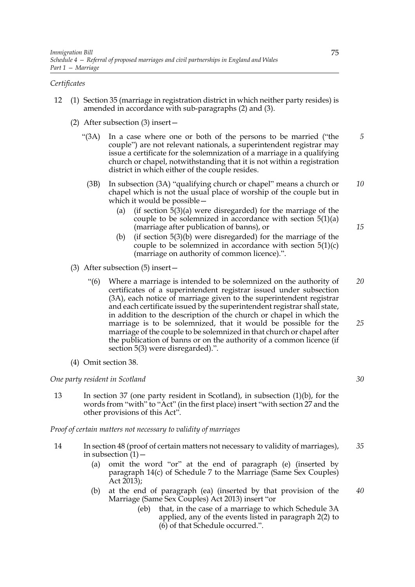### *Certificates*

- 12 (1) Section 35 (marriage in registration district in which neither party resides) is amended in accordance with sub-paragraphs (2) and (3).
	- (2) After subsection (3) insert—
		- "(3A) In a case where one or both of the persons to be married ("the couple") are not relevant nationals, a superintendent registrar may issue a certificate for the solemnization of a marriage in a qualifying church or chapel, notwithstanding that it is not within a registration district in which either of the couple resides. *5*
		- (3B) In subsection (3A) "qualifying church or chapel" means a church or chapel which is not the usual place of worship of the couple but in which it would be possible— *10*
			- (a) (if section  $5(3)(a)$  were disregarded) for the marriage of the couple to be solemnized in accordance with section 5(1)(a) (marriage after publication of banns), or
			- (b) (if section 5(3)(b) were disregarded) for the marriage of the couple to be solemnized in accordance with section  $5(1)(c)$ (marriage on authority of common licence).".
	- (3) After subsection (5) insert—
		- "(6) Where a marriage is intended to be solemnized on the authority of certificates of a superintendent registrar issued under subsection (3A), each notice of marriage given to the superintendent registrar and each certificate issued by the superintendent registrar shall state, in addition to the description of the church or chapel in which the marriage is to be solemnized, that it would be possible for the marriage of the couple to be solemnized in that church or chapel after the publication of banns or on the authority of a common licence (if section 5(3) were disregarded).". *20 25*
	- (4) Omit section 38.

#### *One party resident in Scotland*

13 In section 37 (one party resident in Scotland), in subsection (1)(b), for the words from "with" to "Act" (in the first place) insert "with section 27 and the other provisions of this Act".

*Proof of certain matters not necessary to validity of marriages*

- 14 In section 48 (proof of certain matters not necessary to validity of marriages), in subsection  $(1)$  – *35*
	- (a) omit the word "or" at the end of paragraph (e) (inserted by paragraph 14(c) of Schedule 7 to the Marriage (Same Sex Couples) Act 2013);
	- (b) at the end of paragraph (ea) (inserted by that provision of the Marriage (Same Sex Couples) Act 2013) insert "or
		- (eb) that, in the case of a marriage to which Schedule 3A applied, any of the events listed in paragraph 2(2) to (6) of that Schedule occurred.".

*30*

*15*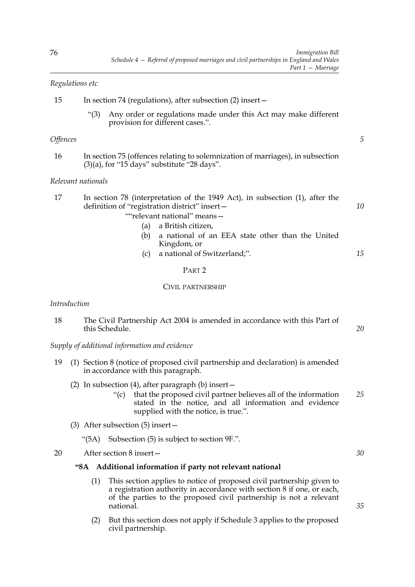# *Regulations etc*

| 15 | In section 74 (regulations), after subsection (2) insert- |  |  |
|----|-----------------------------------------------------------|--|--|
|    |                                                           |  |  |

"(3) Any order or regulations made under this Act may make different provision for different cases.".

### *Offences*

16 In section 75 (offences relating to solemnization of marriages), in subsection  $(3)(a)$ , for "15 days" substitute "28 days".

### *Relevant nationals*

| 17 | In section 78 (interpretation of the 1949 Act), in subsection (1), after the |  |
|----|------------------------------------------------------------------------------|--|
|    | definition of "registration district" insert-                                |  |
|    | ""relevant national" means-                                                  |  |

- (a) a British citizen,
- (b) a national of an EEA state other than the United Kingdom, or
- (c) a national of Switzerland;". *15*

### PART 2

### CIVIL PARTNERSHIP

### *Introduction*

| 18 | The Civil Partnership Act 2004 is amended in accordance with this Part of |  |
|----|---------------------------------------------------------------------------|--|
|    | this Schedule.                                                            |  |

*Supply of additional information and evidence*

- 19 (1) Section 8 (notice of proposed civil partnership and declaration) is amended in accordance with this paragraph.
	- (2) In subsection (4), after paragraph (b) insert—
		- "(c) that the proposed civil partner believes all of the information stated in the notice, and all information and evidence supplied with the notice, is true.". *25*
	- (3) After subsection (5) insert—
		- "(5A) Subsection (5) is subject to section 9F.".

20 After section 8 insert—

### **"8A Additional information if party not relevant national**

- (1) This section applies to notice of proposed civil partnership given to a registration authority in accordance with section 8 if one, or each, of the parties to the proposed civil partnership is not a relevant national.
- (2) But this section does not apply if Schedule 3 applies to the proposed civil partnership.

*35*

*30*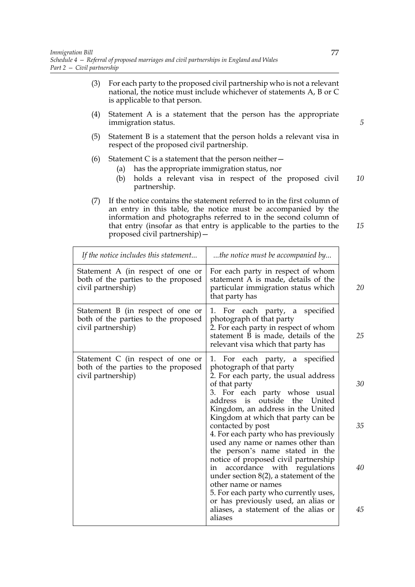- (3) For each party to the proposed civil partnership who is not a relevant national, the notice must include whichever of statements A, B or C is applicable to that person.
- (4) Statement A is a statement that the person has the appropriate immigration status.
- (5) Statement B is a statement that the person holds a relevant visa in respect of the proposed civil partnership.
- (6) Statement C is a statement that the person neither  $-$ 
	- (a) has the appropriate immigration status, nor
	- (b) holds a relevant visa in respect of the proposed civil partnership. *10*
- (7) If the notice contains the statement referred to in the first column of an entry in this table, the notice must be accompanied by the information and photographs referred to in the second column of that entry (insofar as that entry is applicable to the parties to the proposed civil partnership)—

| If the notice includes this statement                                                          | the notice must be accompanied by                                                                                                                                                                                                        |          |
|------------------------------------------------------------------------------------------------|------------------------------------------------------------------------------------------------------------------------------------------------------------------------------------------------------------------------------------------|----------|
| Statement A (in respect of one or<br>both of the parties to the proposed<br>civil partnership) | For each party in respect of whom<br>statement A is made, details of the<br>particular immigration status which<br>that party has                                                                                                        | 20       |
| Statement B (in respect of one or<br>both of the parties to the proposed<br>civil partnership) | 1. For each party, a<br>specified<br>photograph of that party<br>2. For each party in respect of whom<br>statement B is made, details of the<br>relevant visa which that party has                                                       | 25       |
| Statement C (in respect of one or<br>both of the parties to the proposed<br>civil partnership) | For each party, a specified<br>1.<br>photograph of that party<br>2. For each party, the usual address<br>of that party<br>3. For each party whose usual<br>outside<br>address is<br>the<br>United<br>Kingdom, an address in the United   | 30       |
|                                                                                                | Kingdom at which that party can be<br>contacted by post<br>4. For each party who has previously<br>used any name or names other than<br>the person's name stated in the<br>notice of proposed civil partnership                          | 35       |
|                                                                                                | accordance with regulations<br>in<br>under section $8(2)$ , a statement of the<br>other name or names<br>5. For each party who currently uses,<br>or has previously used, an alias or<br>aliases, a statement of the alias or<br>aliases | 40<br>45 |

*5*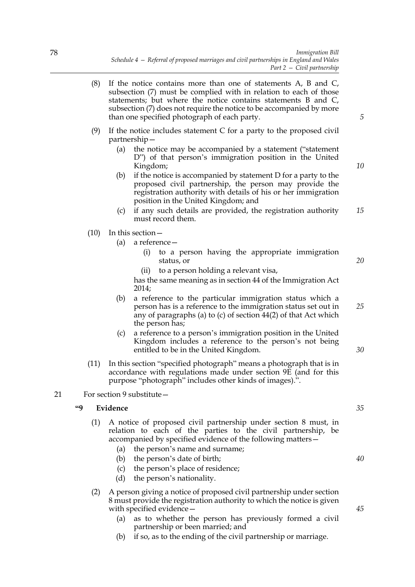- (8) If the notice contains more than one of statements A, B and C, subsection (7) must be complied with in relation to each of those statements; but where the notice contains statements B and C, subsection (7) does not require the notice to be accompanied by more than one specified photograph of each party.
- (9) If the notice includes statement C for a party to the proposed civil partnership—
	- (a) the notice may be accompanied by a statement ("statement D") of that person's immigration position in the United Kingdom;
	- (b) if the notice is accompanied by statement D for a party to the proposed civil partnership, the person may provide the registration authority with details of his or her immigration position in the United Kingdom; and
	- (c) if any such details are provided, the registration authority must record them. *15*
- (10) In this section—
	- (a) a reference—
		- (i) to a person having the appropriate immigration status, or
		- (ii) to a person holding a relevant visa,

has the same meaning as in section 44 of the Immigration Act 2014;

- (b) a reference to the particular immigration status which a person has is a reference to the immigration status set out in any of paragraphs (a) to (c) of section 44(2) of that Act which the person has;
- (c) a reference to a person's immigration position in the United Kingdom includes a reference to the person's not being entitled to be in the United Kingdom.
- (11) In this section "specified photograph" means a photograph that is in accordance with regulations made under section 9E (and for this purpose "photograph" includes other kinds of images).".

## 21 For section 9 substitute—

# **"9 Evidence**

- (1) A notice of proposed civil partnership under section 8 must, in relation to each of the parties to the civil partnership, be accompanied by specified evidence of the following matters—
	- (a) the person's name and surname;
	- (b) the person's date of birth;
	- (c) the person's place of residence;
	- (d) the person's nationality.
- (2) A person giving a notice of proposed civil partnership under section 8 must provide the registration authority to which the notice is given with specified evidence—
	- (a) as to whether the person has previously formed a civil partnership or been married; and
	- (b) if so, as to the ending of the civil partnership or marriage.

*35*

*40*

*45*

*20*

*25*

*30*

*5*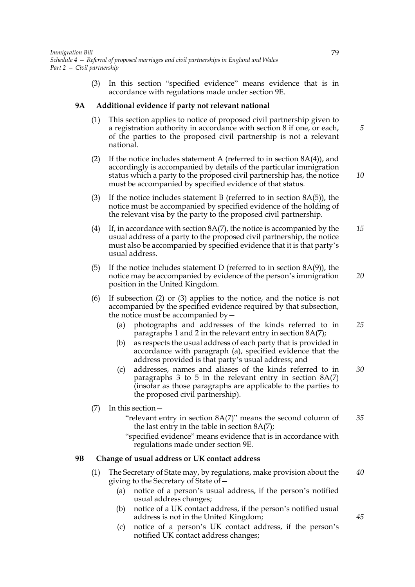(3) In this section "specified evidence" means evidence that is in accordance with regulations made under section 9E.

## **9A Additional evidence if party not relevant national**

- (1) This section applies to notice of proposed civil partnership given to a registration authority in accordance with section 8 if one, or each, of the parties to the proposed civil partnership is not a relevant national.
- (2) If the notice includes statement A (referred to in section  $8A(4)$ ), and accordingly is accompanied by details of the particular immigration status which a party to the proposed civil partnership has, the notice must be accompanied by specified evidence of that status.
- (3) If the notice includes statement B (referred to in section  $8A(5)$ ), the notice must be accompanied by specified evidence of the holding of the relevant visa by the party to the proposed civil partnership.
- (4) If, in accordance with section  $8A(7)$ , the notice is accompanied by the usual address of a party to the proposed civil partnership, the notice must also be accompanied by specified evidence that it is that party's usual address. *15*
- (5) If the notice includes statement D (referred to in section  $8A(9)$ ), the notice may be accompanied by evidence of the person's immigration position in the United Kingdom.
- (6) If subsection (2) or (3) applies to the notice, and the notice is not accompanied by the specified evidence required by that subsection, the notice must be accompanied by—
	- (a) photographs and addresses of the kinds referred to in paragraphs 1 and 2 in the relevant entry in section 8A(7); *25*
	- (b) as respects the usual address of each party that is provided in accordance with paragraph (a), specified evidence that the address provided is that party's usual address; and
	- (c) addresses, names and aliases of the kinds referred to in paragraphs 3 to 5 in the relevant entry in section 8A(7) (insofar as those paragraphs are applicable to the parties to the proposed civil partnership).
- (7) In this section—
	- "relevant entry in section 8A(7)" means the second column of the last entry in the table in section 8A(7); *35*
	- "specified evidence" means evidence that is in accordance with regulations made under section 9E.

### **9B Change of usual address or UK contact address**

- (1) The Secretary of State may, by regulations, make provision about the giving to the Secretary of State of— *40*
	- (a) notice of a person's usual address, if the person's notified usual address changes;
	- (b) notice of a UK contact address, if the person's notified usual address is not in the United Kingdom;
	- (c) notice of a person's UK contact address, if the person's notified UK contact address changes;

*5*

*10*

*20*

*30*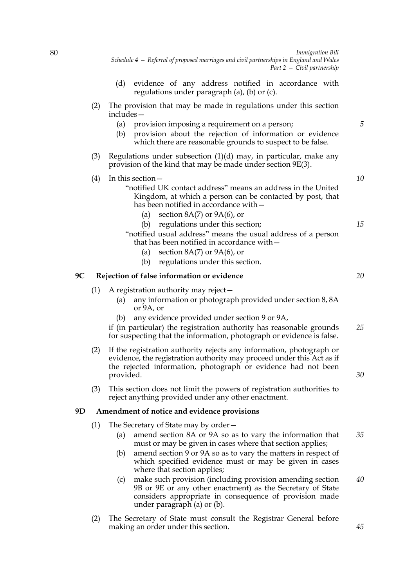- (d) evidence of any address notified in accordance with regulations under paragraph (a), (b) or (c). (2) The provision that may be made in regulations under this section includes— (a) provision imposing a requirement on a person; (b) provision about the rejection of information or evidence which there are reasonable grounds to suspect to be false. (3) Regulations under subsection  $(1)(d)$  may, in particular, make any provision of the kind that may be made under section 9E(3). (4) In this section— "notified UK contact address" means an address in the United Kingdom, at which a person can be contacted by post, that has been notified in accordance with— (a) section  $8A(7)$  or  $9A(6)$ , or (b) regulations under this section; "notified usual address" means the usual address of a person that has been notified in accordance with— (a) section  $8A(7)$  or  $9A(6)$ , or (b) regulations under this section. **9C Rejection of false information or evidence** (1) A registration authority may reject— (a) any information or photograph provided under section 8, 8A or 9A, or (b) any evidence provided under section 9 or 9A, if (in particular) the registration authority has reasonable grounds for suspecting that the information, photograph or evidence is false. (2) If the registration authority rejects any information, photograph or evidence, the registration authority may proceed under this Act as if the rejected information, photograph or evidence had not been provided. (3) This section does not limit the powers of registration authorities to reject anything provided under any other enactment. **9D Amendment of notice and evidence provisions** (1) The Secretary of State may by order— (a) amend section 8A or 9A so as to vary the information that must or may be given in cases where that section applies; (b) amend section 9 or 9A so as to vary the matters in respect of which specified evidence must or may be given in cases where that section applies; *5 10 15 20 25 30 35 40*
	- (c) make such provision (including provision amending section 9B or 9E or any other enactment) as the Secretary of State considers appropriate in consequence of provision made under paragraph (a) or (b).
	- (2) The Secretary of State must consult the Registrar General before making an order under this section.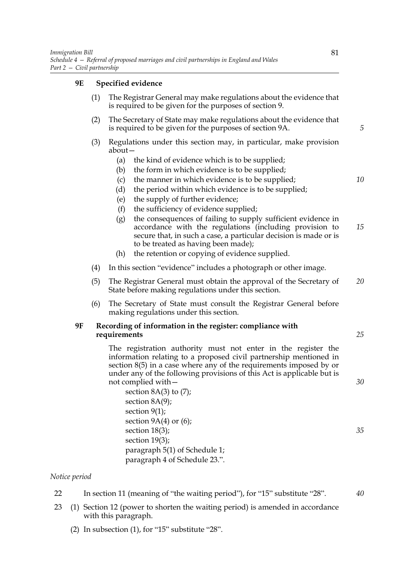### **9E Specified evidence**

- (1) The Registrar General may make regulations about the evidence that is required to be given for the purposes of section 9.
- (2) The Secretary of State may make regulations about the evidence that is required to be given for the purposes of section 9A.
- (3) Regulations under this section may, in particular, make provision about—
	- (a) the kind of evidence which is to be supplied;
	- (b) the form in which evidence is to be supplied;
	- (c) the manner in which evidence is to be supplied;
	- (d) the period within which evidence is to be supplied;
	- (e) the supply of further evidence;
	- (f) the sufficiency of evidence supplied;
	- (g) the consequences of failing to supply sufficient evidence in accordance with the regulations (including provision to secure that, in such a case, a particular decision is made or is to be treated as having been made); *15*
	- (h) the retention or copying of evidence supplied.
- (4) In this section "evidence" includes a photograph or other image.
- (5) The Registrar General must obtain the approval of the Secretary of State before making regulations under this section. *20*
- (6) The Secretary of State must consult the Registrar General before making regulations under this section.

#### **9F Recording of information in the register: compliance with requirements**

The registration authority must not enter in the register the information relating to a proposed civil partnership mentioned in section 8(5) in a case where any of the requirements imposed by or under any of the following provisions of this Act is applicable but is not complied with—

section 8A(3) to (7); section 8A(9); section 9(1); section 9A(4) or (6); section 18(3); section 19(3); paragraph 5(1) of Schedule 1; paragraph 4 of Schedule 23.".

#### *Notice period*

- 22 In section 11 (meaning of "the waiting period"), for "15" substitute "28".
- 23 (1) Section 12 (power to shorten the waiting period) is amended in accordance with this paragraph.
	- (2) In subsection (1), for "15" substitute "28".

*5*

*10*

*25*

*30*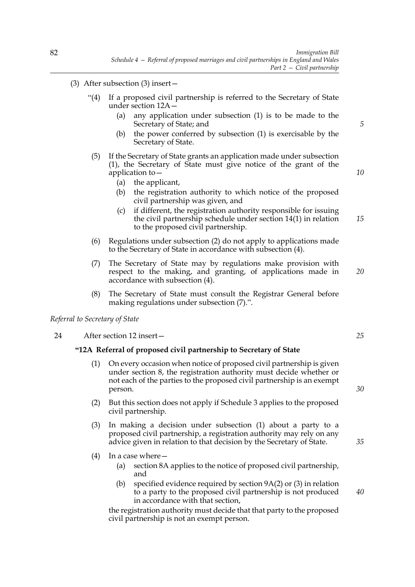- (3) After subsection (3) insert—
	- "(4) If a proposed civil partnership is referred to the Secretary of State under section 12A—
		- (a) any application under subsection (1) is to be made to the Secretary of State; and
		- (b) the power conferred by subsection (1) is exercisable by the Secretary of State.
	- (5) If the Secretary of State grants an application made under subsection (1), the Secretary of State must give notice of the grant of the application to—
		- (a) the applicant,
		- (b) the registration authority to which notice of the proposed civil partnership was given, and
		- (c) if different, the registration authority responsible for issuing the civil partnership schedule under section 14(1) in relation to the proposed civil partnership.
	- (6) Regulations under subsection (2) do not apply to applications made to the Secretary of State in accordance with subsection (4).
	- (7) The Secretary of State may by regulations make provision with respect to the making, and granting, of applications made in accordance with subsection (4). *20*
	- (8) The Secretary of State must consult the Registrar General before making regulations under subsection (7).".

*Referral to Secretary of State*

24 After section 12 insert—

#### **"12A Referral of proposed civil partnership to Secretary of State**

- (1) On every occasion when notice of proposed civil partnership is given under section 8, the registration authority must decide whether or not each of the parties to the proposed civil partnership is an exempt person.
- (2) But this section does not apply if Schedule 3 applies to the proposed civil partnership.
- (3) In making a decision under subsection (1) about a party to a proposed civil partnership, a registration authority may rely on any advice given in relation to that decision by the Secretary of State.
- (4) In a case where—
	- (a) section 8A applies to the notice of proposed civil partnership, and
	- (b) specified evidence required by section 9A(2) or (3) in relation to a party to the proposed civil partnership is not produced in accordance with that section,

the registration authority must decide that that party to the proposed civil partnership is not an exempt person.

*25*

*5*

*10*

*15*

*30*

*35*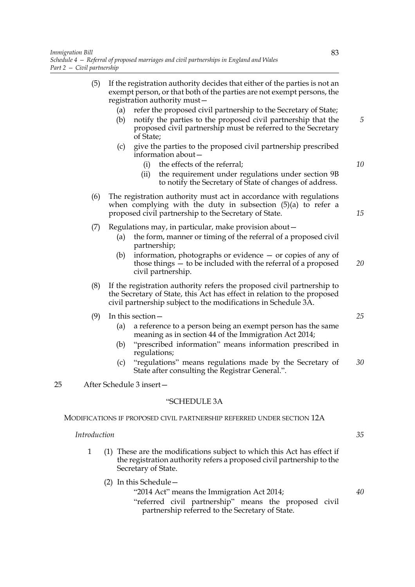- (5) If the registration authority decides that either of the parties is not an exempt person, or that both of the parties are not exempt persons, the registration authority must— (a) refer the proposed civil partnership to the Secretary of State; (b) notify the parties to the proposed civil partnership that the proposed civil partnership must be referred to the Secretary of State; (c) give the parties to the proposed civil partnership prescribed information about— (i) the effects of the referral; (ii) the requirement under regulations under section 9B to notify the Secretary of State of changes of address. (6) The registration authority must act in accordance with regulations when complying with the duty in subsection (5)(a) to refer a proposed civil partnership to the Secretary of State. (7) Regulations may, in particular, make provision about— (a) the form, manner or timing of the referral of a proposed civil partnership; (b) information, photographs or evidence — or copies of any of those things — to be included with the referral of a proposed civil partnership. (8) If the registration authority refers the proposed civil partnership to the Secretary of State, this Act has effect in relation to the proposed civil partnership subject to the modifications in Schedule 3A. (9) In this section— (a) a reference to a person being an exempt person has the same meaning as in section 44 of the Immigration Act 2014; *5 10 15 20 25*
	- (b) "prescribed information" means information prescribed in regulations;
	- (c) "regulations" means regulations made by the Secretary of State after consulting the Registrar General.". *30*

### 25 After Schedule 3 insert—

### "SCHEDULE 3A

#### MODIFICATIONS IF PROPOSED CIVIL PARTNERSHIP REFERRED UNDER SECTION 12A

#### *Introduction*

- 1 (1) These are the modifications subject to which this Act has effect if the registration authority refers a proposed civil partnership to the Secretary of State.
	- (2) In this Schedule— "2014 Act" means the Immigration Act 2014; "referred civil partnership" means the proposed civil partnership referred to the Secretary of State.

*40*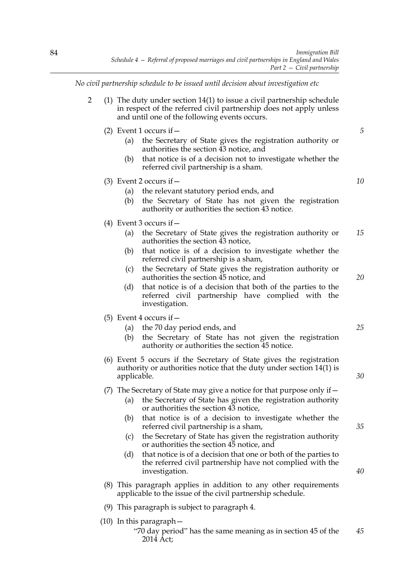*No civil partnership schedule to be issued until decision about investigation etc*

- 2 (1) The duty under section 14(1) to issue a civil partnership schedule in respect of the referred civil partnership does not apply unless and until one of the following events occurs.
	- (2) Event 1 occurs if  $-$ 
		- (a) the Secretary of State gives the registration authority or authorities the section 43 notice, and
		- (b) that notice is of a decision not to investigate whether the referred civil partnership is a sham.
	- (3) Event 2 occurs if—
		- (a) the relevant statutory period ends, and
		- (b) the Secretary of State has not given the registration authority or authorities the section 43 notice.
	- (4) Event 3 occurs if—
		- (a) the Secretary of State gives the registration authority or authorities the section 43 notice, *15*
		- (b) that notice is of a decision to investigate whether the referred civil partnership is a sham,
		- (c) the Secretary of State gives the registration authority or authorities the section 45 notice, and
		- (d) that notice is of a decision that both of the parties to the referred civil partnership have complied with the investigation.
	- (5) Event 4 occurs if  $-$ 
		- (a) the 70 day period ends, and
		- (b) the Secretary of State has not given the registration authority or authorities the section 45 notice.
	- (6) Event 5 occurs if the Secretary of State gives the registration authority or authorities notice that the duty under section 14(1) is applicable.
	- (7) The Secretary of State may give a notice for that purpose only if—
		- (a) the Secretary of State has given the registration authority or authorities the section 43 notice,
		- (b) that notice is of a decision to investigate whether the referred civil partnership is a sham,
		- (c) the Secretary of State has given the registration authority or authorities the section 45 notice, and
		- (d) that notice is of a decision that one or both of the parties to the referred civil partnership have not complied with the investigation.
	- (8) This paragraph applies in addition to any other requirements applicable to the issue of the civil partnership schedule.
	- (9) This paragraph is subject to paragraph 4.
	- (10) In this paragraph—

*25*

*20*

*5*

*10*

*30*

*35*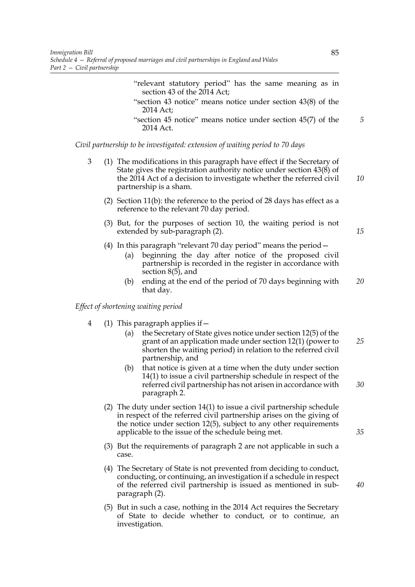- "relevant statutory period" has the same meaning as in section 43 of the 2014 Act;
- "section 43 notice" means notice under section 43(8) of the 2014 Act;
- "section 45 notice" means notice under section 45(7) of the 2014 Act.

*Civil partnership to be investigated: extension of waiting period to 70 days*

- 3 (1) The modifications in this paragraph have effect if the Secretary of State gives the registration authority notice under section 43(8) of the 2014 Act of a decision to investigate whether the referred civil partnership is a sham.
	- (2) Section 11(b): the reference to the period of 28 days has effect as a reference to the relevant 70 day period.
	- (3) But, for the purposes of section 10, the waiting period is not extended by sub-paragraph (2).
	- (4) In this paragraph "relevant 70 day period" means the period—
		- (a) beginning the day after notice of the proposed civil partnership is recorded in the register in accordance with section 8(5), and
		- (b) ending at the end of the period of 70 days beginning with that day. *20*

*Effect of shortening waiting period*

- 4 (1) This paragraph applies if—
	- (a) the Secretary of State gives notice under section 12(5) of the grant of an application made under section 12(1) (power to shorten the waiting period) in relation to the referred civil partnership, and *25*
	- (b) that notice is given at a time when the duty under section 14(1) to issue a civil partnership schedule in respect of the referred civil partnership has not arisen in accordance with paragraph 2. *30*
	- (2) The duty under section 14(1) to issue a civil partnership schedule in respect of the referred civil partnership arises on the giving of the notice under section 12(5), subject to any other requirements applicable to the issue of the schedule being met.
	- (3) But the requirements of paragraph 2 are not applicable in such a case.
	- (4) The Secretary of State is not prevented from deciding to conduct, conducting, or continuing, an investigation if a schedule in respect of the referred civil partnership is issued as mentioned in subparagraph (2).
	- (5) But in such a case, nothing in the 2014 Act requires the Secretary of State to decide whether to conduct, or to continue, an investigation.

*5*

*10*

*15*

*35*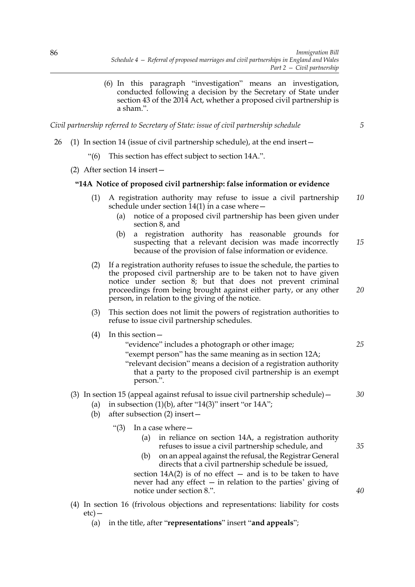(6) In this paragraph "investigation" means an investigation, conducted following a decision by the Secretary of State under section 43 of the 2014 Act, whether a proposed civil partnership is a sham.".

*Civil partnership referred to Secretary of State: issue of civil partnership schedule*

*20*

*25*

*30*

*35*

*40*

- 26 (1) In section 14 (issue of civil partnership schedule), at the end insert—
	- "(6) This section has effect subject to section 14A.".
	- (2) After section 14 insert—

#### **"14A Notice of proposed civil partnership: false information or evidence**

- (1) A registration authority may refuse to issue a civil partnership schedule under section  $14(1)$  in a case where  $-$ *10*
	- (a) notice of a proposed civil partnership has been given under section 8, and
	- (b) a registration authority has reasonable grounds for suspecting that a relevant decision was made incorrectly because of the provision of false information or evidence. *15*
- (2) If a registration authority refuses to issue the schedule, the parties to the proposed civil partnership are to be taken not to have given notice under section 8; but that does not prevent criminal proceedings from being brought against either party, or any other person, in relation to the giving of the notice.
- (3) This section does not limit the powers of registration authorities to refuse to issue civil partnership schedules.
- (4) In this section—
	- "evidence" includes a photograph or other image; "exempt person" has the same meaning as in section 12A; "relevant decision" means a decision of a registration authority that a party to the proposed civil partnership is an exempt person.".

### (3) In section 15 (appeal against refusal to issue civil partnership schedule)  $-$

- (a) in subsection  $(1)(b)$ , after "14(3)" insert "or 14A";
- (b) after subsection (2) insert—
	- "(3) In a case where—
		- (a) in reliance on section 14A, a registration authority refuses to issue a civil partnership schedule, and
		- (b) on an appeal against the refusal, the Registrar General directs that a civil partnership schedule be issued,

section  $14A(2)$  is of no effect  $-$  and is to be taken to have never had any effect — in relation to the parties' giving of notice under section 8.".

(4) In section 16 (frivolous objections and representations: liability for costs etc)—

(a) in the title, after "**representations**" insert "**and appeals**";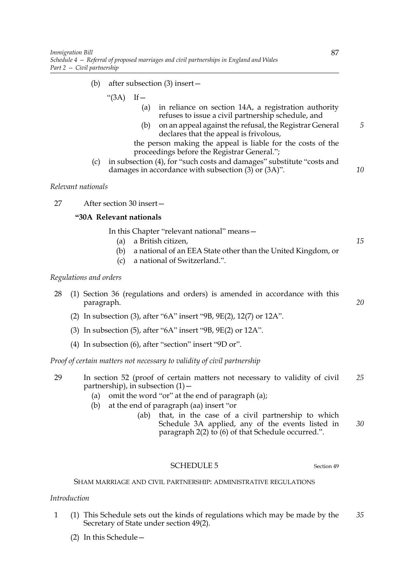- (b) after subsection (3) insert—
	- " $(3A)$  If  $-$ 
		- (a) in reliance on section 14A, a registration authority refuses to issue a civil partnership schedule, and
		- (b) on an appeal against the refusal, the Registrar General declares that the appeal is frivolous,
		- the person making the appeal is liable for the costs of the proceedings before the Registrar General.";
- (c) in subsection (4), for "such costs and damages" substitute "costs and damages in accordance with subsection (3) or (3A)".

### *Relevant nationals*

27 After section 30 insert—

# **"30A Relevant nationals**

In this Chapter "relevant national" means—

- (a) a British citizen,
- (b) a national of an EEA State other than the United Kingdom, or
- (c) a national of Switzerland.".

#### *Regulations and orders*

- 28 (1) Section 36 (regulations and orders) is amended in accordance with this paragraph.
	- (2) In subsection (3), after "6A" insert "9B, 9E(2), 12(7) or 12A".
	- (3) In subsection (5), after "6A" insert "9B, 9E(2) or 12A".
	- (4) In subsection (6), after "section" insert "9D or".

*Proof of certain matters not necessary to validity of civil partnership*

- 29 In section 52 (proof of certain matters not necessary to validity of civil partnership), in subsection  $(1)$  – *25*
	- (a) omit the word "or" at the end of paragraph (a);
	- (b) at the end of paragraph (aa) insert "or
		- (ab) that, in the case of a civil partnership to which Schedule 3A applied, any of the events listed in paragraph 2(2) to (6) of that Schedule occurred.". *30*

#### SCHEDULE 5 Section 49

SHAM MARRIAGE AND CIVIL PARTNERSHIP: ADMINISTRATIVE REGULATIONS

#### *Introduction*

- 1 (1) This Schedule sets out the kinds of regulations which may be made by the Secretary of State under section 49(2). *35*
	- (2) In this Schedule—

*5*

*10*

*15*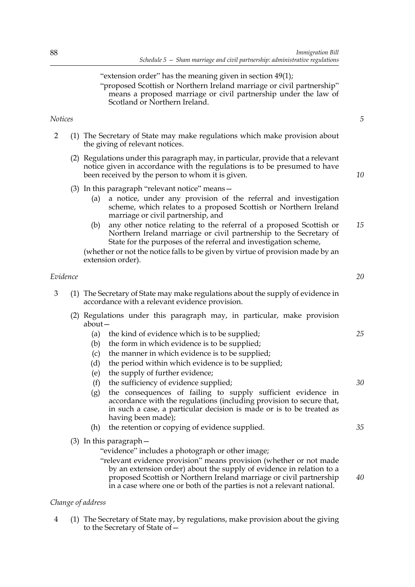# "extension order" has the meaning given in section 49(1); "proposed Scottish or Northern Ireland marriage or civil partnership" means a proposed marriage or civil partnership under the law of Scotland or Northern Ireland.

# *Notices*

- 2 (1) The Secretary of State may make regulations which make provision about the giving of relevant notices.
	- (2) Regulations under this paragraph may, in particular, provide that a relevant notice given in accordance with the regulations is to be presumed to have been received by the person to whom it is given.
	- (3) In this paragraph "relevant notice" means—
		- (a) a notice, under any provision of the referral and investigation scheme, which relates to a proposed Scottish or Northern Ireland marriage or civil partnership, and
		- (b) any other notice relating to the referral of a proposed Scottish or Northern Ireland marriage or civil partnership to the Secretary of State for the purposes of the referral and investigation scheme, *15*

(whether or not the notice falls to be given by virtue of provision made by an extension order).

### *Evidence*

- 3 (1) The Secretary of State may make regulations about the supply of evidence in accordance with a relevant evidence provision.
	- (2) Regulations under this paragraph may, in particular, make provision about—
		- (a) the kind of evidence which is to be supplied;
		- (b) the form in which evidence is to be supplied;
		- (c) the manner in which evidence is to be supplied;
		- (d) the period within which evidence is to be supplied;
		- (e) the supply of further evidence;
		- (f) the sufficiency of evidence supplied;
		- (g) the consequences of failing to supply sufficient evidence in accordance with the regulations (including provision to secure that, in such a case, a particular decision is made or is to be treated as having been made);
		- (h) the retention or copying of evidence supplied.
	- (3) In this paragraph—
		- "evidence" includes a photograph or other image;
		- "relevant evidence provision" means provision (whether or not made by an extension order) about the supply of evidence in relation to a proposed Scottish or Northern Ireland marriage or civil partnership in a case where one or both of the parties is not a relevant national.

### *Change of address*

4 (1) The Secretary of State may, by regulations, make provision about the giving to the Secretary of State of*20*

*5*

*10*

*30*

*35*

*40*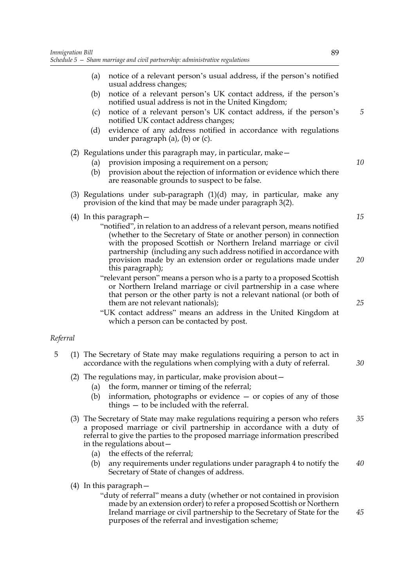- (a) notice of a relevant person's usual address, if the person's notified usual address changes;
- (b) notice of a relevant person's UK contact address, if the person's notified usual address is not in the United Kingdom;
- (c) notice of a relevant person's UK contact address, if the person's notified UK contact address changes;
- (d) evidence of any address notified in accordance with regulations under paragraph (a), (b) or (c).

### (2) Regulations under this paragraph may, in particular, make—

- (a) provision imposing a requirement on a person;
- (b) provision about the rejection of information or evidence which there are reasonable grounds to suspect to be false.
- (3) Regulations under sub-paragraph  $(1)(d)$  may, in particular, make any provision of the kind that may be made under paragraph 3(2).
- (4) In this paragraph—
	- "notified", in relation to an address of a relevant person, means notified (whether to the Secretary of State or another person) in connection with the proposed Scottish or Northern Ireland marriage or civil partnership (including any such address notified in accordance with provision made by an extension order or regulations made under this paragraph);
	- "relevant person" means a person who is a party to a proposed Scottish or Northern Ireland marriage or civil partnership in a case where that person or the other party is not a relevant national (or both of them are not relevant nationals);
	- "UK contact address" means an address in the United Kingdom at which a person can be contacted by post.

#### *Referral*

- 5 (1) The Secretary of State may make regulations requiring a person to act in accordance with the regulations when complying with a duty of referral.
	- (2) The regulations may, in particular, make provision about—
		- (a) the form, manner or timing of the referral;
		- (b) information, photographs or evidence or copies of any of those things — to be included with the referral.
	- (3) The Secretary of State may make regulations requiring a person who refers a proposed marriage or civil partnership in accordance with a duty of referral to give the parties to the proposed marriage information prescribed in the regulations about— *35*
		- (a) the effects of the referral;
		- (b) any requirements under regulations under paragraph 4 to notify the Secretary of State of changes of address. *40*
	- (4) In this paragraph—

"duty of referral" means a duty (whether or not contained in provision made by an extension order) to refer a proposed Scottish or Northern Ireland marriage or civil partnership to the Secretary of State for the purposes of the referral and investigation scheme;

*20*

*25*

*15*

*5*

*10*

*30*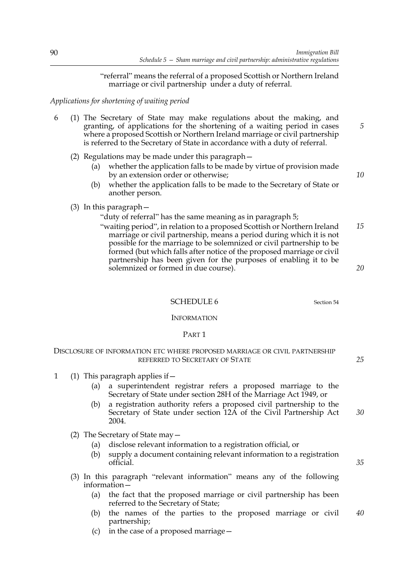"referral" means the referral of a proposed Scottish or Northern Ireland marriage or civil partnership under a duty of referral.

*Applications for shortening of waiting period*

- 6 (1) The Secretary of State may make regulations about the making, and granting, of applications for the shortening of a waiting period in cases where a proposed Scottish or Northern Ireland marriage or civil partnership is referred to the Secretary of State in accordance with a duty of referral.
	- (2) Regulations may be made under this paragraph—
		- (a) whether the application falls to be made by virtue of provision made by an extension order or otherwise;
		- (b) whether the application falls to be made to the Secretary of State or another person.
	- (3) In this paragraph—

"duty of referral" has the same meaning as in paragraph 5;

"waiting period", in relation to a proposed Scottish or Northern Ireland marriage or civil partnership, means a period during which it is not possible for the marriage to be solemnized or civil partnership to be formed (but which falls after notice of the proposed marriage or civil partnership has been given for the purposes of enabling it to be solemnized or formed in due course). *15 20*

SCHEDULE 6 Section 54

INFORMATION

#### PART 1

### DISCLOSURE OF INFORMATION ETC WHERE PROPOSED MARRIAGE OR CIVIL PARTNERSHIP REFERRED TO SECRETARY OF STATE

- 1 (1) This paragraph applies if—
	- (a) a superintendent registrar refers a proposed marriage to the Secretary of State under section 28H of the Marriage Act 1949, or
	- (b) a registration authority refers a proposed civil partnership to the Secretary of State under section 12A of the Civil Partnership Act 2004.
	- (2) The Secretary of State may—
		- (a) disclose relevant information to a registration official, or
		- (b) supply a document containing relevant information to a registration official.
	- (3) In this paragraph "relevant information" means any of the following information—
		- (a) the fact that the proposed marriage or civil partnership has been referred to the Secretary of State;
		- (b) the names of the parties to the proposed marriage or civil partnership; *40*
		- (c) in the case of a proposed marriage—

*10*

*5*

*25*

*35*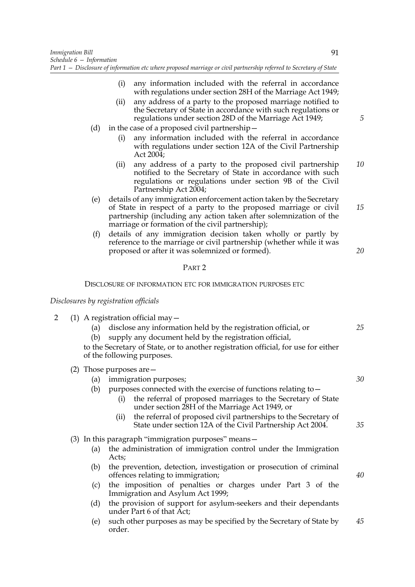- (i) any information included with the referral in accordance with regulations under section 28H of the Marriage Act 1949;
- (ii) any address of a party to the proposed marriage notified to the Secretary of State in accordance with such regulations or regulations under section 28D of the Marriage Act 1949;
- (d) in the case of a proposed civil partnership—
	- (i) any information included with the referral in accordance with regulations under section 12A of the Civil Partnership Act 2004;
	- (ii) any address of a party to the proposed civil partnership notified to the Secretary of State in accordance with such regulations or regulations under section 9B of the Civil Partnership Act 2004; *10*
- (e) details of any immigration enforcement action taken by the Secretary of State in respect of a party to the proposed marriage or civil partnership (including any action taken after solemnization of the marriage or formation of the civil partnership);
- (f) details of any immigration decision taken wholly or partly by reference to the marriage or civil partnership (whether while it was proposed or after it was solemnized or formed).

### PART 2

#### DISCLOSURE OF INFORMATION ETC FOR IMMIGRATION PURPOSES ETC

### *Disclosures by registration officials*

- 2 (1) A registration official may—
	- (a) disclose any information held by the registration official, or
	- (b) supply any document held by the registration official,

to the Secretary of State, or to another registration official, for use for either of the following purposes.

(2) Those purposes are—

| (a) |  | immigration purposes; |  |
|-----|--|-----------------------|--|
|     |  |                       |  |

- (b) purposes connected with the exercise of functions relating to—
	- (i) the referral of proposed marriages to the Secretary of State under section 28H of the Marriage Act 1949, or
	- (ii) the referral of proposed civil partnerships to the Secretary of State under section 12A of the Civil Partnership Act 2004.
- (3) In this paragraph "immigration purposes" means—
	- (a) the administration of immigration control under the Immigration Acts;
	- (b) the prevention, detection, investigation or prosecution of criminal offences relating to immigration;
	- (c) the imposition of penalties or charges under Part 3 of the Immigration and Asylum Act 1999;
	- (d) the provision of support for asylum-seekers and their dependants under Part 6 of that Act;
	- (e) such other purposes as may be specified by the Secretary of State by order. *45*

*5*

*15*

*20*

*25*

*30*

*35*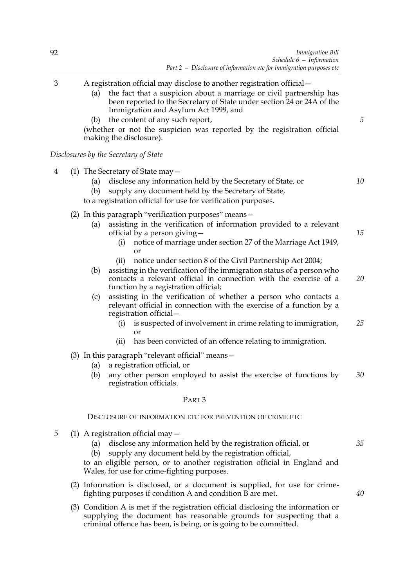- 3 A registration official may disclose to another registration official—
	- (a) the fact that a suspicion about a marriage or civil partnership has been reported to the Secretary of State under section 24 or 24A of the Immigration and Asylum Act 1999, and
	- (b) the content of any such report,

(whether or not the suspicion was reported by the registration official making the disclosure).

*Disclosures by the Secretary of State*

- 4 (1) The Secretary of State may—
	- (a) disclose any information held by the Secretary of State, or
	- (b) supply any document held by the Secretary of State,

to a registration official for use for verification purposes.

- (2) In this paragraph "verification purposes" means—
	- (a) assisting in the verification of information provided to a relevant official by a person giving—
		- (i) notice of marriage under section 27 of the Marriage Act 1949, or
		- (ii) notice under section 8 of the Civil Partnership Act 2004;
	- (b) assisting in the verification of the immigration status of a person who contacts a relevant official in connection with the exercise of a function by a registration official; *20*
	- (c) assisting in the verification of whether a person who contacts a relevant official in connection with the exercise of a function by a registration official—
		- (i) is suspected of involvement in crime relating to immigration, or *25*
		- (ii) has been convicted of an offence relating to immigration.
- (3) In this paragraph "relevant official" means—
	- (a) a registration official, or
	- (b) any other person employed to assist the exercise of functions by registration officials. *30*

#### PART 3

#### DISCLOSURE OF INFORMATION ETC FOR PREVENTION OF CRIME ETC

- 5 (1) A registration official may—
	- (a) disclose any information held by the registration official, or
	- (b) supply any document held by the registration official,

to an eligible person, or to another registration official in England and Wales, for use for crime-fighting purposes.

- (2) Information is disclosed, or a document is supplied, for use for crimefighting purposes if condition A and condition B are met.
- (3) Condition A is met if the registration official disclosing the information or supplying the document has reasonable grounds for suspecting that a criminal offence has been, is being, or is going to be committed.

*35*

*5*

*10*

*15*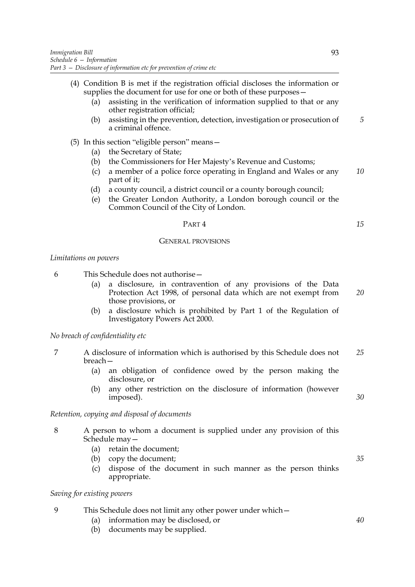- (4) Condition B is met if the registration official discloses the information or supplies the document for use for one or both of these purposes—
	- (a) assisting in the verification of information supplied to that or any other registration official;
	- (b) assisting in the prevention, detection, investigation or prosecution of a criminal offence. *5*
- (5) In this section "eligible person" means—
	- (a) the Secretary of State;
	- (b) the Commissioners for Her Majesty's Revenue and Customs;
	- (c) a member of a police force operating in England and Wales or any part of it; *10*
	- (d) a county council, a district council or a county borough council;
	- (e) the Greater London Authority, a London borough council or the Common Council of the City of London.

## PART 4

#### GENERAL PROVISIONS

### *Limitations on powers*

6 This Schedule does not authorise—

- (a) a disclosure, in contravention of any provisions of the Data Protection Act 1998, of personal data which are not exempt from those provisions, or
- (b) a disclosure which is prohibited by Part 1 of the Regulation of Investigatory Powers Act 2000.

#### *No breach of confidentiality etc*

- 7 A disclosure of information which is authorised by this Schedule does not breach— *25*
	- (a) an obligation of confidence owed by the person making the disclosure, or
	- (b) any other restriction on the disclosure of information (however imposed).

#### *Retention, copying and disposal of documents*

- 8 A person to whom a document is supplied under any provision of this Schedule may—
	- (a) retain the document;
	- (b) copy the document;
	- (c) dispose of the document in such manner as the person thinks appropriate.

### *Saving for existing powers*

- 9 This Schedule does not limit any other power under which—
	- (a) information may be disclosed, or
	- (b) documents may be supplied.

*30*

*15*

*20*

*35*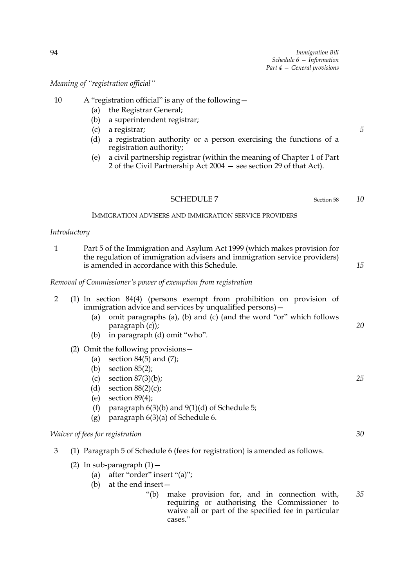*5*

*10*

*Meaning of "registration official"*

# 10 A "registration official" is any of the following—

- (a) the Registrar General;
- (b) a superintendent registrar;
- (c) a registrar;
- (d) a registration authority or a person exercising the functions of a registration authority;
- (e) a civil partnership registrar (within the meaning of Chapter 1 of Part 2 of the Civil Partnership Act 2004 — see section 29 of that Act).

#### SCHEDULE 7 Section 58

IMMIGRATION ADVISERS AND IMMIGRATION SERVICE PROVIDERS

## *Introductory*

1 Part 5 of the Immigration and Asylum Act 1999 (which makes provision for the regulation of immigration advisers and immigration service providers) is amended in accordance with this Schedule. *15*

*Removal of Commissioner's power of exemption from registration*

| $\overline{2}$ |     | (a)<br>(b)                      | $(1)$ In section 84 $(4)$ (persons exempt from probibition on provision of<br>immigration advice and services by unqualified persons) -<br>omit paragraphs (a), (b) and (c) (and the word "or" which follows<br>$paragn (c)$ ;<br>in paragraph (d) omit "who".     | 20 |
|----------------|-----|---------------------------------|--------------------------------------------------------------------------------------------------------------------------------------------------------------------------------------------------------------------------------------------------------------------|----|
|                | (2) | (a)<br>(b)<br>(c)<br>(d)<br>(e) | Omit the following provisions -<br>section $84(5)$ and $(7)$ ;<br>section $85(2)$ ;<br>section $87(3)(b)$ ;<br>section $88(2)(c)$ ;<br>section $89(4)$ ;                                                                                                           | 25 |
|                |     | (f)<br>(g)                      | paragraph $6(3)(b)$ and $9(1)(d)$ of Schedule 5;<br>paragraph 6(3)(a) of Schedule 6.                                                                                                                                                                               |    |
|                |     |                                 | <i>Waiver of fees for registration</i>                                                                                                                                                                                                                             | 30 |
| 3              |     |                                 | (1) Paragraph 5 of Schedule 6 (fees for registration) is amended as follows.                                                                                                                                                                                       |    |
|                |     | (b)                             | (2) In sub-paragraph $(1)$ -<br>(a) after "order" insert "(a)";<br>at the end insert-<br>make provision for, and in connection with,<br>" $(b)$<br>requiring or authorising the Commissioner to<br>waive all or part of the specified fee in particular<br>cases." | 35 |
|                |     |                                 |                                                                                                                                                                                                                                                                    |    |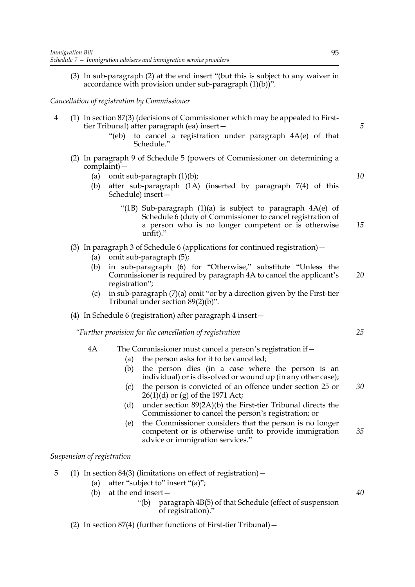(3) In sub-paragraph (2) at the end insert "(but this is subject to any waiver in accordance with provision under sub-paragraph (1)(b))".

### *Cancellation of registration by Commissioner*

- 4 (1) In section 87(3) (decisions of Commissioner which may be appealed to Firsttier Tribunal) after paragraph (ea) insert—
	- "(eb) to cancel a registration under paragraph 4A(e) of that Schedule."
	- (2) In paragraph 9 of Schedule 5 (powers of Commissioner on determining a complaint)—
		- (a) omit sub-paragraph (1)(b);
		- (b) after sub-paragraph (1A) (inserted by paragraph 7(4) of this Schedule) insert—
			- "(1B) Sub-paragraph  $(1)(a)$  is subject to paragraph  $4A(e)$  of Schedule 6 (duty of Commissioner to cancel registration of a person who is no longer competent or is otherwise unfit)." *15*
	- (3) In paragraph 3 of Schedule 6 (applications for continued registration)—
		- (a) omit sub-paragraph (5);
		- (b) in sub-paragraph (6) for "Otherwise," substitute "Unless the Commissioner is required by paragraph 4A to cancel the applicant's registration"; *20*
		- (c) in sub-paragraph (7)(a) omit "or by a direction given by the First-tier Tribunal under section 89(2)(b)".
	- (4) In Schedule 6 (registration) after paragraph 4 insert—

*"Further provision for the cancellation of registration*

### 4A The Commissioner must cancel a person's registration if—

- (a) the person asks for it to be cancelled;
- (b) the person dies (in a case where the person is an individual) or is dissolved or wound up (in any other case);
- (c) the person is convicted of an offence under section 25 or 26(1)(d) or (g) of the 1971 Act; *30*
- (d) under section 89(2A)(b) the First-tier Tribunal directs the Commissioner to cancel the person's registration; or
- (e) the Commissioner considers that the person is no longer competent or is otherwise unfit to provide immigration advice or immigration services." *35*

## *Suspension of registration*

- 5 (1) In section 84(3) (limitations on effect of registration)—
	- (a) after "subject to" insert "(a)";
	- (b) at the end insert—
		- "(b) paragraph 4B(5) of that Schedule (effect of suspension of registration)."
	- (2) In section 87(4) (further functions of First-tier Tribunal)—

*5*

*10*

*25*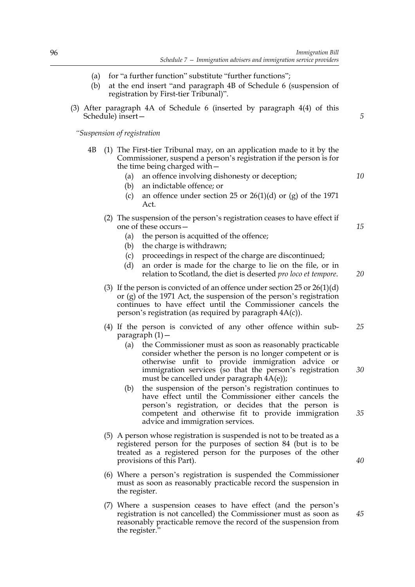- (a) for "a further function" substitute "further functions";
- (b) at the end insert "and paragraph 4B of Schedule 6 (suspension of registration by First-tier Tribunal)".
- (3) After paragraph 4A of Schedule 6 (inserted by paragraph 4(4) of this Schedule) insert—

*"Suspension of registration*

- 4B (1) The First-tier Tribunal may, on an application made to it by the Commissioner, suspend a person's registration if the person is for the time being charged with—
	- (a) an offence involving dishonesty or deception;
	- (b) an indictable offence; or
	- (c) an offence under section 25 or  $26(1)(d)$  or (g) of the 1971  $Act$
	- (2) The suspension of the person's registration ceases to have effect if one of these occurs—
		- (a) the person is acquitted of the offence;
		- (b) the charge is withdrawn;
		- (c) proceedings in respect of the charge are discontinued;
		- (d) an order is made for the charge to lie on the file, or in relation to Scotland, the diet is deserted *pro loco et tempore*.
	- (3) If the person is convicted of an offence under section 25 or 26(1)(d) or (g) of the 1971 Act, the suspension of the person's registration continues to have effect until the Commissioner cancels the person's registration (as required by paragraph 4A(c)).
	- (4) If the person is convicted of any other offence within subparagraph (1)— *25*
		- (a) the Commissioner must as soon as reasonably practicable consider whether the person is no longer competent or is otherwise unfit to provide immigration advice or immigration services (so that the person's registration must be cancelled under paragraph 4A(e));
		- (b) the suspension of the person's registration continues to have effect until the Commissioner either cancels the person's registration, or decides that the person is competent and otherwise fit to provide immigration advice and immigration services.
	- (5) A person whose registration is suspended is not to be treated as a registered person for the purposes of section 84 (but is to be treated as a registered person for the purposes of the other provisions of this Part).
	- (6) Where a person's registration is suspended the Commissioner must as soon as reasonably practicable record the suspension in the register.
	- (7) Where a suspension ceases to have effect (and the person's registration is not cancelled) the Commissioner must as soon as reasonably practicable remove the record of the suspension from the register."

*10*

*5*

*20*

*15*

*35*

*30*

*40*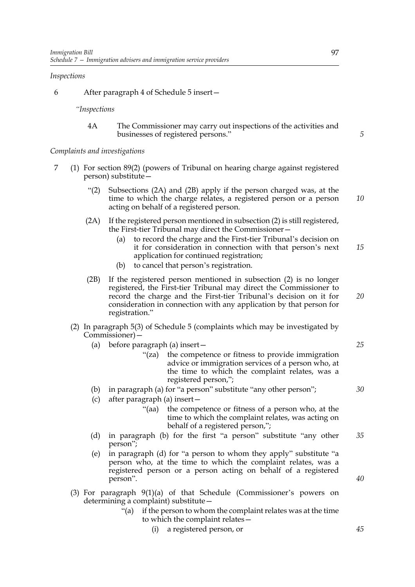#### *Inspections*

6 After paragraph 4 of Schedule 5 insert—

*"Inspections*

4A The Commissioner may carry out inspections of the activities and businesses of registered persons."

*Complaints and investigations*

- 7 (1) For section 89(2) (powers of Tribunal on hearing charge against registered person) substitute—
	- "(2) Subsections (2A) and (2B) apply if the person charged was, at the time to which the charge relates, a registered person or a person acting on behalf of a registered person. *10*
	- (2A) If the registered person mentioned in subsection (2) is still registered, the First-tier Tribunal may direct the Commissioner—
		- (a) to record the charge and the First-tier Tribunal's decision on it for consideration in connection with that person's next application for continued registration; *15*
		- (b) to cancel that person's registration.
	- (2B) If the registered person mentioned in subsection (2) is no longer registered, the First-tier Tribunal may direct the Commissioner to record the charge and the First-tier Tribunal's decision on it for consideration in connection with any application by that person for registration." *20*
	- (2) In paragraph 5(3) of Schedule 5 (complaints which may be investigated by Commissioner)—
		- (a) before paragraph (a) insert—
			- "(za) the competence or fitness to provide immigration advice or immigration services of a person who, at the time to which the complaint relates, was a registered person,";
		- (b) in paragraph (a) for "a person" substitute "any other person";
		- (c) after paragraph (a) insert—
			- "(aa) the competence or fitness of a person who, at the time to which the complaint relates, was acting on behalf of a registered person,";
		- (d) in paragraph (b) for the first "a person" substitute "any other person"; *35*
		- (e) in paragraph (d) for "a person to whom they apply" substitute "a person who, at the time to which the complaint relates, was a registered person or a person acting on behalf of a registered person".
	- (3) For paragraph 9(1)(a) of that Schedule (Commissioner's powers on determining a complaint) substitute—
		- "(a) if the person to whom the complaint relates was at the time to which the complaint relates—
			- (i) a registered person, or

*5*

*40*

*25*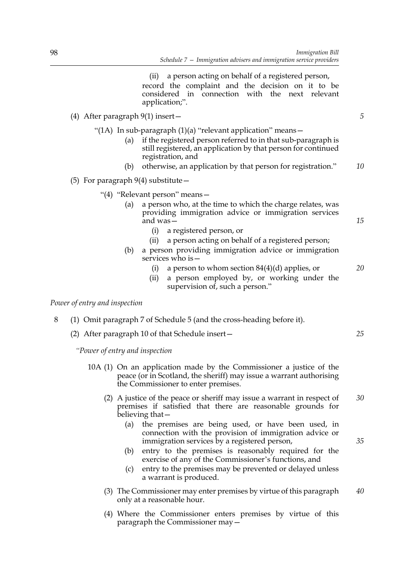(ii) a person acting on behalf of a registered person, record the complaint and the decision on it to be considered in connection with the next relevant application;".

- (4) After paragraph 9(1) insert—
	- "(1A) In sub-paragraph  $(1)(a)$  "relevant application" means -
		- (a) if the registered person referred to in that sub-paragraph is still registered, an application by that person for continued registration, and
		- (b) otherwise, an application by that person for registration." *10*
- (5) For paragraph  $9(4)$  substitute  $-$ 
	- "(4) "Relevant person" means—
		- (a) a person who, at the time to which the charge relates, was providing immigration advice or immigration services and was—
			- (i) a registered person, or
			- (ii) a person acting on behalf of a registered person;
		- (b) a person providing immigration advice or immigration services who is—
			- (i) a person to whom section  $84(4)(d)$  applies, or
			- (ii) a person employed by, or working under the supervision of, such a person."

#### *Power of entry and inspection*

- 8 (1) Omit paragraph 7 of Schedule 5 (and the cross-heading before it).
	- (2) After paragraph 10 of that Schedule insert—

*"Power of entry and inspection*

- 10A (1) On an application made by the Commissioner a justice of the peace (or in Scotland, the sheriff) may issue a warrant authorising the Commissioner to enter premises.
	- (2) A justice of the peace or sheriff may issue a warrant in respect of premises if satisfied that there are reasonable grounds for believing that— *30*
		- (a) the premises are being used, or have been used, in connection with the provision of immigration advice or immigration services by a registered person,
		- (b) entry to the premises is reasonably required for the exercise of any of the Commissioner's functions, and
		- (c) entry to the premises may be prevented or delayed unless a warrant is produced.
	- (3) The Commissioner may enter premises by virtue of this paragraph only at a reasonable hour. *40*
	- (4) Where the Commissioner enters premises by virtue of this paragraph the Commissioner may—

*25*

*5*

*15*

*20*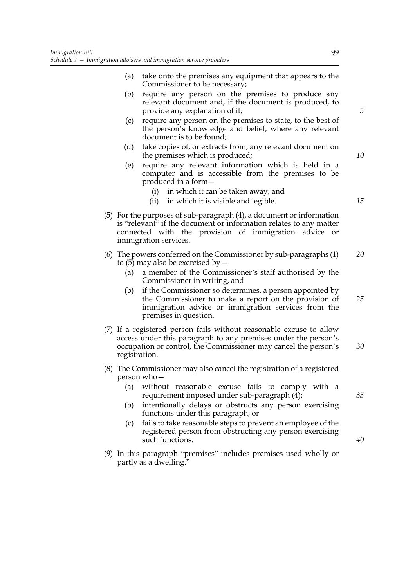- (a) take onto the premises any equipment that appears to the Commissioner to be necessary;
- (b) require any person on the premises to produce any relevant document and, if the document is produced, to provide any explanation of it;
- (c) require any person on the premises to state, to the best of the person's knowledge and belief, where any relevant document is to be found;
- (d) take copies of, or extracts from, any relevant document on the premises which is produced;
- (e) require any relevant information which is held in a computer and is accessible from the premises to be produced in a form—
	- (i) in which it can be taken away; and
	- (ii) in which it is visible and legible.
- (5) For the purposes of sub-paragraph (4), a document or information is "relevant" if the document or information relates to any matter connected with the provision of immigration advice or immigration services.
- (6) The powers conferred on the Commissioner by sub-paragraphs (1) to  $(5)$  may also be exercised by – *20*
	- (a) a member of the Commissioner's staff authorised by the Commissioner in writing, and
	- (b) if the Commissioner so determines, a person appointed by the Commissioner to make a report on the provision of immigration advice or immigration services from the premises in question. *25*
- (7) If a registered person fails without reasonable excuse to allow access under this paragraph to any premises under the person's occupation or control, the Commissioner may cancel the person's registration. *30*
- (8) The Commissioner may also cancel the registration of a registered person who—
	- (a) without reasonable excuse fails to comply with a requirement imposed under sub-paragraph (4);
	- (b) intentionally delays or obstructs any person exercising functions under this paragraph; or
	- (c) fails to take reasonable steps to prevent an employee of the registered person from obstructing any person exercising such functions.
- (9) In this paragraph "premises" includes premises used wholly or partly as a dwelling."

*10*

*15*

*5*

*35*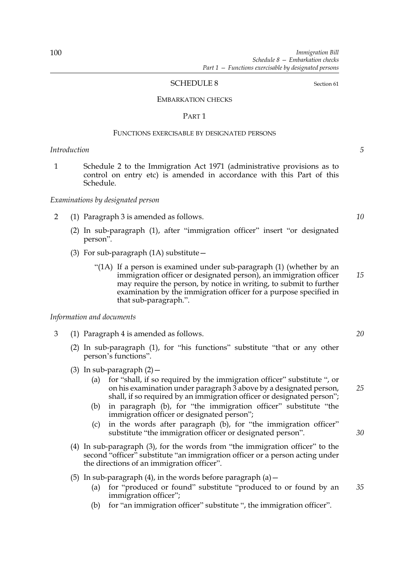#### SCHEDULE 8 Section 61

#### EMBARKATION CHECKS

#### PART 1

#### FUNCTIONS EXERCISABLE BY DESIGNATED PERSONS

## *Introduction*

1 Schedule 2 to the Immigration Act 1971 (administrative provisions as to control on entry etc) is amended in accordance with this Part of this Schedule.

#### *Examinations by designated person*

- 2 (1) Paragraph 3 is amended as follows.
	- (2) In sub-paragraph (1), after "immigration officer" insert "or designated person".
	- (3) For sub-paragraph (1A) substitute—
		- "(1A) If a person is examined under sub-paragraph (1) (whether by an immigration officer or designated person), an immigration officer may require the person, by notice in writing, to submit to further examination by the immigration officer for a purpose specified in that sub-paragraph.". *15*

#### *Information and documents*

- 3 (1) Paragraph 4 is amended as follows.
	- (2) In sub-paragraph (1), for "his functions" substitute "that or any other person's functions".
	- (3) In sub-paragraph  $(2)$  -
		- (a) for "shall, if so required by the immigration officer" substitute ", or on his examination under paragraph 3 above by a designated person, shall, if so required by an immigration officer or designated person";
		- (b) in paragraph (b), for "the immigration officer" substitute "the immigration officer or designated person";
		- (c) in the words after paragraph (b), for "the immigration officer" substitute "the immigration officer or designated person".
	- (4) In sub-paragraph (3), for the words from "the immigration officer" to the second "officer" substitute "an immigration officer or a person acting under the directions of an immigration officer".
	- (5) In sub-paragraph  $(4)$ , in the words before paragraph  $(a)$  -
		- (a) for "produced or found" substitute "produced to or found by an immigration officer"; *35*
		- (b) for "an immigration officer" substitute ", the immigration officer".

*5*

*10*

*20*

*25*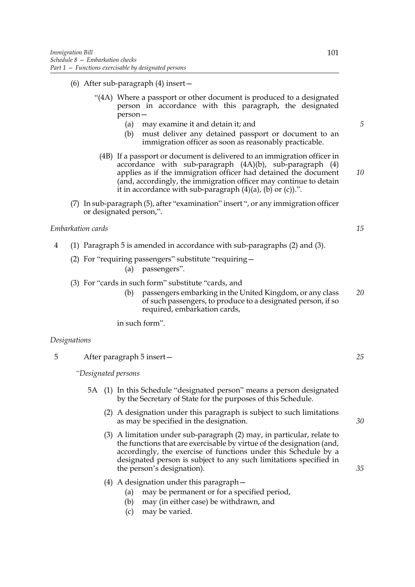- (6) After sub-paragraph (4) insert—
	- "(4A) Where a passport or other document is produced to a designated person in accordance with this paragraph, the designated person—
		- (a) may examine it and detain it; and
		- (b) must deliver any detained passport or document to an immigration officer as soon as reasonably practicable.
		- (4B) If a passport or document is delivered to an immigration officer in accordance with sub-paragraph (4A)(b), sub-paragraph (4) applies as if the immigration officer had detained the document (and, accordingly, the immigration officer may continue to detain it in accordance with sub-paragraph  $(4)(a)$ ,  $(b)$  or  $(c)$ ).".
- (7) In sub-paragraph (5), after "examination" insert ", or any immigration officer or designated person,".

#### *Embarkation cards*

- 4 (1) Paragraph 5 is amended in accordance with sub-paragraphs (2) and (3).
	- (2) For "requiring passengers" substitute "requiring—
		- (a) passengers".
	- (3) For "cards in such form" substitute "cards, and
		- (b) passengers embarking in the United Kingdom, or any class of such passengers, to produce to a designated person, if so required, embarkation cards, *20*

in such form".

#### *Designations*

5 After paragraph 5 insert—

*"Designated persons*

- 5A (1) In this Schedule "designated person" means a person designated by the Secretary of State for the purposes of this Schedule.
	- (2) A designation under this paragraph is subject to such limitations as may be specified in the designation.
	- (3) A limitation under sub-paragraph (2) may, in particular, relate to the functions that are exercisable by virtue of the designation (and, accordingly, the exercise of functions under this Schedule by a designated person is subject to any such limitations specified in the person's designation).
	- (4) A designation under this paragraph—
		- (a) may be permanent or for a specified period,
		- (b) may (in either case) be withdrawn, and
		- (c) may be varied.

*5*

*10*

*15*

*25*

*30*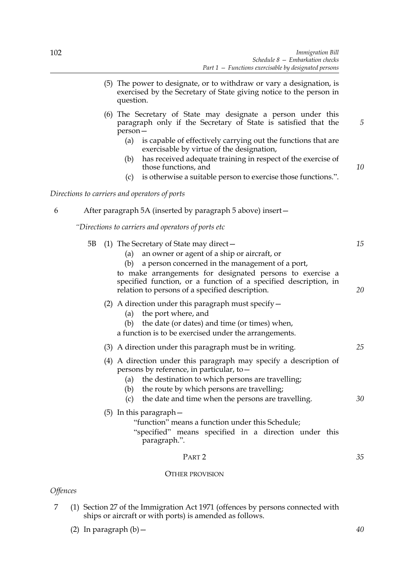- (5) The power to designate, or to withdraw or vary a designation, is exercised by the Secretary of State giving notice to the person in question.
- (6) The Secretary of State may designate a person under this paragraph only if the Secretary of State is satisfied that the person—
	- (a) is capable of effectively carrying out the functions that are exercisable by virtue of the designation,
	- (b) has received adequate training in respect of the exercise of those functions, and
	- (c) is otherwise a suitable person to exercise those functions.".

*Directions to carriers and operators of ports*

6 After paragraph 5A (inserted by paragraph 5 above) insert—

*"Directions to carriers and operators of ports etc*

|                        | 5B | (1) The Secretary of State may direct $-$<br>an owner or agent of a ship or aircraft, or<br>(a)<br>a person concerned in the management of a port,<br>(b)<br>to make arrangements for designated persons to exercise a<br>specified function, or a function of a specified description, in<br>relation to persons of a specified description. | 15<br>20 |
|------------------------|----|-----------------------------------------------------------------------------------------------------------------------------------------------------------------------------------------------------------------------------------------------------------------------------------------------------------------------------------------------|----------|
|                        |    | (2) A direction under this paragraph must specify $-$<br>the port where, and<br>(a)<br>the date (or dates) and time (or times) when,<br>(b)<br>a function is to be exercised under the arrangements.                                                                                                                                          |          |
|                        |    | (3) A direction under this paragraph must be in writing.                                                                                                                                                                                                                                                                                      | 25       |
|                        |    | (4) A direction under this paragraph may specify a description of<br>persons by reference, in particular, to -<br>the destination to which persons are travelling;<br>(a)<br>the route by which persons are travelling;<br>(b)<br>the date and time when the persons are travelling.<br>(c)                                                   | 30       |
|                        |    | $(5)$ In this paragraph $-$<br>"function" means a function under this Schedule;<br>"specified" means specified in a direction under this<br>paragraph.".                                                                                                                                                                                      |          |
|                        |    | PART <sub>2</sub>                                                                                                                                                                                                                                                                                                                             | 35       |
|                        |    | <b>OTHER PROVISION</b>                                                                                                                                                                                                                                                                                                                        |          |
| <i><b>Offences</b></i> |    |                                                                                                                                                                                                                                                                                                                                               |          |

7 (1) Section 27 of the Immigration Act 1971 (offences by persons connected with ships or aircraft or with ports) is amended as follows.

(2) In paragraph  $(b)$  -

*5*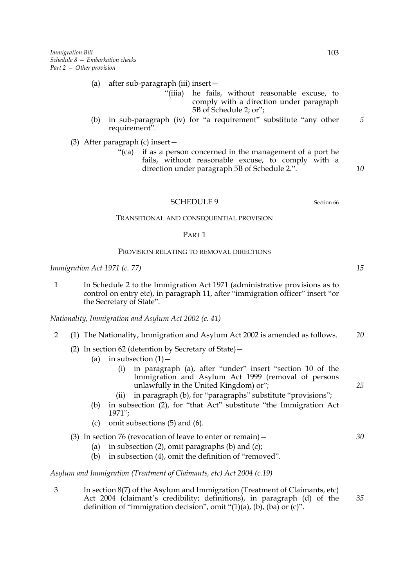- (a) after sub-paragraph (iii) insert—
	- "(iiia) he fails, without reasonable excuse, to comply with a direction under paragraph 5B of Schedule 2; or";
- (b) in sub-paragraph (iv) for "a requirement" substitute "any other requirement".

(3) After paragraph (c) insert—

"(ca) if as a person concerned in the management of a port he fails, without reasonable excuse, to comply with a direction under paragraph 5B of Schedule 2.".

SCHEDULE 9 Section 66

## TRANSITIONAL AND CONSEQUENTIAL PROVISION

#### PART 1

#### PROVISION RELATING TO REMOVAL DIRECTIONS

*Immigration Act 1971 (c. 77)*

1 In Schedule 2 to the Immigration Act 1971 (administrative provisions as to control on entry etc), in paragraph 11, after "immigration officer" insert "or the Secretary of State".

*Nationality, Immigration and Asylum Act 2002 (c. 41)*

- 2 (1) The Nationality, Immigration and Asylum Act 2002 is amended as follows. *20*
	- (2) In section 62 (detention by Secretary of State)—
		- (a) in subsection  $(1)$  -
			- (i) in paragraph (a), after "under" insert "section 10 of the Immigration and Asylum Act 1999 (removal of persons unlawfully in the United Kingdom) or";
			- (ii) in paragraph (b), for "paragraphs" substitute "provisions";
		- (b) in subsection (2), for "that Act" substitute "the Immigration Act 1971";
		- (c) omit subsections (5) and (6).

#### (3) In section 76 (revocation of leave to enter or remain)—

- (a) in subsection  $(2)$ , omit paragraphs  $(b)$  and  $(c)$ ;
- (b) in subsection (4), omit the definition of "removed".

*Asylum and Immigration (Treatment of Claimants, etc) Act 2004 (c.19)*

3 In section 8(7) of the Asylum and Immigration (Treatment of Claimants, etc) Act 2004 (claimant's credibility; definitions), in paragraph (d) of the definition of "immigration decision", omit " $(1)(a)$ ,  $(b)$ ,  $(ba)$  or  $(c)$ ".

*5*

*10*

*15*

*25*

*30*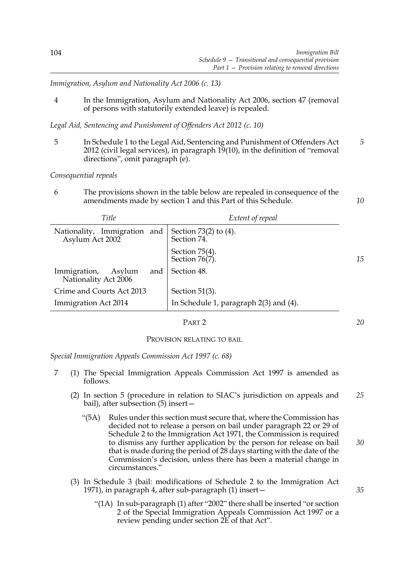*Immigration, Asylum and Nationality Act 2006 (c. 13)*

4 In the Immigration, Asylum and Nationality Act 2006, section 47 (removal of persons with statutorily extended leave) is repealed.

*Legal Aid, Sentencing and Punishment of Offenders Act 2012 (c. 10)*

5 In Schedule 1 to the Legal Aid, Sentencing and Punishment of Offenders Act 2012 (civil legal services), in paragraph 19(10), in the definition of "removal directions", omit paragraph (e). *5*

*Consequential repeals*

6 The provisions shown in the table below are repealed in consequence of the amendments made by section 1 and this Part of this Schedule.

| Title                                                 | Extent of repeal                            |    |
|-------------------------------------------------------|---------------------------------------------|----|
| Immigration and<br>Nationality,<br>Asylum Act 2002    | Section $73(2)$ to $(4)$ .<br>Section 74.   |    |
|                                                       | Section 75(4).<br>Section 76(7).            | 15 |
| Immigration,<br>Asylum<br>and<br>Nationality Act 2006 | Section 48.                                 |    |
| Crime and Courts Act 2013                             | Section $51(3)$ .                           |    |
| Immigration Act 2014                                  | In Schedule 1, paragraph $2(3)$ and $(4)$ . |    |

PART 2

PROVISION RELATING TO BAIL

*Special Immigration Appeals Commission Act 1997 (c. 68)*

- 7 (1) The Special Immigration Appeals Commission Act 1997 is amended as follows.
	- (2) In section 5 (procedure in relation to SIAC's jurisdiction on appeals and bail), after subsection (5) insert— *25*
		- "(5A) Rules under this section must secure that, where the Commission has decided not to release a person on bail under paragraph 22 or 29 of Schedule 2 to the Immigration Act 1971, the Commission is required to dismiss any further application by the person for release on bail that is made during the period of 28 days starting with the date of the Commission's decision, unless there has been a material change in circumstances." *30*
	- (3) In Schedule 3 (bail: modifications of Schedule 2 to the Immigration Act 1971), in paragraph 4, after sub-paragraph (1) insert—
		- "(1A) In sub-paragraph (1) after "2002" there shall be inserted "or section 2 of the Special Immigration Appeals Commission Act 1997 or a review pending under section 2E of that Act".

*10*

*20*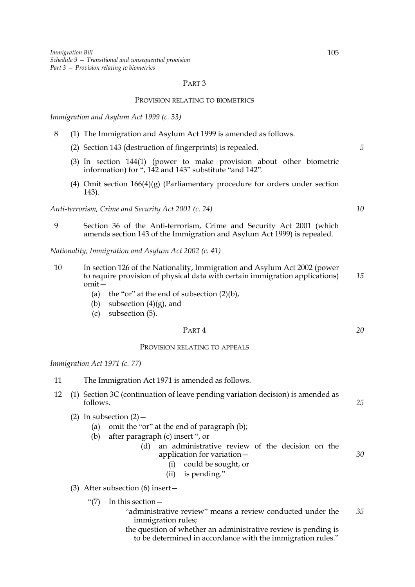#### PROVISION RELATING TO BIOMETRICS

*Immigration and Asylum Act 1999 (c. 33)*

- 8 (1) The Immigration and Asylum Act 1999 is amended as follows.
	- (2) Section 143 (destruction of fingerprints) is repealed.
	- (3) In section 144(1) (power to make provision about other biometric information) for ", 142 and 143" substitute "and 142".
	- (4) Omit section 166(4)(g) (Parliamentary procedure for orders under section 143).

*Anti-terrorism, Crime and Security Act 2001 (c. 24)*

9 Section 36 of the Anti-terrorism, Crime and Security Act 2001 (which amends section 143 of the Immigration and Asylum Act 1999) is repealed.

*Nationality, Immigration and Asylum Act 2002 (c. 41)*

- 10 In section 126 of the Nationality, Immigration and Asylum Act 2002 (power to require provision of physical data with certain immigration applications) omit— *15*
	- (a) the "or" at the end of subsection  $(2)(b)$ ,
	- (b) subsection  $(4)(g)$ , and
	- (c) subsection (5).

#### PART 4

## PROVISION RELATING TO APPEALS

*Immigration Act 1971 (c. 77)*

- 11 The Immigration Act 1971 is amended as follows.
- 12 (1) Section 3C (continuation of leave pending variation decision) is amended as follows.
	- (2) In subsection  $(2)$ 
		- (a) omit the "or" at the end of paragraph (b);
		- (b) after paragraph (c) insert ", or
			- (d) an administrative review of the decision on the application for variation— *30*
				- (i) could be sought, or
				- (ii) is pending."
	- (3) After subsection (6) insert—
		- "(7) In this section—
			- "administrative review" means a review conducted under the immigration rules; *35*
			- the question of whether an administrative review is pending is to be determined in accordance with the immigration rules."

*5*

*10*

*20*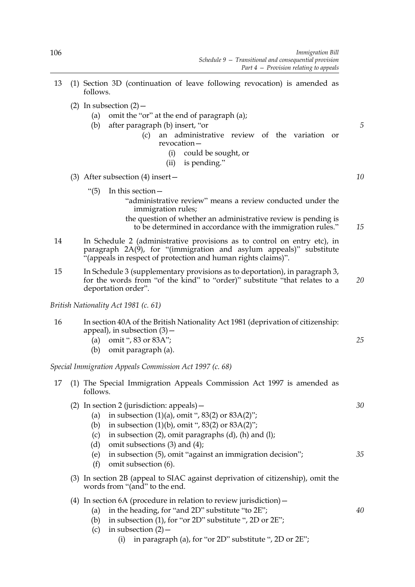- 13 (1) Section 3D (continuation of leave following revocation) is amended as follows.
	- (2) In subsection  $(2)$ 
		- (a) omit the "or" at the end of paragraph (a);
		- (b) after paragraph (b) insert, "or
			- (c) an administrative review of the variation or revocation—
				- (i) could be sought, or
				- (ii) is pending."
	- (3) After subsection (4) insert—
		- "(5) In this section—
			- "administrative review" means a review conducted under the immigration rules;
			- the question of whether an administrative review is pending is to be determined in accordance with the immigration rules." *15*
- 14 In Schedule 2 (administrative provisions as to control on entry etc), in paragraph 2A(9), for "(immigration and asylum appeals)" substitute "(appeals in respect of protection and human rights claims)".
- 15 In Schedule 3 (supplementary provisions as to deportation), in paragraph 3, for the words from "of the kind" to "order)" substitute "that relates to a deportation order".

*British Nationality Act 1981 (c. 61)*

- 16 In section 40A of the British Nationality Act 1981 (deprivation of citizenship: appeal), in subsection (3)—
	- (a) omit ", 83 or 83A";
	- (b) omit paragraph (a).

*Special Immigration Appeals Commission Act 1997 (c. 68)*

17 (1) The Special Immigration Appeals Commission Act 1997 is amended as follows.

| (2) In section 2 (jurisdiction: appeals) $-$ |                                                                                                              | 30 |
|----------------------------------------------|--------------------------------------------------------------------------------------------------------------|----|
| (a)                                          | in subsection $(1)(a)$ , omit ", 83 $(2)$ or 83 $A(2)$ ";                                                    |    |
| (b)                                          | in subsection $(1)(b)$ , omit ", 83(2) or 83A(2)";                                                           |    |
| (c)                                          | in subsection $(2)$ , omit paragraphs $(d)$ , $(h)$ and $(l)$ ;                                              |    |
| (d)                                          | omit subsections $(3)$ and $(4)$ ;                                                                           |    |
| (e)                                          | in subsection (5), omit "against an immigration decision";                                                   | 35 |
| (f)                                          | omit subsection (6).                                                                                         |    |
| (3)                                          | In section 2B (appeal to SIAC against deprivation of citizenship), omit the<br>words from "(and" to the end. |    |

# (4) In section 6A (procedure in relation to review jurisdiction)—

- (a) in the heading, for "and 2D" substitute "to 2E";
	- (b) in subsection (1), for "or 2D" substitute ", 2D or 2E";
	- (c) in subsection  $(2)$ 
		- (i) in paragraph (a), for "or 2D" substitute ", 2D or 2E";

*10*

*5*

*20*

*25*

*30*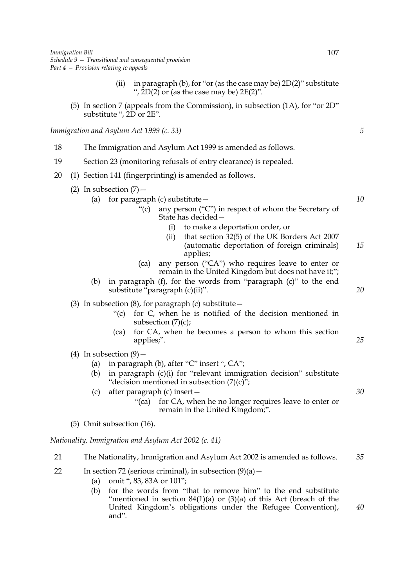- (ii) in paragraph (b), for "or (as the case may be)  $2D(2)$ " substitute ",  $2D(2)$  or (as the case may be)  $2E(2)$ ".
- (5) In section 7 (appeals from the Commission), in subsection (1A), for "or 2D" substitute ", 2D or 2E".

*Immigration and Asylum Act 1999 (c. 33)*

- 18 The Immigration and Asylum Act 1999 is amended as follows.
- 19 Section 23 (monitoring refusals of entry clearance) is repealed.
- 20 (1) Section 141 (fingerprinting) is amended as follows.
	- (2) In subsection  $(7)$  -(a) for paragraph (c) substitute  $-$ 
		- "(c) any person ("C") in respect of whom the Secretary of State has decided—
			- (i) to make a deportation order, or
			- (ii) that section 32(5) of the UK Borders Act 2007 (automatic deportation of foreign criminals) applies; *15*
		- (ca) any person ("CA") who requires leave to enter or remain in the United Kingdom but does not have it;";
		- (b) in paragraph (f), for the words from "paragraph (c)" to the end substitute "paragraph (c)(ii)".
	- (3) In subsection  $(8)$ , for paragraph  $(c)$  substitute  $-$ 
		- "(c) for C, when he is notified of the decision mentioned in subsection  $(7)(c)$ ;
		- (ca) for CA, when he becomes a person to whom this section applies;". *25*
	- (4) In subsection  $(9)$ 
		- (a) in paragraph (b), after "C" insert ", CA";
		- (b) in paragraph (c)(i) for "relevant immigration decision" substitute "decision mentioned in subsection (7)(c)";
		- (c) after paragraph (c) insert—
			- "(ca) for CA, when he no longer requires leave to enter or remain in the United Kingdom;".
	- (5) Omit subsection (16).

*Nationality, Immigration and Asylum Act 2002 (c. 41)*

- 21 The Nationality, Immigration and Asylum Act 2002 is amended as follows. *35*
- 22 In section 72 (serious criminal), in subsection  $(9)(a)$ 
	- (a) omit ", 83, 83A or 101";
	- (b) for the words from "that to remove him" to the end substitute "mentioned in section  $84(1)(a)$  or  $(3)(a)$  of this Act (breach of the United Kingdom's obligations under the Refugee Convention), and". *40*

*5*

*10*

*20*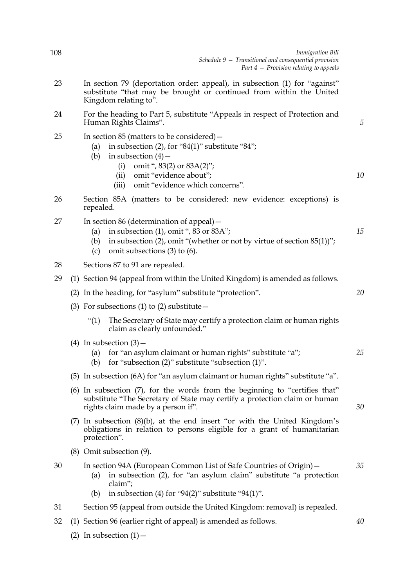| 108                                |  | Immigration Bill<br>Schedule $9$ – Transitional and consequential provision<br>Part $4$ – Provision relating to appeals                                                                                                                                           |    |  |  |  |
|------------------------------------|--|-------------------------------------------------------------------------------------------------------------------------------------------------------------------------------------------------------------------------------------------------------------------|----|--|--|--|
| 23                                 |  | In section 79 (deportation order: appeal), in subsection (1) for "against"<br>substitute "that may be brought or continued from within the United<br>Kingdom relating to".                                                                                        |    |  |  |  |
| 24                                 |  | For the heading to Part 5, substitute "Appeals in respect of Protection and<br>Human Rights Claims".                                                                                                                                                              |    |  |  |  |
| 25                                 |  | In section $85$ (matters to be considered) $-$<br>in subsection $(2)$ , for "84 $(1)$ " substitute "84";<br>(a)<br>in subsection $(4)$ –<br>(b)<br>omit ", 83(2) or 83A(2)";<br>(i)<br>omit "evidence about";<br>(ii)<br>omit "evidence which concerns".<br>(iii) | 10 |  |  |  |
| 26                                 |  | Section 85A (matters to be considered: new evidence: exceptions) is<br>repealed.                                                                                                                                                                                  |    |  |  |  |
| 27                                 |  | In section 86 (determination of appeal) $-$<br>in subsection $(1)$ , omit ", 83 or 83A";<br>(a)<br>in subsection $(2)$ , omit "(whether or not by virtue of section $85(1)$ )";<br>(b)<br>omit subsections $(3)$ to $(6)$ .<br>(c)                                | 15 |  |  |  |
| 28                                 |  | Sections 87 to 91 are repealed.                                                                                                                                                                                                                                   |    |  |  |  |
| 29                                 |  | (1) Section 94 (appeal from within the United Kingdom) is amended as follows.                                                                                                                                                                                     |    |  |  |  |
|                                    |  | (2) In the heading, for "asylum" substitute "protection".                                                                                                                                                                                                         | 20 |  |  |  |
|                                    |  | (3) For subsections (1) to (2) substitute $-$                                                                                                                                                                                                                     |    |  |  |  |
|                                    |  | ``(1)<br>The Secretary of State may certify a protection claim or human rights<br>claim as clearly unfounded."                                                                                                                                                    |    |  |  |  |
|                                    |  | (4) In subsection $(3)$ –<br>(a) for "an asylum claimant or human rights" substitute "a";<br>(b) for "subsection $(2)$ " substitute "subsection $(1)$ ".                                                                                                          | 25 |  |  |  |
|                                    |  | (5) In subsection (6A) for "an asylum claimant or human rights" substitute "a".                                                                                                                                                                                   |    |  |  |  |
| rights claim made by a person if". |  | (6) In subsection (7), for the words from the beginning to "certifies that"<br>substitute "The Secretary of State may certify a protection claim or human                                                                                                         | 30 |  |  |  |
|                                    |  | (7) In subsection $(8)(b)$ , at the end insert "or with the United Kingdom's<br>obligations in relation to persons eligible for a grant of humanitarian<br>protection".                                                                                           |    |  |  |  |
|                                    |  | (8) Omit subsection (9).                                                                                                                                                                                                                                          |    |  |  |  |
| 30                                 |  | In section 94A (European Common List of Safe Countries of Origin) –<br>in subsection (2), for "an asylum claim" substitute "a protection<br>(a)<br>claim";<br>in subsection (4) for "94(2)" substitute "94(1)".<br>(b)                                            | 35 |  |  |  |
| 31                                 |  | Section 95 (appeal from outside the United Kingdom: removal) is repealed.                                                                                                                                                                                         |    |  |  |  |
| 32                                 |  | (1) Section 96 (earlier right of appeal) is amended as follows.                                                                                                                                                                                                   | 40 |  |  |  |

(2) In subsection  $(1)$  –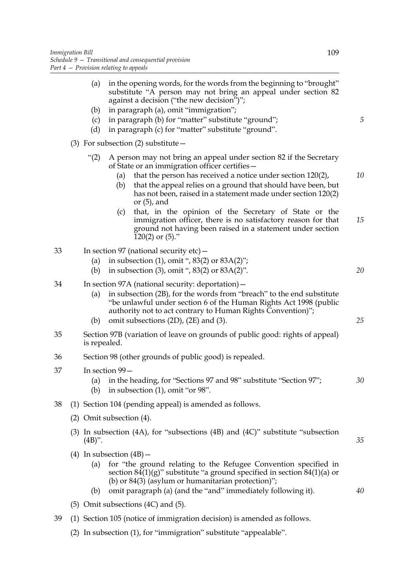|    |                                       | (a)<br>(b)                                                                                  | in the opening words, for the words from the beginning to "brought"<br>substitute "A person may not bring an appeal under section 82<br>against a decision ("the new decision")";<br>in paragraph (a), omit "immigration";                                                                                                                                                                                                                                                                                                                                                   |          |
|----|---------------------------------------|---------------------------------------------------------------------------------------------|------------------------------------------------------------------------------------------------------------------------------------------------------------------------------------------------------------------------------------------------------------------------------------------------------------------------------------------------------------------------------------------------------------------------------------------------------------------------------------------------------------------------------------------------------------------------------|----------|
|    |                                       | (c)                                                                                         | in paragraph (b) for "matter" substitute "ground";                                                                                                                                                                                                                                                                                                                                                                                                                                                                                                                           | 5        |
|    |                                       | (d)                                                                                         | in paragraph (c) for "matter" substitute "ground".                                                                                                                                                                                                                                                                                                                                                                                                                                                                                                                           |          |
|    | (3) For subsection (2) substitute $-$ |                                                                                             |                                                                                                                                                                                                                                                                                                                                                                                                                                                                                                                                                                              |          |
|    |                                       | " $(2)$                                                                                     | A person may not bring an appeal under section 82 if the Secretary<br>of State or an immigration officer certifies -<br>that the person has received a notice under section 120(2),<br>(a)<br>that the appeal relies on a ground that should have been, but<br>(b)<br>has not been, raised in a statement made under section 120(2)<br>or $(5)$ , and<br>that, in the opinion of the Secretary of State or the<br>(c)<br>immigration officer, there is no satisfactory reason for that<br>ground not having been raised in a statement under section<br>$120(2)$ or $(5)$ ." | 10<br>15 |
| 33 |                                       | (a)<br>(b)                                                                                  | In section 97 (national security $etc$ ) –<br>in subsection (1), omit ", $83(2)$ or $83A(2)$ ";<br>in subsection (3), omit ", $83(2)$ or $83A(2)$ ".                                                                                                                                                                                                                                                                                                                                                                                                                         | 20       |
| 34 |                                       | (a)<br>(b)                                                                                  | In section 97A (national security: deportation) –<br>in subsection (2B), for the words from "breach" to the end substitute<br>"be unlawful under section 6 of the Human Rights Act 1998 (public<br>authority not to act contrary to Human Rights Convention)";<br>omit subsections (2D), (2E) and (3).                                                                                                                                                                                                                                                                       | 25       |
| 35 |                                       | is repealed.                                                                                | Section 97B (variation of leave on grounds of public good: rights of appeal)                                                                                                                                                                                                                                                                                                                                                                                                                                                                                                 |          |
| 36 |                                       | Section 98 (other grounds of public good) is repealed.                                      |                                                                                                                                                                                                                                                                                                                                                                                                                                                                                                                                                                              |          |
| 37 |                                       | (a)<br>(b)                                                                                  | In section 99-<br>in the heading, for "Sections 97 and 98" substitute "Section 97";<br>in subsection (1), omit "or 98".                                                                                                                                                                                                                                                                                                                                                                                                                                                      | 30       |
| 38 |                                       |                                                                                             | (1) Section 104 (pending appeal) is amended as follows.                                                                                                                                                                                                                                                                                                                                                                                                                                                                                                                      |          |
|    |                                       | (2) Omit subsection (4).                                                                    |                                                                                                                                                                                                                                                                                                                                                                                                                                                                                                                                                                              |          |
|    |                                       | (3) In subsection (4A), for "subsections (4B) and (4C)" substitute "subsection<br>$(4B)$ ". |                                                                                                                                                                                                                                                                                                                                                                                                                                                                                                                                                                              | 35       |
|    |                                       | (a)<br>(b)                                                                                  | (4) In subsection $(4B)$ –<br>for "the ground relating to the Refugee Convention specified in<br>section $84(1)(g)$ " substitute "a ground specified in section $84(1)(a)$ or<br>(b) or $84(3)$ (asylum or humanitarian protection)";<br>omit paragraph (a) (and the "and" immediately following it).                                                                                                                                                                                                                                                                        | 40       |
|    |                                       |                                                                                             | $(5)$ Omit subsections $(4C)$ and $(5)$ .                                                                                                                                                                                                                                                                                                                                                                                                                                                                                                                                    |          |
| 39 |                                       |                                                                                             | (1) Section 105 (notice of immigration decision) is amended as follows.                                                                                                                                                                                                                                                                                                                                                                                                                                                                                                      |          |

(2) In subsection (1), for "immigration" substitute "appealable".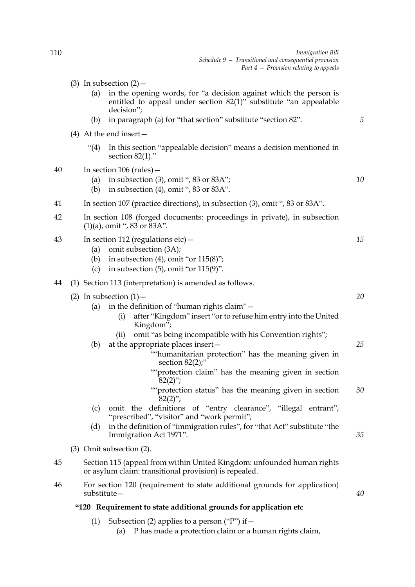*5*

*10*

*15*

*20*

*25*

*35*

*40*

- (3) In subsection  $(2)$ 
	- (a) in the opening words, for "a decision against which the person is entitled to appeal under section 82(1)" substitute "an appealable decision";
	- (b) in paragraph (a) for "that section" substitute "section 82".
- (4) At the end insert—
	- "(4) In this section "appealable decision" means a decision mentioned in section 82(1)."
- 40 In section 106 (rules)—
	- (a) in subsection (3), omit ", 83 or 83A";
	- (b) in subsection  $(4)$ , omit ", 83 or 83A".
- 41 In section 107 (practice directions), in subsection (3), omit ", 83 or 83A".
- 42 In section 108 (forged documents: proceedings in private), in subsection  $(1)(a)$ , omit ", 83 or 83A".
- 43 In section 112 (regulations etc)—
	- (a) omit subsection (3A);
	- (b) in subsection  $(4)$ , omit "or  $115(8)$ ";
	- (c) in subsection  $(5)$ , omit "or  $115(9)$ ".

## 44 (1) Section 113 (interpretation) is amended as follows.

## (2) In subsection  $(1)$  –

- (a) in the definition of "human rights claim"—
	- (i) after "Kingdom" insert "or to refuse him entry into the United Kingdom";
	- (ii) omit "as being incompatible with his Convention rights";
- (b) at the appropriate places insert—
	- ""humanitarian protection" has the meaning given in section 82(2);"
	- ""protection claim" has the meaning given in section  $82(2)$ ";
	- ""protection status" has the meaning given in section  $82(2)$ "; *30*
- (c) omit the definitions of "entry clearance", "illegal entrant", "prescribed", "visitor" and "work permit";
- (d) in the definition of "immigration rules", for "that Act" substitute "the Immigration Act 1971".
- (3) Omit subsection (2).
- 45 Section 115 (appeal from within United Kingdom: unfounded human rights or asylum claim: transitional provision) is repealed.
- 46 For section 120 (requirement to state additional grounds for application) substitute—

# **"120 Requirement to state additional grounds for application etc**

- (1) Subsection (2) applies to a person ("P") if  $-$ 
	- (a) P has made a protection claim or a human rights claim,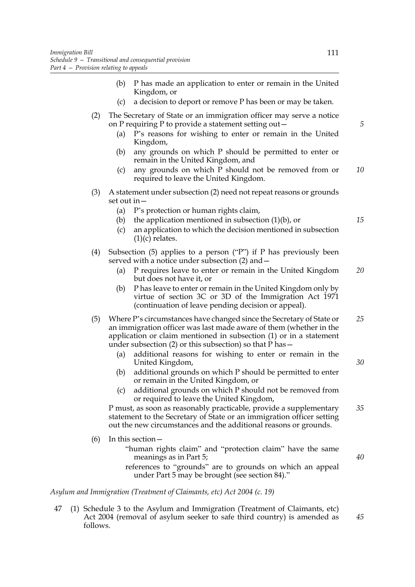- (b) P has made an application to enter or remain in the United Kingdom, or
- (c) a decision to deport or remove P has been or may be taken.
- (2) The Secretary of State or an immigration officer may serve a notice on P requiring P to provide a statement setting out—
	- (a) P's reasons for wishing to enter or remain in the United Kingdom,
	- (b) any grounds on which P should be permitted to enter or remain in the United Kingdom, and
	- (c) any grounds on which P should not be removed from or required to leave the United Kingdom. *10*
- (3) A statement under subsection (2) need not repeat reasons or grounds set out in—
	- (a) P's protection or human rights claim,
	- (b) the application mentioned in subsection  $(1)(b)$ , or
	- (c) an application to which the decision mentioned in subsection  $(1)(c)$  relates.
- (4) Subsection (5) applies to a person ("P") if P has previously been served with a notice under subsection (2) and—
	- (a) P requires leave to enter or remain in the United Kingdom but does not have it, or *20*
	- (b) P has leave to enter or remain in the United Kingdom only by virtue of section 3C or 3D of the Immigration Act 1971 (continuation of leave pending decision or appeal).
- (5) Where P's circumstances have changed since the Secretary of State or an immigration officer was last made aware of them (whether in the application or claim mentioned in subsection (1) or in a statement under subsection  $(2)$  or this subsection) so that P has  $-$ *25*
	- (a) additional reasons for wishing to enter or remain in the United Kingdom,
	- (b) additional grounds on which P should be permitted to enter or remain in the United Kingdom, or
	- (c) additional grounds on which P should not be removed from or required to leave the United Kingdom,

P must, as soon as reasonably practicable, provide a supplementary statement to the Secretary of State or an immigration officer setting out the new circumstances and the additional reasons or grounds. *35*

- $(6)$  In this section  $-$ 
	- "human rights claim" and "protection claim" have the same meanings as in Part 5;
	- references to "grounds" are to grounds on which an appeal under Part 5 may be brought (see section 84)."

*Asylum and Immigration (Treatment of Claimants, etc) Act 2004 (c. 19)*

47 (1) Schedule 3 to the Asylum and Immigration (Treatment of Claimants, etc) Act 2004 (removal of asylum seeker to safe third country) is amended as follows. *45*

*5*

*15*

*40*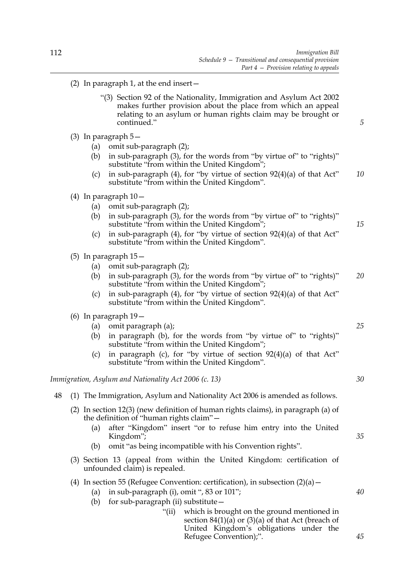- (2) In paragraph 1, at the end insert—
	- "(3) Section 92 of the Nationality, Immigration and Asylum Act 2002 makes further provision about the place from which an appeal relating to an asylum or human rights claim may be brought or continued."
- (3) In paragraph 5—
	- (a) omit sub-paragraph (2);
	- (b) in sub-paragraph (3), for the words from "by virtue of" to "rights)" substitute "from within the United Kingdom";
	- (c) in sub-paragraph  $(4)$ , for "by virtue of section  $92(4)(a)$  of that Act" substitute "from within the United Kingdom". *10*
- (4) In paragraph 10—
	- (a) omit sub-paragraph (2);
	- (b) in sub-paragraph (3), for the words from "by virtue of" to "rights)" substitute "from within the United Kingdom";
	- (c) in sub-paragraph  $(4)$ , for "by virtue of section  $92(4)(a)$  of that Act" substitute "from within the United Kingdom".
- (5) In paragraph 15—
	- (a) omit sub-paragraph (2);
	- (b) in sub-paragraph (3), for the words from "by virtue of" to "rights)" substitute "from within the United Kingdom"; *20*
	- (c) in sub-paragraph  $(4)$ , for "by virtue of section  $92(4)(a)$  of that Act" substitute "from within the United Kingdom".
- (6) In paragraph 19—
	- (a) omit paragraph (a);
	- (b) in paragraph (b), for the words from "by virtue of" to "rights)" substitute "from within the United Kingdom";
	- (c) in paragraph (c), for "by virtue of section 92(4)(a) of that Act" substitute "from within the United Kingdom".

*Immigration, Asylum and Nationality Act 2006 (c. 13)*

#### 48 (1) The Immigration, Asylum and Nationality Act 2006 is amended as follows.

- (2) In section 12(3) (new definition of human rights claims), in paragraph (a) of the definition of "human rights claim"—
	- (a) after "Kingdom" insert "or to refuse him entry into the United Kingdom";
	- (b) omit "as being incompatible with his Convention rights".
- (3) Section 13 (appeal from within the United Kingdom: certification of unfounded claim) is repealed.

## (4) In section 55 (Refugee Convention: certification), in subsection  $(2)(a)$  –

- (a) in sub-paragraph  $(i)$ , omit ", 83 or 101";
- (b) for sub-paragraph (ii) substitute—
	- "(ii) which is brought on the ground mentioned in section  $84(1)(a)$  or  $(3)(a)$  of that Act (breach of United Kingdom's obligations under the Refugee Convention);".

*25*

*15*

*5*

*30*

*40*

*45*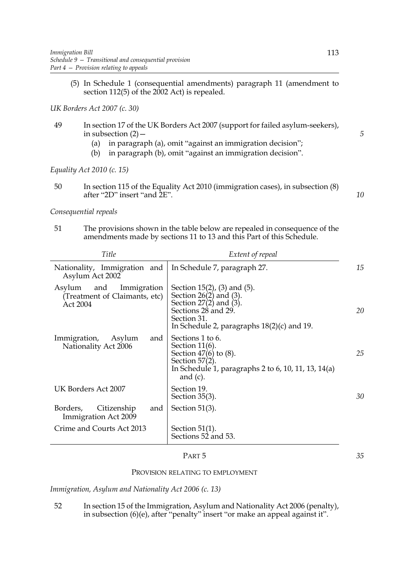(5) In Schedule 1 (consequential amendments) paragraph 11 (amendment to section 112(5) of the 2002 Act) is repealed.

*UK Borders Act 2007 (c. 30)*

- 49 In section 17 of the UK Borders Act 2007 (support for failed asylum-seekers), in subsection  $(2)$  –
	- (a) in paragraph (a), omit "against an immigration decision";
	- (b) in paragraph (b), omit "against an immigration decision".

*Equality Act 2010 (c. 15)*

50 In section 115 of the Equality Act 2010 (immigration cases), in subsection (8) after "2D" insert "and 2E". *10*

*Consequential repeals*

51 The provisions shown in the table below are repealed in consequence of the amendments made by sections 11 to 13 and this Part of this Schedule.

| Title                                                                     | Extent of repeal                                                                                                                                                                        |    |
|---------------------------------------------------------------------------|-----------------------------------------------------------------------------------------------------------------------------------------------------------------------------------------|----|
| Nationality, Immigration and<br>Asylum Act 2002                           | In Schedule 7, paragraph 27.                                                                                                                                                            | 15 |
| Immigration<br>and<br>Asylum<br>(Treatment of Claimants, etc)<br>Act 2004 | Section $15(2)$ , $(3)$ and $(5)$ .<br>Section $26(2)$ and $(3)$ .<br>Section $27(2)$ and $(3)$ .<br>Sections 28 and 29.<br>Section 31.<br>In Schedule 2, paragraphs $18(2)(c)$ and 19. | 20 |
| Immigration,<br>Asylum<br>and<br>Nationality Act 2006                     | Sections 1 to 6.<br>Section $11(6)$ .<br>Section $47(6)$ to $(8)$ .<br>Section $57(2)$ .<br>In Schedule 1, paragraphs 2 to 6, 10, 11, 13, 14(a)<br>and $(c)$ .                          | 25 |
| UK Borders Act 2007                                                       | Section 19.<br>Section $35(3)$ .                                                                                                                                                        | 30 |
| Borders,<br>Citizenship<br>and<br>Immigration Act 2009                    | Section $51(3)$ .                                                                                                                                                                       |    |
| Crime and Courts Act 2013                                                 | Section $51(1)$ .<br>Sections 52 and 53.                                                                                                                                                |    |

#### PART 5

*35*

#### PROVISION RELATING TO EMPLOYMENT

*Immigration, Asylum and Nationality Act 2006 (c. 13)*

52 In section 15 of the Immigration, Asylum and Nationality Act 2006 (penalty), in subsection (6)(e), after "penalty" insert "or make an appeal against it".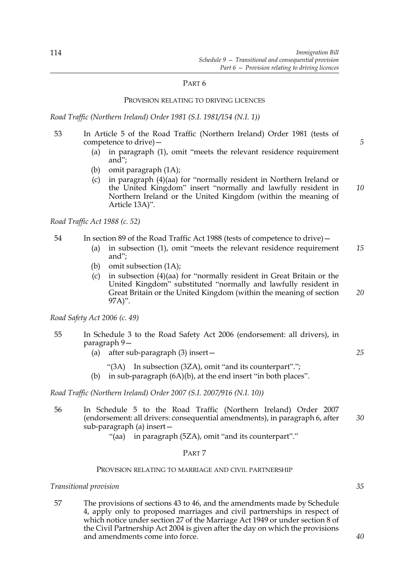## PROVISION RELATING TO DRIVING LICENCES

*Road Traffic (Northern Ireland) Order 1981 (S.I. 1981/154 (N.I. 1))*

- 53 In Article 5 of the Road Traffic (Northern Ireland) Order 1981 (tests of competence to drive)—
	- (a) in paragraph (1), omit "meets the relevant residence requirement and";
	- (b) omit paragraph (1A);
	- (c) in paragraph (4)(aa) for "normally resident in Northern Ireland or the United Kingdom" insert "normally and lawfully resident in Northern Ireland or the United Kingdom (within the meaning of Article 13A)". *10*

*Road Traffic Act 1988 (c. 52)*

- 54 In section 89 of the Road Traffic Act 1988 (tests of competence to drive)—
	- (a) in subsection (1), omit "meets the relevant residence requirement and"; *15*
	- (b) omit subsection (1A);
	- (c) in subsection (4)(aa) for "normally resident in Great Britain or the United Kingdom" substituted "normally and lawfully resident in Great Britain or the United Kingdom (within the meaning of section 97A)".

*Road Safety Act 2006 (c. 49)*

- 55 In Schedule 3 to the Road Safety Act 2006 (endorsement: all drivers), in paragraph 9—
	- (a) after sub-paragraph (3) insert—
		- "(3A) In subsection (3ZA), omit "and its counterpart".";
	- (b) in sub-paragraph (6A)(b), at the end insert "in both places".

*Road Traffic (Northern Ireland) Order 2007 (S.I. 2007/916 (N.I. 10))*

56 In Schedule 5 to the Road Traffic (Northern Ireland) Order 2007 (endorsement: all drivers: consequential amendments), in paragraph 6, after sub-paragraph (a) insert— *30*

"(aa) in paragraph (5ZA), omit "and its counterpart"."

## PART 7

## PROVISION RELATING TO MARRIAGE AND CIVIL PARTNERSHIP

*Transitional provision*

57 The provisions of sections 43 to 46, and the amendments made by Schedule 4, apply only to proposed marriages and civil partnerships in respect of which notice under section 27 of the Marriage Act 1949 or under section 8 of the Civil Partnership Act 2004 is given after the day on which the provisions and amendments come into force.

*5*

*25*

*20*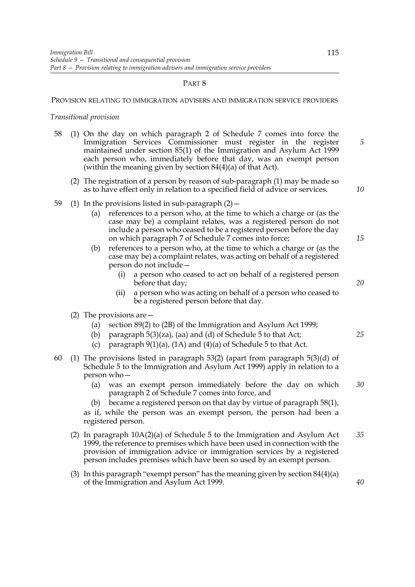#### PROVISION RELATING TO IMMIGRATION ADVISERS AND IMMIGRATION SERVICE PROVIDERS

#### *Transitional provision*

- 58 (1) On the day on which paragraph 2 of Schedule 7 comes into force the Immigration Services Commissioner must register in the register maintained under section 85(1) of the Immigration and Asylum Act 1999 each person who, immediately before that day, was an exempt person (within the meaning given by section 84(4)(a) of that Act).
	- (2) The registration of a person by reason of sub-paragraph (1) may be made so as to have effect only in relation to a specified field of advice or services.
- 59 (1) In the provisions listed in sub-paragraph  $(2)$  -
	- (a) references to a person who, at the time to which a charge or (as the case may be) a complaint relates, was a registered person do not include a person who ceased to be a registered person before the day on which paragraph 7 of Schedule 7 comes into force;
	- (b) references to a person who, at the time to which a charge or (as the case may be) a complaint relates, was acting on behalf of a registered person do not include—
		- (i) a person who ceased to act on behalf of a registered person before that day;
		- (ii) a person who was acting on behalf of a person who ceased to be a registered person before that day.
	- (2) The provisions are—
		- (a) section 89(2) to (2B) of the Immigration and Asylum Act 1999;
		- (b) paragraph 5(3)(za), (aa) and (d) of Schedule 5 to that Act;
		- (c) paragraph  $9(1)(a)$ ,  $(1A)$  and  $(4)(a)$  of Schedule 5 to that Act.
- 60 (1) The provisions listed in paragraph 53(2) (apart from paragraph 5(3)(d) of Schedule 5 to the Immigration and Asylum Act 1999) apply in relation to a person who—
	- (a) was an exempt person immediately before the day on which paragraph 2 of Schedule 7 comes into force, and *30*
	- (b) became a registered person on that day by virtue of paragraph 58(1),
	- as if, while the person was an exempt person, the person had been a registered person.
	- (2) In paragraph 10A(2)(a) of Schedule 5 to the Immigration and Asylum Act 1999, the reference to premises which have been used in connection with the provision of immigration advice or immigration services by a registered person includes premises which have been so used by an exempt person. *35*
	- (3) In this paragraph "exempt person" has the meaning given by section 84(4)(a) of the Immigration and Asylum Act 1999.

*40*

*15*

*10*

*5*

*20*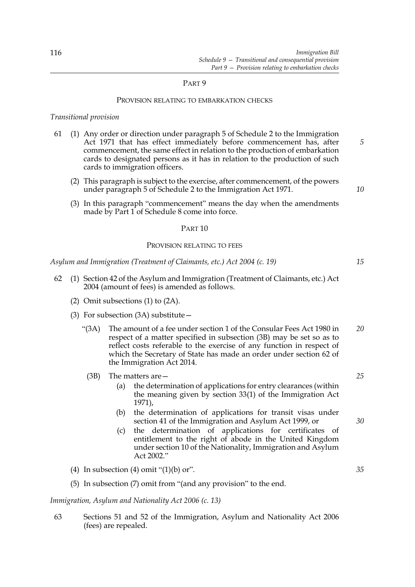#### PROVISION RELATING TO EMBARKATION CHECKS

## *Transitional provision*

- 61 (1) Any order or direction under paragraph 5 of Schedule 2 to the Immigration Act 1971 that has effect immediately before commencement has, after commencement, the same effect in relation to the production of embarkation cards to designated persons as it has in relation to the production of such cards to immigration officers.
	- (2) This paragraph is subject to the exercise, after commencement, of the powers under paragraph 5 of Schedule 2 to the Immigration Act 1971.
	- (3) In this paragraph "commencement" means the day when the amendments made by Part 1 of Schedule 8 come into force.

#### PART 10

#### PROVISION RELATING TO FEES

*Asylum and Immigration (Treatment of Claimants, etc.) Act 2004 (c. 19)*

- 62 (1) Section 42 of the Asylum and Immigration (Treatment of Claimants, etc.) Act 2004 (amount of fees) is amended as follows.
	- (2) Omit subsections (1) to (2A).
	- (3) For subsection (3A) substitute—
		- "(3A) The amount of a fee under section 1 of the Consular Fees Act 1980 in respect of a matter specified in subsection (3B) may be set so as to reflect costs referable to the exercise of any function in respect of which the Secretary of State has made an order under section 62 of the Immigration Act 2014. *20*
			- (3B) The matters are—
				- (a) the determination of applications for entry clearances (within the meaning given by section 33(1) of the Immigration Act 1971),
				- (b) the determination of applications for transit visas under section 41 of the Immigration and Asylum Act 1999, or
				- (c) the determination of applications for certificates of entitlement to the right of abode in the United Kingdom under section 10 of the Nationality, Immigration and Asylum Act 2002."
	- (4) In subsection (4) omit " $(1)(b)$  or".
	- (5) In subsection (7) omit from "(and any provision" to the end.

## *Immigration, Asylum and Nationality Act 2006 (c. 13)*

63 Sections 51 and 52 of the Immigration, Asylum and Nationality Act 2006 (fees) are repealed.

*15*

*10*

*5*

*25*

## *30*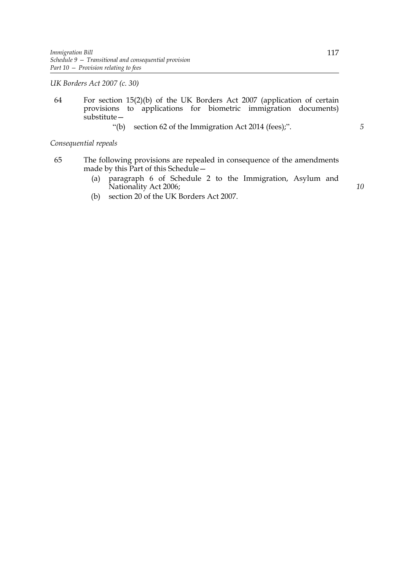*UK Borders Act 2007 (c. 30)*

64 For section 15(2)(b) of the UK Borders Act 2007 (application of certain provisions to applications for biometric immigration documents) substitute—

"(b) section 62 of the Immigration Act 2014 (fees);".

*5*

## *Consequential repeals*

- 65 The following provisions are repealed in consequence of the amendments made by this Part of this Schedule—
	- (a) paragraph 6 of Schedule 2 to the Immigration, Asylum and Nationality Act 2006;
	- (b) section 20 of the UK Borders Act 2007.